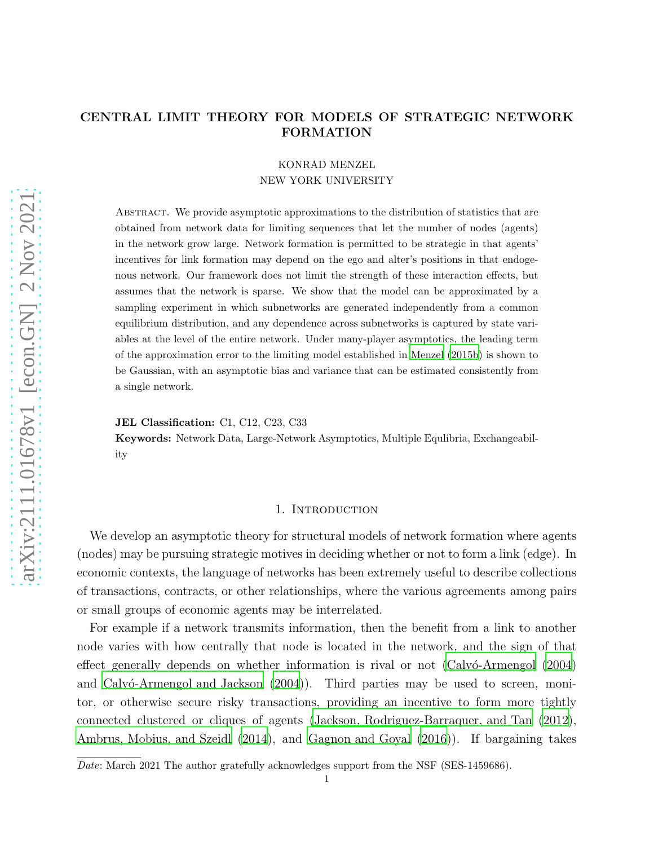# CENTRAL LIMIT THEORY FOR MODELS OF STRATEGIC NETWORK FORMATION

# KONRAD MENZEL NEW YORK UNIVERSITY

Abstract. We provide asymptotic approximations to the distribution of statistics that are obtained from network data for limiting sequences that let the number of nodes (agents) in the network grow large. Network formation is permitted to be strategic in that agents' incentives for link formation may depend on the ego and alter's positions in that endogenous network. Our framework does not limit the strength of these interaction effects, but assumes that the network is sparse. We show that the model can be approximated by a sampling experiment in which subnetworks are generated independently from a common equilibrium distribution, and any dependence across subnetworks is captured by state variables at the level of the entire network. Under many-player asymptotics, the leading term of the approximation error to the limiting model established in [Menzel](#page-38-0) [\(2015b](#page-38-0)) is shown to be Gaussian, with an asymptotic bias and variance that can be estimated consistently from a single network.

JEL Classification: C1, C12, C23, C33

Keywords: Network Data, Large-Network Asymptotics, Multiple Equlibria, Exchangeability

## 1. INTRODUCTION

We develop an asymptotic theory for structural models of network formation where agents (nodes) may be pursuing strategic motives in deciding whether or not to form a link (edge). In economic contexts, the language of networks has been extremely useful to describe collections of transactions, contracts, or other relationships, where the various agreements among pairs or small groups of economic agents may be interrelated.

For example if a network transmits information, then the benefit from a link to another node varies with how centrally that node is located in the network, and the sign of that effect generally depends on whether information is rival or not (Calv $\acute{o}$ -Armengol (2004) and Calv $\acute{o}$ -Armengol and Jackson  $(2004)$ . Third parties may be used to screen, monitor, or otherwise secure risky transactions, providing an incentive to form more tightly connected clustered or cliques of agents [\(Jackson, Rodriguez-Barraquer, and Tan \(2012](#page-37-1)), [Ambrus, Mobius, and Szeidl \(2014](#page-36-1)), and [Gagnon and Goyal \(2016](#page-37-2))). If bargaining takes

Date: March 2021 The author gratefully acknowledges support from the NSF (SES-1459686).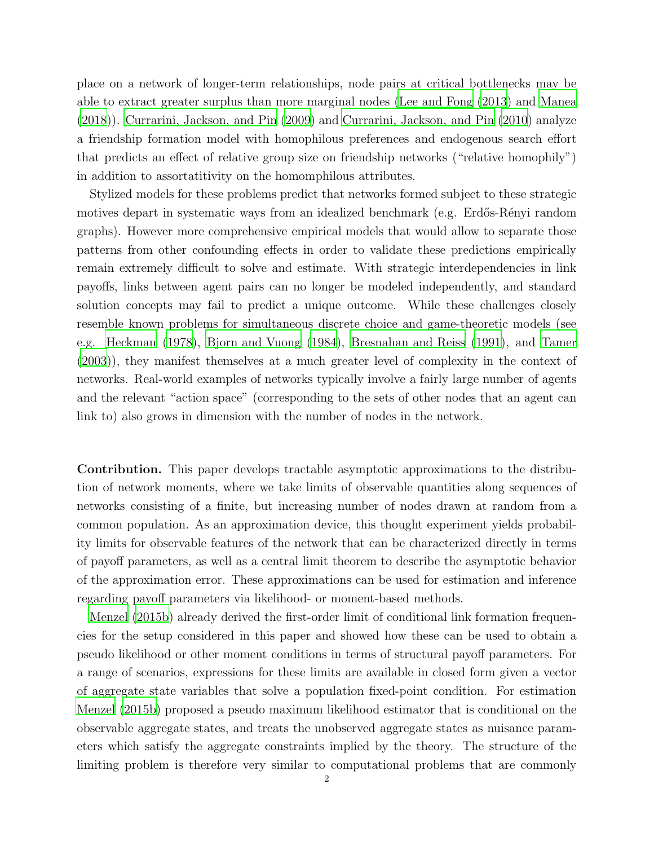place on a network of longer-term relationships, node pairs at critical bottlenecks may be able to extract greater surplus than more marginal nodes [\(Lee and Fong \(2013\)](#page-38-1) and [Manea](#page-38-2) [\(2018\)](#page-38-2)). [Currarini, Jackson, and Pin \(2009\)](#page-37-3) and [Currarini, Jackson, and Pin \(2010](#page-37-4)) analyze a friendship formation model with homophilous preferences and endogenous search effort that predicts an effect of relative group size on friendship networks ("relative homophily") in addition to assortatitivity on the homomphilous attributes.

Stylized models for these problems predict that networks formed subject to these strategic motives depart in systematic ways from an idealized benchmark (e.g. Erdős-Rényi random graphs). However more comprehensive empirical models that would allow to separate those patterns from other confounding effects in order to validate these predictions empirically remain extremely difficult to solve and estimate. With strategic interdependencies in link payoffs, links between agent pairs can no longer be modeled independently, and standard solution concepts may fail to predict a unique outcome. While these challenges closely resemble known problems for simultaneous discrete choice and game-theoretic models (see e.g. [Heckman \(1978](#page-37-5)), [Bjorn and Vuong \(1984](#page-36-2)), [Bresnahan and Reiss \(1991](#page-36-3)), and [Tamer](#page-39-0) [\(2003\)](#page-39-0)), they manifest themselves at a much greater level of complexity in the context of networks. Real-world examples of networks typically involve a fairly large number of agents and the relevant "action space" (corresponding to the sets of other nodes that an agent can link to) also grows in dimension with the number of nodes in the network.

Contribution. This paper develops tractable asymptotic approximations to the distribution of network moments, where we take limits of observable quantities along sequences of networks consisting of a finite, but increasing number of nodes drawn at random from a common population. As an approximation device, this thought experiment yields probability limits for observable features of the network that can be characterized directly in terms of payoff parameters, as well as a central limit theorem to describe the asymptotic behavior of the approximation error. These approximations can be used for estimation and inference regarding payoff parameters via likelihood- or moment-based methods.

[Menzel \(2015b](#page-38-0)) already derived the first-order limit of conditional link formation frequencies for the setup considered in this paper and showed how these can be used to obtain a pseudo likelihood or other moment conditions in terms of structural payoff parameters. For a range of scenarios, expressions for these limits are available in closed form given a vector of aggregate state variables that solve a population fixed-point condition. For estimation [Menzel \(2015b](#page-38-0)) proposed a pseudo maximum likelihood estimator that is conditional on the observable aggregate states, and treats the unobserved aggregate states as nuisance parameters which satisfy the aggregate constraints implied by the theory. The structure of the limiting problem is therefore very similar to computational problems that are commonly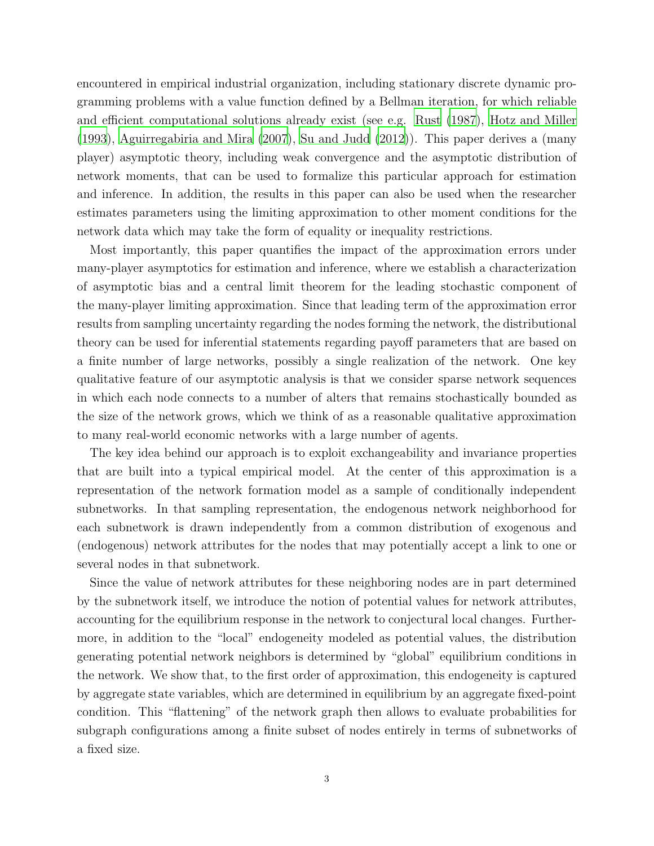encountered in empirical industrial organization, including stationary discrete dynamic programming problems with a value function defined by a Bellman iteration, for which reliable and efficient computational solutions already exist (see e.g. [Rust \(1987\)](#page-38-3), [Hotz and Miller](#page-37-6) [\(1993\)](#page-37-6), [Aguirregabiria and Mira \(2007](#page-36-4)), [Su and Judd \(2012\)](#page-39-1)). This paper derives a (many player) asymptotic theory, including weak convergence and the asymptotic distribution of network moments, that can be used to formalize this particular approach for estimation and inference. In addition, the results in this paper can also be used when the researcher estimates parameters using the limiting approximation to other moment conditions for the network data which may take the form of equality or inequality restrictions.

Most importantly, this paper quantifies the impact of the approximation errors under many-player asymptotics for estimation and inference, where we establish a characterization of asymptotic bias and a central limit theorem for the leading stochastic component of the many-player limiting approximation. Since that leading term of the approximation error results from sampling uncertainty regarding the nodes forming the network, the distributional theory can be used for inferential statements regarding payoff parameters that are based on a finite number of large networks, possibly a single realization of the network. One key qualitative feature of our asymptotic analysis is that we consider sparse network sequences in which each node connects to a number of alters that remains stochastically bounded as the size of the network grows, which we think of as a reasonable qualitative approximation to many real-world economic networks with a large number of agents.

The key idea behind our approach is to exploit exchangeability and invariance properties that are built into a typical empirical model. At the center of this approximation is a representation of the network formation model as a sample of conditionally independent subnetworks. In that sampling representation, the endogenous network neighborhood for each subnetwork is drawn independently from a common distribution of exogenous and (endogenous) network attributes for the nodes that may potentially accept a link to one or several nodes in that subnetwork.

Since the value of network attributes for these neighboring nodes are in part determined by the subnetwork itself, we introduce the notion of potential values for network attributes, accounting for the equilibrium response in the network to conjectural local changes. Furthermore, in addition to the "local" endogeneity modeled as potential values, the distribution generating potential network neighbors is determined by "global" equilibrium conditions in the network. We show that, to the first order of approximation, this endogeneity is captured by aggregate state variables, which are determined in equilibrium by an aggregate fixed-point condition. This "flattening" of the network graph then allows to evaluate probabilities for subgraph configurations among a finite subset of nodes entirely in terms of subnetworks of a fixed size.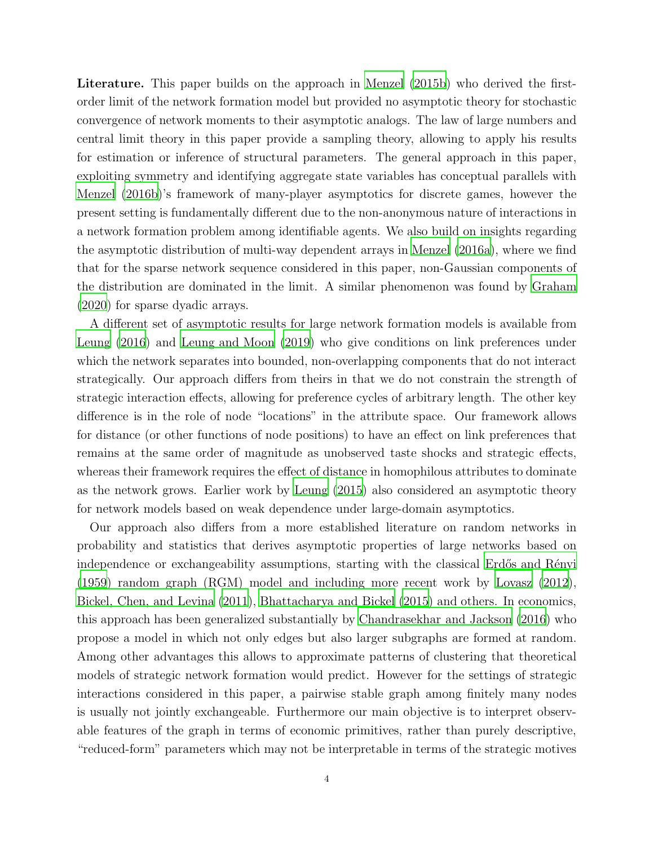Literature. This paper builds on the approach in [Menzel \(2015b\)](#page-38-0) who derived the firstorder limit of the network formation model but provided no asymptotic theory for stochastic convergence of network moments to their asymptotic analogs. The law of large numbers and central limit theory in this paper provide a sampling theory, allowing to apply his results for estimation or inference of structural parameters. The general approach in this paper, exploiting symmetry and identifying aggregate state variables has conceptual parallels with [Menzel \(2016b\)](#page-38-4)'s framework of many-player asymptotics for discrete games, however the present setting is fundamentally different due to the non-anonymous nature of interactions in a network formation problem among identifiable agents. We also build on insights regarding the asymptotic distribution of multi-way dependent arrays in [Menzel \(2016a](#page-38-5)), where we find that for the sparse network sequence considered in this paper, non-Gaussian components of the distribution are dominated in the limit. A similar phenomenon was found by [Graham](#page-37-7) [\(2020\)](#page-37-7) for sparse dyadic arrays.

A different set of asymptotic results for large network formation models is available from [Leung \(2016](#page-38-6)) and [Leung and Moon \(2019](#page-38-7)) who give conditions on link preferences under which the network separates into bounded, non-overlapping components that do not interact strategically. Our approach differs from theirs in that we do not constrain the strength of strategic interaction effects, allowing for preference cycles of arbitrary length. The other key difference is in the role of node "locations" in the attribute space. Our framework allows for distance (or other functions of node positions) to have an effect on link preferences that remains at the same order of magnitude as unobserved taste shocks and strategic effects, whereas their framework requires the effect of distance in homophilous attributes to dominate as the network grows. Earlier work by [Leung \(2015](#page-38-8)) also considered an asymptotic theory for network models based on weak dependence under large-domain asymptotics.

Our approach also differs from a more established literature on random networks in probability and statistics that derives asymptotic properties of large networks based on independence or exchangeability assumptions, starting with the classical Erdős and Rényi [\(1959\)](#page-37-8) random graph (RGM) model and including more recent work by [Lovasz \(2012](#page-38-9)), [Bickel, Chen, and Levina \(2011](#page-36-5)), [Bhattacharya and Bickel \(2015](#page-36-6)) and others. In economics, this approach has been generalized substantially by [Chandrasekhar and Jackson \(2016](#page-37-9)) who propose a model in which not only edges but also larger subgraphs are formed at random. Among other advantages this allows to approximate patterns of clustering that theoretical models of strategic network formation would predict. However for the settings of strategic interactions considered in this paper, a pairwise stable graph among finitely many nodes is usually not jointly exchangeable. Furthermore our main objective is to interpret observable features of the graph in terms of economic primitives, rather than purely descriptive, "reduced-form" parameters which may not be interpretable in terms of the strategic motives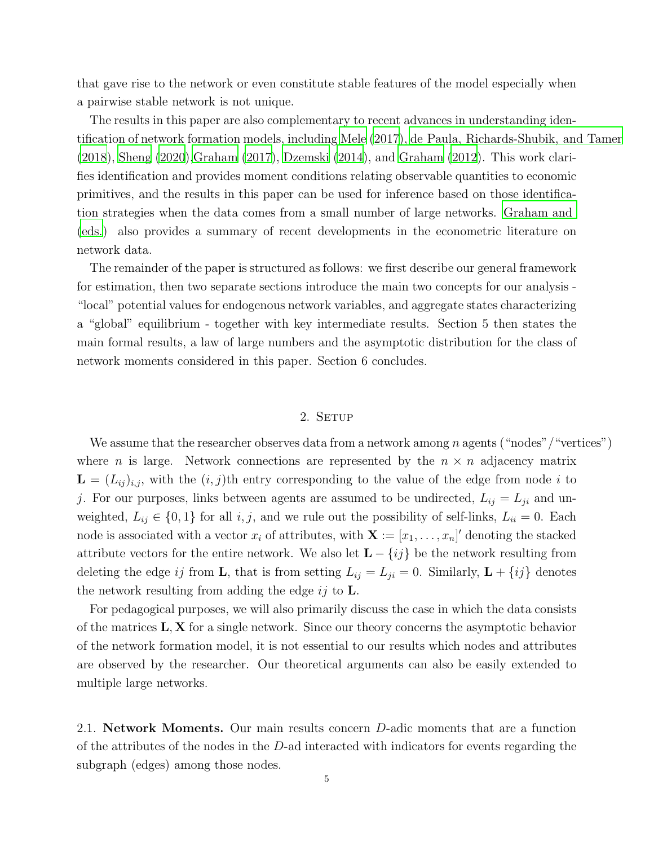that gave rise to the network or even constitute stable features of the model especially when a pairwise stable network is not unique.

The results in this paper are also complementary to recent advances in understanding identification of network formation models, including [Mele \(2017\)](#page-38-10), [de Paula, Richards-Shubik, and Tamer](#page-37-10) [\(2018\)](#page-37-10), [Sheng \(2020](#page-38-11))[,Graham \(2017](#page-37-11)), [Dzemski \(2014](#page-37-12)), and [Graham \(2012\)](#page-37-13). This work clarifies identification and provides moment conditions relating observable quantities to economic primitives, and the results in this paper can be used for inference based on those identification strategies when the data comes from a small number of large networks. [Graham and](#page-37-14) [\(eds.](#page-37-14)) also provides a summary of recent developments in the econometric literature on network data.

The remainder of the paper is structured as follows: we first describe our general framework for estimation, then two separate sections introduce the main two concepts for our analysis - "local" potential values for endogenous network variables, and aggregate states characterizing a "global" equilibrium - together with key intermediate results. Section 5 then states the main formal results, a law of large numbers and the asymptotic distribution for the class of network moments considered in this paper. Section 6 concludes.

## 2. SETUP

We assume that the researcher observes data from a network among n agents ("nodes"/"vertices") where *n* is large. Network connections are represented by the  $n \times n$  adjacency matrix  $\mathbf{L} = (L_{ij})_{i,j}$ , with the  $(i, j)$ th entry corresponding to the value of the edge from node i to j. For our purposes, links between agents are assumed to be undirected,  $L_{ij} = L_{ji}$  and unweighted,  $L_{ij} \in \{0,1\}$  for all  $i, j$ , and we rule out the possibility of self-links,  $L_{ii} = 0$ . Each node is associated with a vector  $x_i$  of attributes, with  $\mathbf{X} := [x_1, \ldots, x_n]'$  denoting the stacked attribute vectors for the entire network. We also let  $\mathbf{L} - \{ij\}$  be the network resulting from deleting the edge ij from **L**, that is from setting  $L_{ij} = L_{ji} = 0$ . Similarly,  $\mathbf{L} + \{ij\}$  denotes the network resulting from adding the edge  $ij$  to **L**.

For pedagogical purposes, we will also primarily discuss the case in which the data consists of the matrices  $L, X$  for a single network. Since our theory concerns the asymptotic behavior of the network formation model, it is not essential to our results which nodes and attributes are observed by the researcher. Our theoretical arguments can also be easily extended to multiple large networks.

2.1. Network Moments. Our main results concern D-adic moments that are a function of the attributes of the nodes in the  $D$ -ad interacted with indicators for events regarding the subgraph (edges) among those nodes.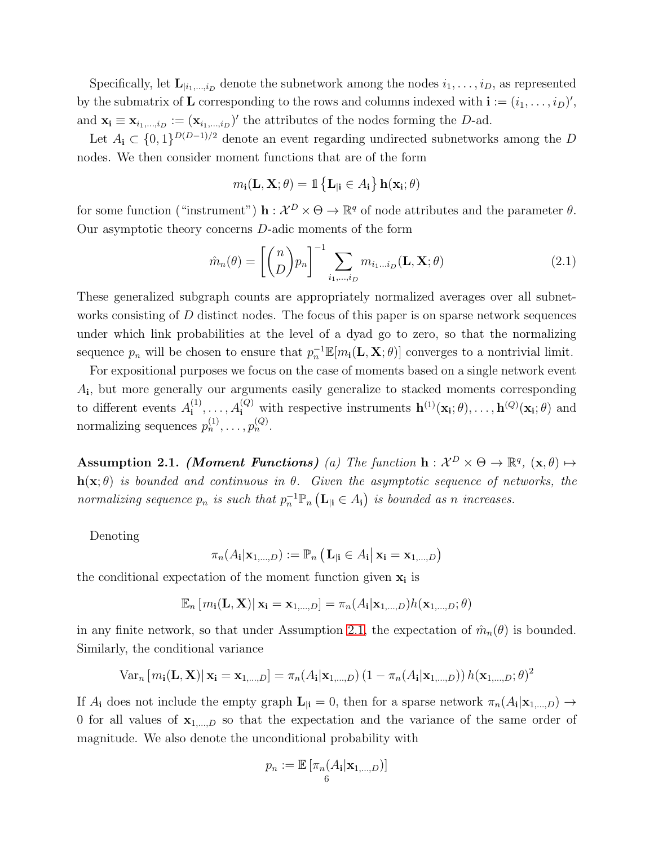Specifically, let  $\mathbf{L}_{i_1,\dots,i_D}$  denote the subnetwork among the nodes  $i_1,\dots,i_D$ , as represented by the submatrix of **L** corresponding to the rows and columns indexed with  $\mathbf{i} := (i_1, \ldots, i_D)'$ , and  $\mathbf{x_i} \equiv \mathbf{x}_{i_1,\dots,i_D} := (\mathbf{x}_{i_1,\dots,i_D})'$  the attributes of the nodes forming the D-ad.

Let  $A_i \subset \{0,1\}^{D(D-1)/2}$  denote an event regarding undirected subnetworks among the D nodes. We then consider moment functions that are of the form

$$
\mathit{m}_\mathbf{i}(\mathbf{L}, \mathbf{X}; \theta) = \mathbbm{1}\left\{ \mathbf{L}_{|\mathbf{i}} \in \mathit{A}_\mathbf{i} \right\} \mathbf{h}(\mathbf{x}_\mathbf{i}; \theta)
$$

for some function ("instrument")  $\mathbf{h} : \mathcal{X}^D \times \Theta \to \mathbb{R}^q$  of node attributes and the parameter  $\theta$ . Our asymptotic theory concerns D-adic moments of the form

<span id="page-5-1"></span>
$$
\hat{m}_n(\theta) = \left[ \binom{n}{D} p_n \right]^{-1} \sum_{i_1, \dots, i_D} m_{i_1 \dots i_D}(\mathbf{L}, \mathbf{X}; \theta)
$$
\n(2.1)

These generalized subgraph counts are appropriately normalized averages over all subnetworks consisting of D distinct nodes. The focus of this paper is on sparse network sequences under which link probabilities at the level of a dyad go to zero, so that the normalizing sequence  $p_n$  will be chosen to ensure that  $p_n^{-1} \mathbb{E}[m_i(\mathbf{L}, \mathbf{X}; \theta)]$  converges to a nontrivial limit.

For expositional purposes we focus on the case of moments based on a single network event Ai , but more generally our arguments easily generalize to stacked moments corresponding to different events  $A_i^{(1)}$  $\mathbf{h}^{(1)}, \ldots, A_{\mathbf{i}}^{(Q)}$  with respective instruments  $\mathbf{h}^{(1)}(\mathbf{x}_{\mathbf{i}};\theta), \ldots, \mathbf{h}^{(Q)}(\mathbf{x}_{\mathbf{i}};\theta)$  and normalizing sequences  $p_n^{(1)}, \ldots, p_n^{(Q)}$ .

<span id="page-5-0"></span>Assumption 2.1. (Moment Functions) (a) The function  $h: \mathcal{X}^D \times \Theta \to \mathbb{R}^q$ ,  $(\mathbf{x}, \theta) \mapsto$  $h(x; \theta)$  is bounded and continuous in  $\theta$ . Given the asymptotic sequence of networks, the normalizing sequence  $p_n$  is such that  $p_n^{-1} \mathbb{P}_n (\mathbf{L}_{\vert \mathbf{i}} \in A_{\mathbf{i}})$  is bounded as n increases.

Denoting

$$
\pi_n(A_i|\mathbf{x}_{1,\dots,D}) := \mathbb{P}_n\left(\mathbf{L}_{|\mathbf{i}} \in A_{\mathbf{i}}\middle|\mathbf{x}_{\mathbf{i}} = \mathbf{x}_{1,\dots,D}\right)
$$

the conditional expectation of the moment function given  $x_i$  is

$$
\mathbb{E}_n\left[m_{\mathbf{i}}(\mathbf{L},\mathbf{X})\right|\mathbf{x}_{\mathbf{i}}=\mathbf{x}_{1,\ldots,D}]=\pi_n(A_{\mathbf{i}}|\mathbf{x}_{1,\ldots,D})h(\mathbf{x}_{1,\ldots,D};\theta)
$$

in any finite network, so that under Assumption [2.1,](#page-5-0) the expectation of  $\hat{m}_n(\theta)$  is bounded. Similarly, the conditional variance

Var<sub>n</sub> [m<sub>i</sub>(**L**, **X**) | **x**<sub>i</sub> = **x**<sub>1,...,D</sub>] = 
$$
\pi_n(A_i | \mathbf{x}_{1,...,D}) (1 - \pi_n(A_i | \mathbf{x}_{1,...,D})) h(\mathbf{x}_{1,...,D}; \theta)^2
$$

If  $A_i$  does not include the empty graph  $\mathbf{L}_{|i} = 0$ , then for a sparse network  $\pi_n(A_i|\mathbf{x}_{1,\dots,D}) \to$ 0 for all values of  $x_{1,...,D}$  so that the expectation and the variance of the same order of magnitude. We also denote the unconditional probability with

$$
p_n := \mathbb{E}\left[\pi_n(A_i|\mathbf{x}_{1,\dots,D})\right]
$$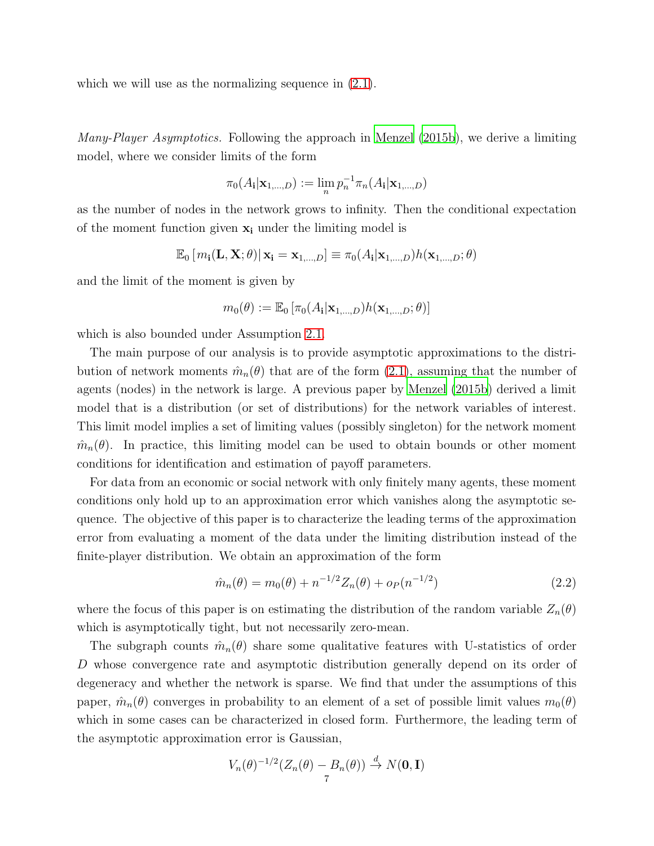which we will use as the normalizing sequence in  $(2.1)$ .

*Many-Player Asymptotics.* Following the approach in [Menzel \(2015b](#page-38-0)), we derive a limiting model, where we consider limits of the form

$$
\pi_0(A_{\mathbf{i}}|\mathbf{x}_{1,\dots,D}) := \lim_{n} p_n^{-1} \pi_n(A_{\mathbf{i}}|\mathbf{x}_{1,\dots,D})
$$

as the number of nodes in the network grows to infinity. Then the conditional expectation of the moment function given  $x_i$  under the limiting model is

$$
\mathbb{E}_{0}\left[m_{\mathbf{i}}(\mathbf{L}, \mathbf{X}; \theta)| \mathbf{x}_{\mathbf{i}} = \mathbf{x}_{1,\dots,D}\right] \equiv \pi_{0}(A_{\mathbf{i}} | \mathbf{x}_{1,\dots,D}) h(\mathbf{x}_{1,\dots,D}; \theta)
$$

and the limit of the moment is given by

$$
m_0(\theta) := \mathbb{E}_0 \left[ \pi_0(A_i | \mathbf{x}_{1,\ldots,D}) h(\mathbf{x}_{1,\ldots,D}; \theta) \right]
$$

which is also bounded under Assumption [2.1.](#page-5-0)

The main purpose of our analysis is to provide asymptotic approximations to the distribution of network moments  $\hat{m}_n(\theta)$  that are of the form [\(2.1\)](#page-5-1), assuming that the number of agents (nodes) in the network is large. A previous paper by [Menzel](#page-38-0) [\(2015b\)](#page-38-0) derived a limit model that is a distribution (or set of distributions) for the network variables of interest. This limit model implies a set of limiting values (possibly singleton) for the network moment  $\hat{m}_n(\theta)$ . In practice, this limiting model can be used to obtain bounds or other moment conditions for identification and estimation of payoff parameters.

For data from an economic or social network with only finitely many agents, these moment conditions only hold up to an approximation error which vanishes along the asymptotic sequence. The objective of this paper is to characterize the leading terms of the approximation error from evaluating a moment of the data under the limiting distribution instead of the finite-player distribution. We obtain an approximation of the form

$$
\hat{m}_n(\theta) = m_0(\theta) + n^{-1/2} Z_n(\theta) + o_P(n^{-1/2})
$$
\n(2.2)

where the focus of this paper is on estimating the distribution of the random variable  $Z_n(\theta)$ which is asymptotically tight, but not necessarily zero-mean.

The subgraph counts  $\hat{m}_n(\theta)$  share some qualitative features with U-statistics of order D whose convergence rate and asymptotic distribution generally depend on its order of degeneracy and whether the network is sparse. We find that under the assumptions of this paper,  $\hat{m}_n(\theta)$  converges in probability to an element of a set of possible limit values  $m_0(\theta)$ which in some cases can be characterized in closed form. Furthermore, the leading term of the asymptotic approximation error is Gaussian,

$$
V_n(\theta)^{-1/2}(Z_n(\theta) - B_n(\theta)) \stackrel{d}{\to} N(\mathbf{0}, \mathbf{I})
$$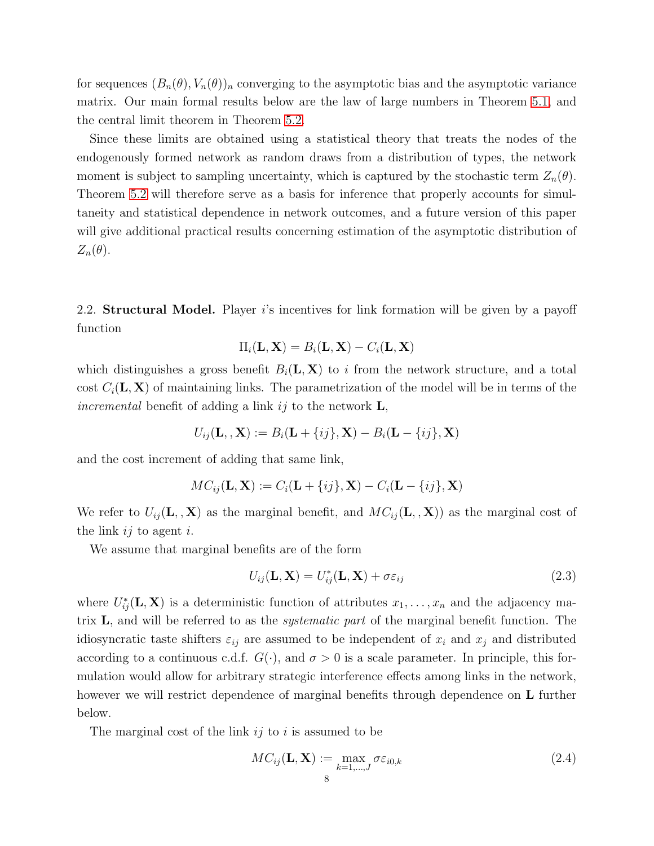for sequences  $(B_n(\theta), V_n(\theta))_n$  converging to the asymptotic bias and the asymptotic variance matrix. Our main formal results below are the law of large numbers in Theorem [5.1,](#page-33-0) and the central limit theorem in Theorem [5.2.](#page-35-0)

Since these limits are obtained using a statistical theory that treats the nodes of the endogenously formed network as random draws from a distribution of types, the network moment is subject to sampling uncertainty, which is captured by the stochastic term  $Z_n(\theta)$ . Theorem [5.2](#page-35-0) will therefore serve as a basis for inference that properly accounts for simultaneity and statistical dependence in network outcomes, and a future version of this paper will give additional practical results concerning estimation of the asymptotic distribution of  $Z_n(\theta)$ .

2.2. **Structural Model.** Player is incentives for link formation will be given by a payoff function

$$
\Pi_i(\mathbf{L}, \mathbf{X}) = B_i(\mathbf{L}, \mathbf{X}) - C_i(\mathbf{L}, \mathbf{X})
$$

which distinguishes a gross benefit  $B_i(\mathbf{L}, \mathbf{X})$  to i from the network structure, and a total cost  $C_i(\mathbf{L}, \mathbf{X})$  of maintaining links. The parametrization of the model will be in terms of the incremental benefit of adding a link ij to the network  $\mathbf{L}$ ,

$$
U_{ij}(\mathbf{L}_{1}, \mathbf{X}) := B_i(\mathbf{L} + \{ij\}, \mathbf{X}) - B_i(\mathbf{L} - \{ij\}, \mathbf{X})
$$

and the cost increment of adding that same link,

$$
MC_{ij}(\mathbf{L}, \mathbf{X}) := C_i(\mathbf{L} + \{ij\}, \mathbf{X}) - C_i(\mathbf{L} - \{ij\}, \mathbf{X})
$$

We refer to  $U_{ij}(\mathbf{L}_{1}, \mathbf{X})$  as the marginal benefit, and  $MC_{ij}(\mathbf{L}_{1}, \mathbf{X})$  as the marginal cost of the link  $ij$  to agent i.

We assume that marginal benefits are of the form

$$
U_{ij}(\mathbf{L}, \mathbf{X}) = U_{ij}^*(\mathbf{L}, \mathbf{X}) + \sigma \varepsilon_{ij}
$$
\n(2.3)

where  $U_{ij}^*(\mathbf{L}, \mathbf{X})$  is a deterministic function of attributes  $x_1, \ldots, x_n$  and the adjacency matrix L, and will be referred to as the systematic part of the marginal benefit function. The idiosyncratic taste shifters  $\varepsilon_{ij}$  are assumed to be independent of  $x_i$  and  $x_j$  and distributed according to a continuous c.d.f.  $G(\cdot)$ , and  $\sigma > 0$  is a scale parameter. In principle, this formulation would allow for arbitrary strategic interference effects among links in the network, however we will restrict dependence of marginal benefits through dependence on L further below.

The marginal cost of the link  $ij$  to i is assumed to be

$$
MC_{ij}(\mathbf{L}, \mathbf{X}) := \max_{k=1,\dots,J} \sigma \varepsilon_{i0,k}
$$
\n(2.4)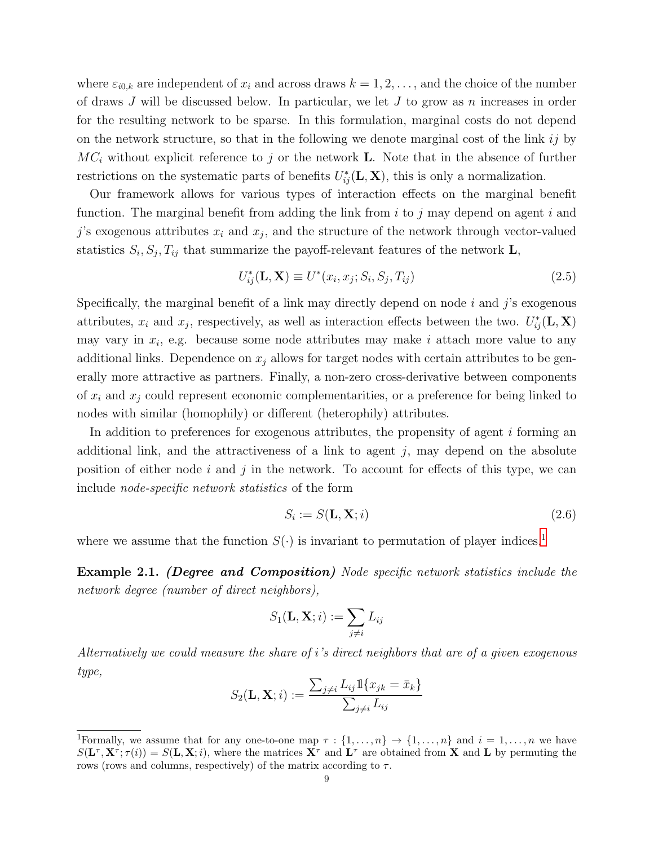where  $\varepsilon_{i0,k}$  are independent of  $x_i$  and across draws  $k = 1, 2, \ldots$ , and the choice of the number of draws  $J$  will be discussed below. In particular, we let  $J$  to grow as  $n$  increases in order for the resulting network to be sparse. In this formulation, marginal costs do not depend on the network structure, so that in the following we denote marginal cost of the link  $ij$  by  $MC_i$  without explicit reference to j or the network **L**. Note that in the absence of further restrictions on the systematic parts of benefits  $U_{ij}^*(\mathbf{L}, \mathbf{X})$ , this is only a normalization.

Our framework allows for various types of interaction effects on the marginal benefit function. The marginal benefit from adding the link from  $i$  to j may depend on agent i and j's exogenous attributes  $x_i$  and  $x_j$ , and the structure of the network through vector-valued statistics  $S_i$ ,  $S_j$ ,  $T_{ij}$  that summarize the payoff-relevant features of the network L,

$$
U_{ij}^*(\mathbf{L}, \mathbf{X}) \equiv U^*(x_i, x_j; S_i, S_j, T_{ij})
$$
\n
$$
(2.5)
$$

Specifically, the marginal benefit of a link may directly depend on node  $i$  and  $j$ 's exogenous attributes,  $x_i$  and  $x_j$ , respectively, as well as interaction effects between the two.  $U_{ij}^*(\mathbf{L}, \mathbf{X})$ may vary in  $x_i$ , e.g. because some node attributes may make i attach more value to any additional links. Dependence on  $x_j$  allows for target nodes with certain attributes to be generally more attractive as partners. Finally, a non-zero cross-derivative between components of  $x_i$  and  $x_j$  could represent economic complementarities, or a preference for being linked to nodes with similar (homophily) or different (heterophily) attributes.

In addition to preferences for exogenous attributes, the propensity of agent i forming an additional link, and the attractiveness of a link to agent  $j$ , may depend on the absolute position of either node  $i$  and  $j$  in the network. To account for effects of this type, we can include node-specific network statistics of the form

$$
S_i := S(\mathbf{L}, \mathbf{X}; i) \tag{2.6}
$$

where we assume that the function  $S(\cdot)$  is invariant to permutation of player indices.<sup>[1](#page-8-0)</sup>

Example 2.1. (Degree and Composition) Node specific network statistics include the network degree (number of direct neighbors),

$$
S_1(\mathbf{L}, \mathbf{X}; i) := \sum_{j \neq i} L_{ij}
$$

Alternatively we could measure the share of i's direct neighbors that are of a given exogenous type,

$$
S_2(\mathbf{L}, \mathbf{X}; i) := \frac{\sum_{j \neq i} L_{ij} \mathbb{1}\{x_{jk} = \bar{x}_k\}}{\sum_{j \neq i} L_{ij}}
$$

<span id="page-8-0"></span><sup>&</sup>lt;sup>1</sup>Formally, we assume that for any one-to-one map  $\tau : \{1, \ldots, n\} \to \{1, \ldots, n\}$  and  $i = 1, \ldots, n$  we have  $S(\mathbf{L}^{\tau}, \mathbf{X}^{\tau}; \tau(i)) = S(\mathbf{L}, \mathbf{X}; i)$ , where the matrices  $\mathbf{X}^{\tau}$  and  $\mathbf{L}^{\tau}$  are obtained from **X** and **L** by permuting the rows (rows and columns, respectively) of the matrix according to  $\tau$ .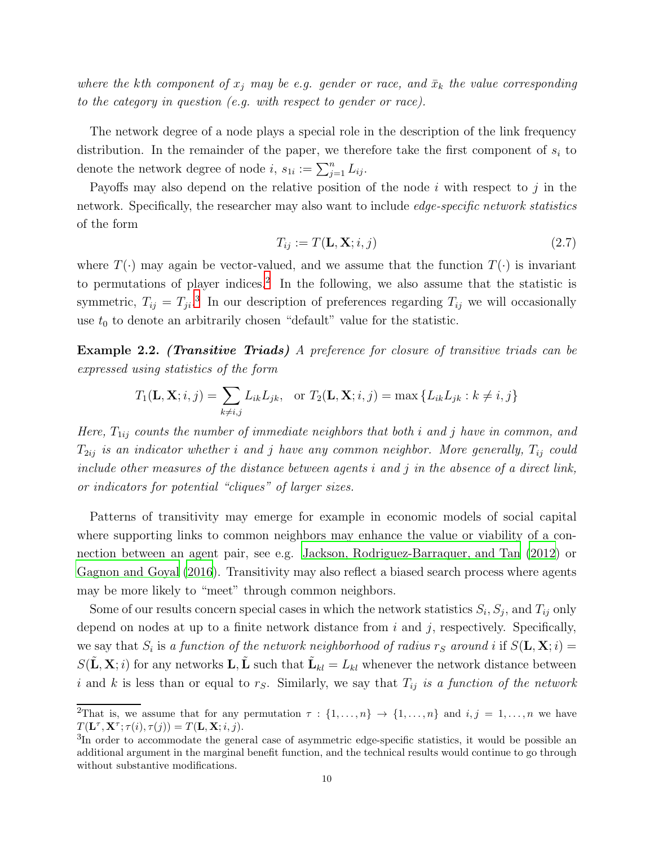where the kth component of  $x_j$  may be e.g. gender or race, and  $\bar{x}_k$  the value corresponding to the category in question (e.g. with respect to gender or race).

The network degree of a node plays a special role in the description of the link frequency distribution. In the remainder of the paper, we therefore take the first component of  $s_i$  to denote the network degree of node  $i, s_{1i} := \sum_{j=1}^{n} L_{ij}$ .

Payoffs may also depend on the relative position of the node  $i$  with respect to  $j$  in the network. Specifically, the researcher may also want to include *edge-specific network statistics* of the form

$$
T_{ij} := T(\mathbf{L}, \mathbf{X}; i, j) \tag{2.7}
$$

where  $T(\cdot)$  may again be vector-valued, and we assume that the function  $T(\cdot)$  is invariant to permutations of player indices.<sup>[2](#page-9-0)</sup> In the following, we also assume that the statistic is symmetric,  $T_{ij} = T_{ji}$ <sup>[3](#page-9-1)</sup>. In our description of preferences regarding  $T_{ij}$  we will occasionally use  $t_0$  to denote an arbitrarily chosen "default" value for the statistic.

**Example 2.2.** (Transitive Triads) A preference for closure of transitive triads can be expressed using statistics of the form

$$
T_1(\mathbf{L}, \mathbf{X}; i, j) = \sum_{k \neq i, j} L_{ik} L_{jk}, \quad \text{or } T_2(\mathbf{L}, \mathbf{X}; i, j) = \max \{ L_{ik} L_{jk} : k \neq i, j \}
$$

Here,  $T_{1ij}$  counts the number of immediate neighbors that both i and j have in common, and  $T_{2ij}$  is an indicator whether i and j have any common neighbor. More generally,  $T_{ij}$  could include other measures of the distance between agents  $i$  and  $j$  in the absence of a direct link, or indicators for potential "cliques" of larger sizes.

Patterns of transitivity may emerge for example in economic models of social capital where supporting links to common neighbors may enhance the value or viability of a connection between an agent pair, see e.g. [Jackson, Rodriguez-Barraquer, and Tan \(2012](#page-37-1)) or [Gagnon and Goyal \(2016](#page-37-2)). Transitivity may also reflect a biased search process where agents may be more likely to "meet" through common neighbors.

Some of our results concern special cases in which the network statistics  $S_i$ ,  $S_j$ , and  $T_{ij}$  only depend on nodes at up to a finite network distance from  $i$  and  $j$ , respectively. Specifically, we say that  $S_i$  is a function of the network neighborhood of radius  $r_S$  around i if  $S(\mathbf{L}, \mathbf{X}; i) =$  $S(\tilde{\mathbf{L}}, \mathbf{X}; i)$  for any networks  $\mathbf{L}, \tilde{\mathbf{L}}$  such that  $\tilde{\mathbf{L}}_{kl} = L_{kl}$  whenever the network distance between i and k is less than or equal to  $r<sub>S</sub>$ . Similarly, we say that  $T<sub>ij</sub>$  is a function of the network

<span id="page-9-0"></span><sup>&</sup>lt;sup>2</sup>That is, we assume that for any permutation  $\tau : \{1, \ldots, n\} \to \{1, \ldots, n\}$  and  $i, j = 1, \ldots, n$  we have  $T(\mathbf{L}^{\tau}, \mathbf{X}^{\tau}; \tau(i), \tau(j)) = T(\mathbf{L}, \mathbf{X}; i, j).$ 

<span id="page-9-1"></span><sup>&</sup>lt;sup>3</sup>In order to accommodate the general case of asymmetric edge-specific statistics, it would be possible an additional argument in the marginal benefit function, and the technical results would continue to go through without substantive modifications.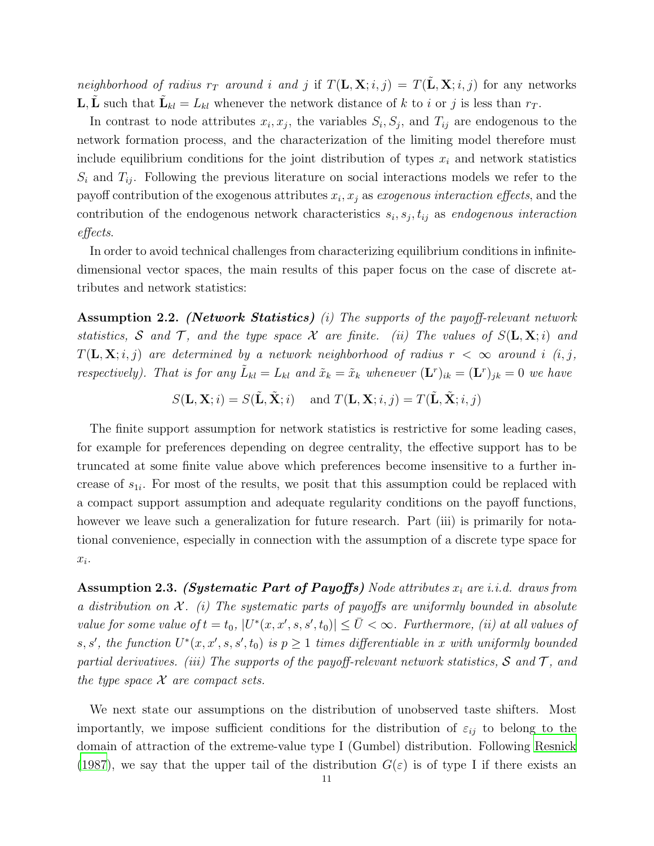neighborhood of radius  $r_T$  around i and j if  $T(\mathbf{L}, \mathbf{X}; i, j) = T(\mathbf{L}, \mathbf{X}; i, j)$  for any networks **L**,  $\tilde{\mathbf{L}}$  such that  $\tilde{\mathbf{L}}_{kl} = L_{kl}$  whenever the network distance of k to i or j is less than  $r_T$ .

In contrast to node attributes  $x_i, x_j$ , the variables  $S_i, S_j$ , and  $T_{ij}$  are endogenous to the network formation process, and the characterization of the limiting model therefore must include equilibrium conditions for the joint distribution of types  $x_i$  and network statistics  $S_i$  and  $T_{ij}$ . Following the previous literature on social interactions models we refer to the payoff contribution of the exogenous attributes  $x_i, x_j$  as exogenous interaction effects, and the contribution of the endogenous network characteristics  $s_i, s_j, t_{ij}$  as endogenous interaction effects.

In order to avoid technical challenges from characterizing equilibrium conditions in infinitedimensional vector spaces, the main results of this paper focus on the case of discrete attributes and network statistics:

<span id="page-10-0"></span>Assumption 2.2. (Network Statistics) (i) The supports of the payoff-relevant network statistics, S and T, and the type space X are finite. (ii) The values of  $S(\mathbf{L}, \mathbf{X}; i)$  and  $T(\mathbf{L}, \mathbf{X}; i, j)$  are determined by a network neighborhood of radius  $r < \infty$  around i (i, j, respectively). That is for any  $\tilde{L}_{kl} = L_{kl}$  and  $\tilde{x}_k = \tilde{x}_k$  whenever  $(\mathbf{L}^r)_{ik} = (\mathbf{L}^r)_{jk} = 0$  we have

 $S(\mathbf{L}, \mathbf{X}; i) = S(\tilde{\mathbf{L}}, \tilde{\mathbf{X}}; i)$  and  $T(\mathbf{L}, \mathbf{X}; i, j) = T(\tilde{\mathbf{L}}, \tilde{\mathbf{X}}; i, j)$ 

The finite support assumption for network statistics is restrictive for some leading cases, for example for preferences depending on degree centrality, the effective support has to be truncated at some finite value above which preferences become insensitive to a further increase of  $s_{1i}$ . For most of the results, we posit that this assumption could be replaced with a compact support assumption and adequate regularity conditions on the payoff functions, however we leave such a generalization for future research. Part (iii) is primarily for notational convenience, especially in connection with the assumption of a discrete type space for  $x_i$ .

<span id="page-10-1"></span>**Assumption 2.3.** (Systematic Part of Payoffs) Node attributes  $x_i$  are i.i.d. draws from a distribution on  $\mathcal{X}$ . (i) The systematic parts of payoffs are uniformly bounded in absolute value for some value of  $t = t_0$ ,  $|U^*(x, x', s, s', t_0)| \leq \overline{U} < \infty$ . Furthermore, (ii) at all values of s, s', the function  $U^*(x, x', s, s', t_0)$  is  $p \ge 1$  times differentiable in x with uniformly bounded partial derivatives. (iii) The supports of the payoff-relevant network statistics,  $S$  and  $T$ , and the type space  $X$  are compact sets.

We next state our assumptions on the distribution of unobserved taste shifters. Most importantly, we impose sufficient conditions for the distribution of  $\varepsilon_{ij}$  to belong to the domain of attraction of the extreme-value type I (Gumbel) distribution. Following [Resnick](#page-38-12) [\(1987\)](#page-38-12), we say that the upper tail of the distribution  $G(\varepsilon)$  is of type I if there exists an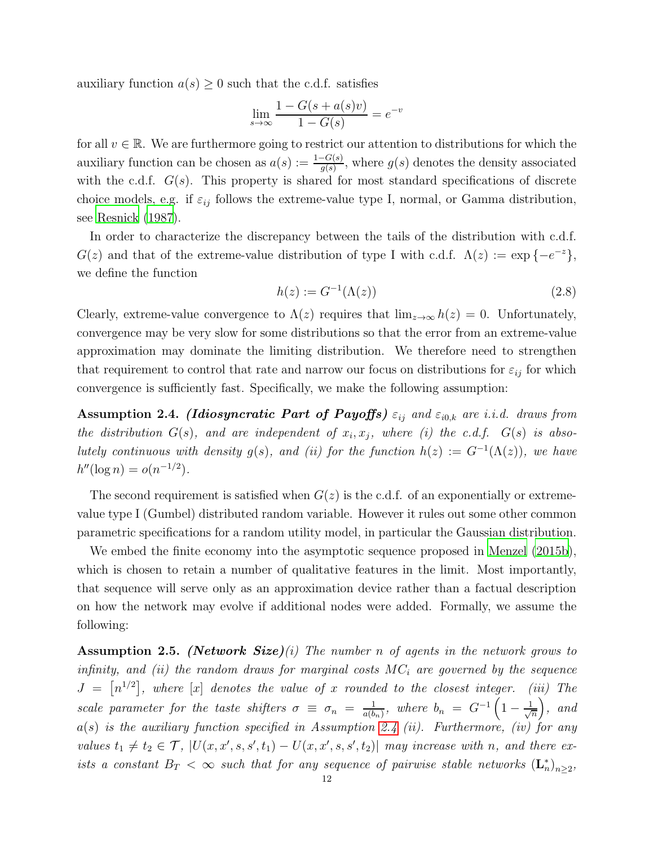auxiliary function  $a(s) \geq 0$  such that the c.d.f. satisfies

$$
\lim_{s \to \infty} \frac{1 - G(s + a(s)v)}{1 - G(s)} = e^{-v}
$$

for all  $v \in \mathbb{R}$ . We are furthermore going to restrict our attention to distributions for which the auxiliary function can be chosen as  $a(s) := \frac{1-G(s)}{g(s)}$ , where  $g(s)$  denotes the density associated with the c.d.f.  $G(s)$ . This property is shared for most standard specifications of discrete choice models, e.g. if  $\varepsilon_{ij}$  follows the extreme-value type I, normal, or Gamma distribution, see [Resnick \(1987](#page-38-12)).

In order to characterize the discrepancy between the tails of the distribution with c.d.f.  $G(z)$  and that of the extreme-value distribution of type I with c.d.f.  $\Lambda(z) := \exp\{-e^{-z}\},$ we define the function

$$
h(z) := G^{-1}(\Lambda(z))\tag{2.8}
$$

Clearly, extreme-value convergence to  $\Lambda(z)$  requires that  $\lim_{z\to\infty} h(z) = 0$ . Unfortunately, convergence may be very slow for some distributions so that the error from an extreme-value approximation may dominate the limiting distribution. We therefore need to strengthen that requirement to control that rate and narrow our focus on distributions for  $\varepsilon_{ij}$  for which convergence is sufficiently fast. Specifically, we make the following assumption:

<span id="page-11-0"></span>**Assumption 2.4.** (Idiosyncratic Part of Payoffs)  $\varepsilon_{ij}$  and  $\varepsilon_{i0,k}$  are i.i.d. draws from the distribution  $G(s)$ , and are independent of  $x_i, x_j$ , where (i) the c.d.f.  $G(s)$  is absolutely continuous with density  $g(s)$ , and (ii) for the function  $h(z) := G^{-1}(\Lambda(z))$ , we have  $h''(\log n) = o(n^{-1/2}).$ 

The second requirement is satisfied when  $G(z)$  is the c.d.f. of an exponentially or extremevalue type I (Gumbel) distributed random variable. However it rules out some other common parametric specifications for a random utility model, in particular the Gaussian distribution.

We embed the finite economy into the asymptotic sequence proposed in [Menzel \(2015b](#page-38-0)), which is chosen to retain a number of qualitative features in the limit. Most importantly, that sequence will serve only as an approximation device rather than a factual description on how the network may evolve if additional nodes were added. Formally, we assume the following:

<span id="page-11-1"></span>**Assumption 2.5.** (Network Size)(i) The number n of agents in the network grows to infinity, and (ii) the random draws for marginal costs  $MC_i$  are governed by the sequence  $J = \lfloor n^{1/2} \rfloor$ , where  $\lfloor x \rfloor$  denotes the value of x rounded to the closest integer. (iii) The scale parameter for the taste shifters  $\sigma \equiv \sigma_n = \frac{1}{a(b)}$  $\frac{1}{a(b_n)}$ , where  $b_n = G^{-1} \left( 1 - \frac{1}{\sqrt{n}} \right)$ n  $\Big)$ , and  $a(s)$  is the auxiliary function specified in Assumption [2.4](#page-11-0) (ii). Furthermore, (iv) for any values  $t_1 \neq t_2 \in \mathcal{T}$ ,  $|U(x, x', s, s', t_1) - U(x, x', s, s', t_2)|$  may increase with n, and there exists a constant  $B_T < \infty$  such that for any sequence of pairwise stable networks  $(\mathbf{L}_n^*)_{n \geq 2}$ ,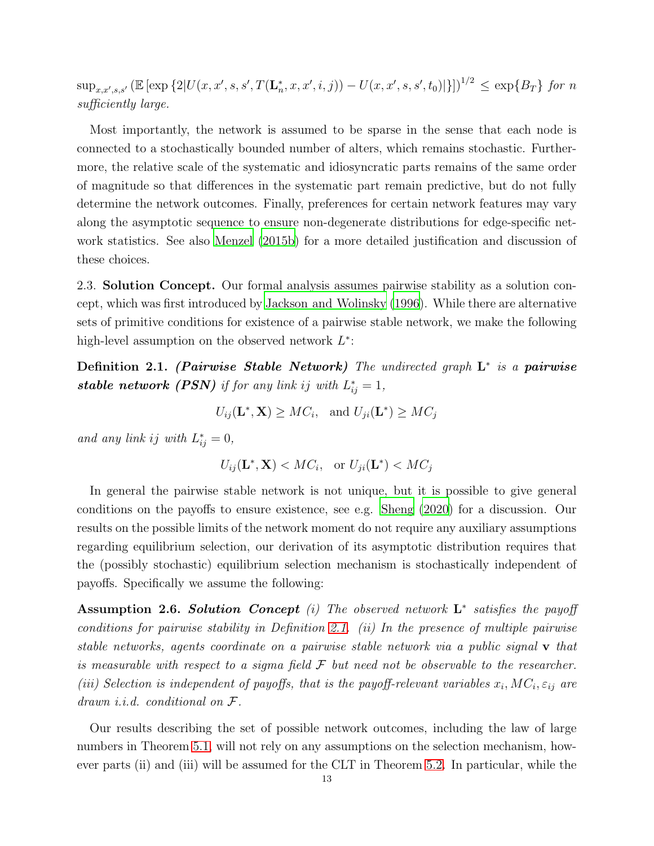$\sup_{x,x',s,s'} \left( \mathbb{E} \left[ \exp \left\{ 2 | U(x, x', s, s', T(\mathbf{L}_n^*, x, x', i, j)) - U(x, x', s, s', t_0) | \right\} \right] \right)^{1/2} \leq \exp \{ B_T \}$  for n sufficiently large.

Most importantly, the network is assumed to be sparse in the sense that each node is connected to a stochastically bounded number of alters, which remains stochastic. Furthermore, the relative scale of the systematic and idiosyncratic parts remains of the same order of magnitude so that differences in the systematic part remain predictive, but do not fully determine the network outcomes. Finally, preferences for certain network features may vary along the asymptotic sequence to ensure non-degenerate distributions for edge-specific network statistics. See also [Menzel \(2015b\)](#page-38-0) for a more detailed justification and discussion of these choices.

2.3. Solution Concept. Our formal analysis assumes pairwise stability as a solution concept, which was first introduced by [Jackson and Wolinsky \(1996\)](#page-38-13). While there are alternative sets of primitive conditions for existence of a pairwise stable network, we make the following high-level assumption on the observed network  $L^*$ :

<span id="page-12-0"></span>Definition 2.1. (Pairwise Stable Network) The undirected graph  $\mathrm{L}^*$  is a pairwise **stable network (PSN)** if for any link ij with  $L_{ij}^* = 1$ ,

$$
U_{ij}(\mathbf{L}^*, \mathbf{X}) \geq MC_i, \text{ and } U_{ji}(\mathbf{L}^*) \geq MC_j
$$

and any link ij with  $L_{ij}^* = 0$ ,

$$
U_{ij}(\mathbf{L}^*, \mathbf{X}) < MC_i, \quad \text{or } U_{ji}(\mathbf{L}^*) < MC_j
$$

In general the pairwise stable network is not unique, but it is possible to give general conditions on the payoffs to ensure existence, see e.g. [Sheng \(2020](#page-38-11)) for a discussion. Our results on the possible limits of the network moment do not require any auxiliary assumptions regarding equilibrium selection, our derivation of its asymptotic distribution requires that the (possibly stochastic) equilibrium selection mechanism is stochastically independent of payoffs. Specifically we assume the following:

<span id="page-12-1"></span>Assumption 2.6. Solution Concept (i) The observed network  $\mathbf{L}^*$  satisfies the payoff conditions for pairwise stability in Definition [2.1.](#page-12-0) (ii) In the presence of multiple pairwise stable networks, agents coordinate on a pairwise stable network via a public signal v that is measurable with respect to a sigma field  $\mathcal F$  but need not be observable to the researcher. (iii) Selection is independent of payoffs, that is the payoff-relevant variables  $x_i$ ,  $MC_i$ ,  $\varepsilon_{ij}$  are drawn *i.i.d.* conditional on  $\mathcal{F}.$ 

Our results describing the set of possible network outcomes, including the law of large numbers in Theorem [5.1,](#page-33-0) will not rely on any assumptions on the selection mechanism, however parts (ii) and (iii) will be assumed for the CLT in Theorem [5.2.](#page-35-0) In particular, while the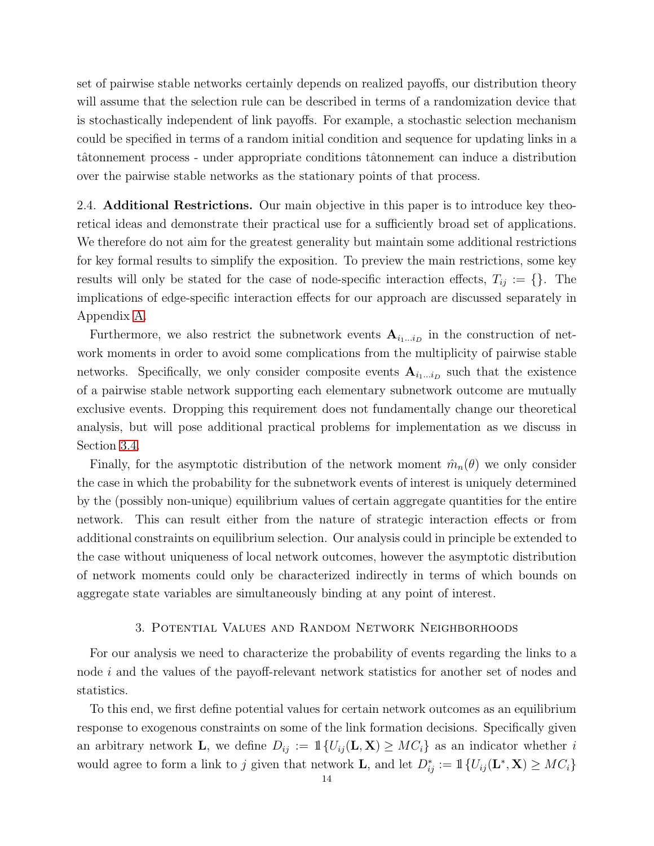set of pairwise stable networks certainly depends on realized payoffs, our distribution theory will assume that the selection rule can be described in terms of a randomization device that is stochastically independent of link payoffs. For example, a stochastic selection mechanism could be specified in terms of a random initial condition and sequence for updating links in a tâtonnement process - under appropriate conditions tâtonnement can induce a distribution over the pairwise stable networks as the stationary points of that process.

2.4. **Additional Restrictions.** Our main objective in this paper is to introduce key theoretical ideas and demonstrate their practical use for a sufficiently broad set of applications. We therefore do not aim for the greatest generality but maintain some additional restrictions for key formal results to simplify the exposition. To preview the main restrictions, some key results will only be stated for the case of node-specific interaction effects,  $T_{ij} := \{\}\.$  The implications of edge-specific interaction effects for our approach are discussed separately in Appendix [A.](#page-39-2)

Furthermore, we also restrict the subnetwork events  $A_{i_1...i_D}$  in the construction of network moments in order to avoid some complications from the multiplicity of pairwise stable networks. Specifically, we only consider composite events  $A_{i_1...i_D}$  such that the existence of a pairwise stable network supporting each elementary subnetwork outcome are mutually exclusive events. Dropping this requirement does not fundamentally change our theoretical analysis, but will pose additional practical problems for implementation as we discuss in Section [3.4.](#page-20-0)

Finally, for the asymptotic distribution of the network moment  $\hat{m}_n(\theta)$  we only consider the case in which the probability for the subnetwork events of interest is uniquely determined by the (possibly non-unique) equilibrium values of certain aggregate quantities for the entire network. This can result either from the nature of strategic interaction effects or from additional constraints on equilibrium selection. Our analysis could in principle be extended to the case without uniqueness of local network outcomes, however the asymptotic distribution of network moments could only be characterized indirectly in terms of which bounds on aggregate state variables are simultaneously binding at any point of interest.

## 3. Potential Values and Random Network Neighborhoods

<span id="page-13-0"></span>For our analysis we need to characterize the probability of events regarding the links to a node i and the values of the payoff-relevant network statistics for another set of nodes and statistics.

To this end, we first define potential values for certain network outcomes as an equilibrium response to exogenous constraints on some of the link formation decisions. Specifically given an arbitrary network **L**, we define  $D_{ij} := \mathbb{1}\{U_{ij}(\mathbf{L}, \mathbf{X}) \geq MC_i\}$  as an indicator whether i would agree to form a link to j given that network **L**, and let  $D_{ij}^* := \mathbb{1}\{U_{ij}(\mathbf{L}^*, \mathbf{X}) \geq MC_i\}$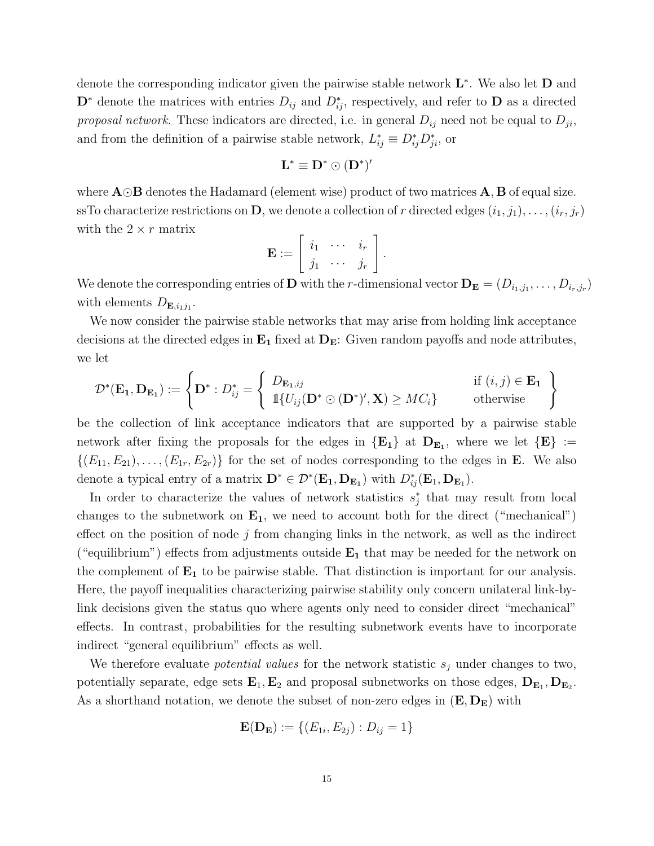denote the corresponding indicator given the pairwise stable network  $\mathbf{L}^*$ . We also let  $\mathbf D$  and  $\mathbf{D}^*$  denote the matrices with entries  $D_{ij}$  and  $D_{ij}^*$ , respectively, and refer to  $\mathbf D$  as a directed *proposal network*. These indicators are directed, i.e. in general  $D_{ij}$  need not be equal to  $D_{ji}$ , and from the definition of a pairwise stable network,  $L_{ij}^* \equiv D_{ij}^* D_{ji}^*$ , or

$$
\mathbf{L}^* \equiv \mathbf{D}^* \odot (\mathbf{D}^*)'
$$

where A⊙B denotes the Hadamard (element wise) product of two matrices A, B of equal size. ssTo characterize restrictions on **D**, we denote a collection of r directed edges  $(i_1, j_1), \ldots, (i_r, j_r)$ with the  $2 \times r$  matrix

$$
\mathbf{E} := \left[ \begin{array}{ccc} i_1 & \cdots & i_r \\ j_1 & \cdots & j_r \end{array} \right].
$$

We denote the corresponding entries of **D** with the *r*-dimensional vector  $D_E = (D_{i_1,j_1}, \ldots, D_{i_r,j_r})$ with elements  $D_{\mathbf{E},i_1j_1}$ .

We now consider the pairwise stable networks that may arise from holding link acceptance decisions at the directed edges in  $E_1$  fixed at  $D_E$ : Given random payoffs and node attributes, we let

$$
\mathcal{D}^*(\mathbf{E_1}, \mathbf{D}_{\mathbf{E_1}}) := \left\{ \mathbf{D}^* : D_{ij}^* = \left\{ \begin{array}{ll} D_{\mathbf{E_1},ij} & \text{if } (i,j) \in \mathbf{E_1} \\ \mathbb{1}\{U_{ij}(\mathbf{D}^* \odot (\mathbf{D}^*)', \mathbf{X}) \geq MC_i\} & \text{otherwise} \end{array} \right\}
$$

be the collection of link acceptance indicators that are supported by a pairwise stable network after fixing the proposals for the edges in  ${E_1}$  at  $D_{E_1}$ , where we let  ${E}$  :=  $\{(E_{11}, E_{21}), \ldots, (E_{1r}, E_{2r})\}\$ for the set of nodes corresponding to the edges in **E**. We also denote a typical entry of a matrix  $\mathbf{D}^* \in \mathcal{D}^*(\mathbf{E}_1, \mathbf{D}_{\mathbf{E}_1})$  with  $D^*_{ij}(\mathbf{E}_1, \mathbf{D}_{\mathbf{E}_1})$ .

In order to characterize the values of network statistics  $s_j^*$  that may result from local changes to the subnetwork on  $E_1$ , we need to account both for the direct ("mechanical") effect on the position of node  $j$  from changing links in the network, as well as the indirect ("equilibrium") effects from adjustments outside  $E_1$  that may be needed for the network on the complement of  $E_1$  to be pairwise stable. That distinction is important for our analysis. Here, the payoff inequalities characterizing pairwise stability only concern unilateral link-bylink decisions given the status quo where agents only need to consider direct "mechanical" effects. In contrast, probabilities for the resulting subnetwork events have to incorporate indirect "general equilibrium" effects as well.

We therefore evaluate *potential values* for the network statistic  $s_j$  under changes to two, potentially separate, edge sets  $\mathbf{E}_1, \mathbf{E}_2$  and proposal subnetworks on those edges,  $\mathbf{D}_{\mathbf{E}_1}, \mathbf{D}_{\mathbf{E}_2}$ . As a shorthand notation, we denote the subset of non-zero edges in  $(E, D_E)$  with

$$
\mathbf{E}(\mathbf{D}_{\mathbf{E}}) := \{ (E_{1i}, E_{2j}) : D_{ij} = 1 \}
$$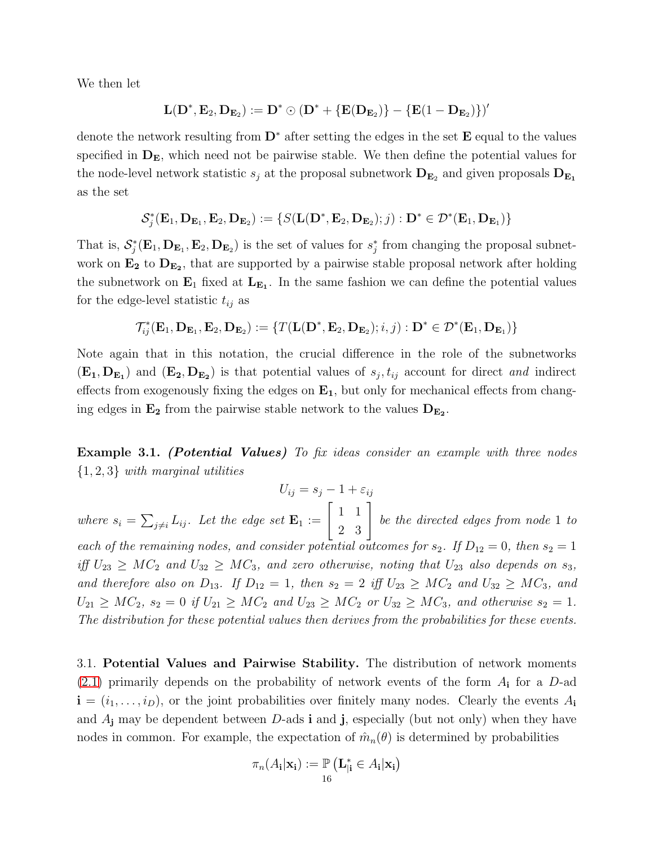We then let

$$
\mathbf{L}(\mathbf{D}^*,\mathbf{E}_2,\mathbf{D}_{\mathbf{E}_2}):=\mathbf{D}^*\odot(\mathbf{D}^*+\{\mathbf{E}(\mathbf{D}_{\mathbf{E}_2})\}-\{\mathbf{E}(1-\mathbf{D}_{\mathbf{E}_2})\})'
$$

denote the network resulting from  $\mathbf{D}^*$  after setting the edges in the set  $\mathbf{E}$  equal to the values specified in  $D<sub>E</sub>$ , which need not be pairwise stable. We then define the potential values for the node-level network statistic  $s_j$  at the proposal subnetwork  $D_{E_2}$  and given proposals  $D_{E_1}$ as the set

$$
\mathcal{S}_j^*(\mathbf{E}_1,\mathbf{D}_{\mathbf{E}_1},\mathbf{E}_2,\mathbf{D}_{\mathbf{E}_2}):=\{S(\mathbf{L}(\mathbf{D}^*,\mathbf{E}_2,\mathbf{D}_{\mathbf{E}_2});j):\mathbf{D}^*\in\mathcal{D}^*(\mathbf{E}_1,\mathbf{D}_{\mathbf{E}_1})\}
$$

That is,  $\mathcal{S}_j^*(\mathbf{E}_1, \mathbf{D}_{\mathbf{E}_1}, \mathbf{E}_2, \mathbf{D}_{\mathbf{E}_2})$  is the set of values for  $s_j^*$  from changing the proposal subnetwork on  $\mathbf{E_2}$  to  $\mathbf{D}_{\mathbf{E_2}}$ , that are supported by a pairwise stable proposal network after holding the subnetwork on  $\mathbf{E}_1$  fixed at  $\mathbf{L}_{\mathbf{E}_1}$ . In the same fashion we can define the potential values for the edge-level statistic  $t_{ij}$  as

$$
\mathcal{T}_{ij}^*(\mathbf{E}_1,\mathbf{D}_{\mathbf{E}_1},\mathbf{E}_2,\mathbf{D}_{\mathbf{E}_2}):=\{T(\mathbf{L}(\mathbf{D}^*,\mathbf{E}_2,\mathbf{D}_{\mathbf{E}_2});i,j):\mathbf{D}^*\in\mathcal{D}^*(\mathbf{E}_1,\mathbf{D}_{\mathbf{E}_1})\}
$$

Note again that in this notation, the crucial difference in the role of the subnetworks  $(E_1, D_{E_1})$  and  $(E_2, D_{E_2})$  is that potential values of  $s_j, t_{ij}$  account for direct *and* indirect effects from exogenously fixing the edges on  $E_1$ , but only for mechanical effects from changing edges in  $\mathbf{E_2}$  from the pairwise stable network to the values  $\mathbf{D}_{\mathbf{E_2}}$ .

**Example 3.1.** (Potential Values) To fix ideas consider an example with three nodes  $\{1, 2, 3\}$  with marginal utilities

 $U_{ij} = s_j - 1 + \varepsilon_{ij}$ 

where  $s_i = \sum_{j \neq i} L_{ij}$ . Let the edge set  $\mathbf{E}_1 := \begin{bmatrix} 1 & 1 \\ 2 & 3 \end{bmatrix}$ be the directed edges from node 1 to each of the remaining nodes, and consider potential outcomes for  $s_2$ . If  $D_{12} = 0$ , then  $s_2 = 1$ iff  $U_{23} \geq MC_2$  and  $U_{32} \geq MC_3$ , and zero otherwise, noting that  $U_{23}$  also depends on  $s_3$ , and therefore also on  $D_{13}$ . If  $D_{12} = 1$ , then  $s_2 = 2$  iff  $U_{23} \geq MC_2$  and  $U_{32} \geq MC_3$ , and  $U_{21} \geq MC_2$ ,  $s_2 = 0$  if  $U_{21} \geq MC_2$  and  $U_{23} \geq MC_2$  or  $U_{32} \geq MC_3$ , and otherwise  $s_2 = 1$ . The distribution for these potential values then derives from the probabilities for these events.

3.1. Potential Values and Pairwise Stability. The distribution of network moments  $(2.1)$  primarily depends on the probability of network events of the form  $A_i$  for a D-ad  $\mathbf{i} = (i_1, \ldots, i_D)$ , or the joint probabilities over finitely many nodes. Clearly the events  $A_i$ and  $A_j$  may be dependent between D-ads **i** and **j**, especially (but not only) when they have nodes in common. For example, the expectation of  $\hat{m}_n(\theta)$  is determined by probabilities

$$
\pi_n(A_i|\mathbf{x_i}) := \mathbb{P}\left(\mathbf{L}_{|i}^* \in A_i|\mathbf{x_i}\right)
$$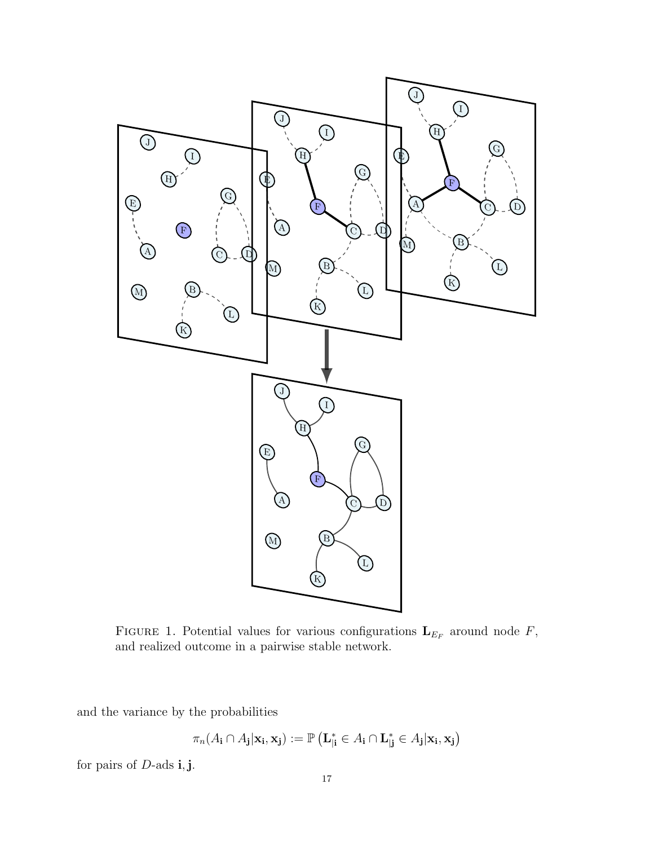

FIGURE 1. Potential values for various configurations  $\mathbf{L}_{E_F}$  around node F, and realized outcome in a pairwise stable network.

and the variance by the probabilities

$$
\pi_n(A_{\mathbf{i}}\cap A_{\mathbf{j}}|\mathbf{x_i},\mathbf{x_j}):=\mathbb{P}\left(\mathbf{L}^{*}_{|\mathbf{i}}\in A_{\mathbf{i}}\cap \mathbf{L}^{*}_{|\mathbf{j}}\in A_{\mathbf{j}}|\mathbf{x_i},\mathbf{x_j}\right)
$$

for pairs of  $D$ -ads i, j.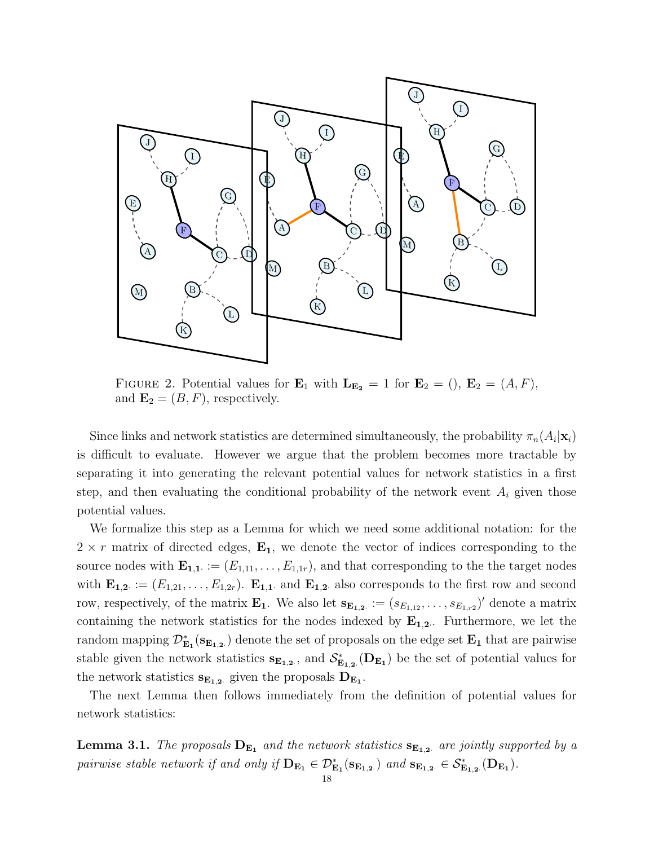

FIGURE 2. Potential values for  $\mathbf{E}_1$  with  $\mathbf{L}_{\mathbf{E}_2} = 1$  for  $\mathbf{E}_2 = (0, \mathbf{E}_2 = (A, F),$ and  $\mathbf{E}_2 = (B, F)$ , respectively.

Since links and network statistics are determined simultaneously, the probability  $\pi_n(A_i|\mathbf{x}_i)$ is difficult to evaluate. However we argue that the problem becomes more tractable by separating it into generating the relevant potential values for network statistics in a first step, and then evaluating the conditional probability of the network event  $A_i$  given those potential values.

We formalize this step as a Lemma for which we need some additional notation: for the  $2 \times r$  matrix of directed edges,  $\mathbf{E}_1$ , we denote the vector of indices corresponding to the source nodes with  $\mathbf{E}_{1,1} := (E_{1,11}, \ldots, E_{1,1r})$ , and that corresponding to the the target nodes with  $\mathbf{E}_{1,2} := (E_{1,21}, \ldots, E_{1,2r})$ .  $\mathbf{E}_{1,1}$  and  $\mathbf{E}_{1,2}$  also corresponds to the first row and second row, respectively, of the matrix  $\mathbf{E_1}$ . We also let  $\mathbf{s}_{\mathbf{E}_{1,2}} := (s_{E_{1,12}}, \ldots, s_{E_{1,r2}})'$  denote a matrix containing the network statistics for the nodes indexed by  $\mathbf{E_{1,2}}$ . Furthermore, we let the random mapping  $\mathcal{D}^*_{\mathbf{E_1}}(\mathbf{s_{E_{1,2}}})$  denote the set of proposals on the edge set  $\mathbf{E_1}$  that are pairwise stable given the network statistics  $s_{E_{1,2}}$ , and  $S_{E_{1,2}}^*(D_{E_1})$  be the set of potential values for the network statistics  $s_{\mathbf{E}_{1,2}}$  given the proposals  $D_{\mathbf{E}_1}$ .

The next Lemma then follows immediately from the definition of potential values for network statistics:

<span id="page-17-0"></span>**Lemma 3.1.** The proposals  $D_{E_1}$  and the network statistics  $S_{E_{1,2}}$  are jointly supported by a pairwise stable network if and only if  $D_{E_1} \in \mathcal{D}_{E_1}^*(s_{E_{1,2}})$  and  $s_{E_{1,2}} \in \mathcal{S}_{E_{1,2}}^*(D_{E_1})$ .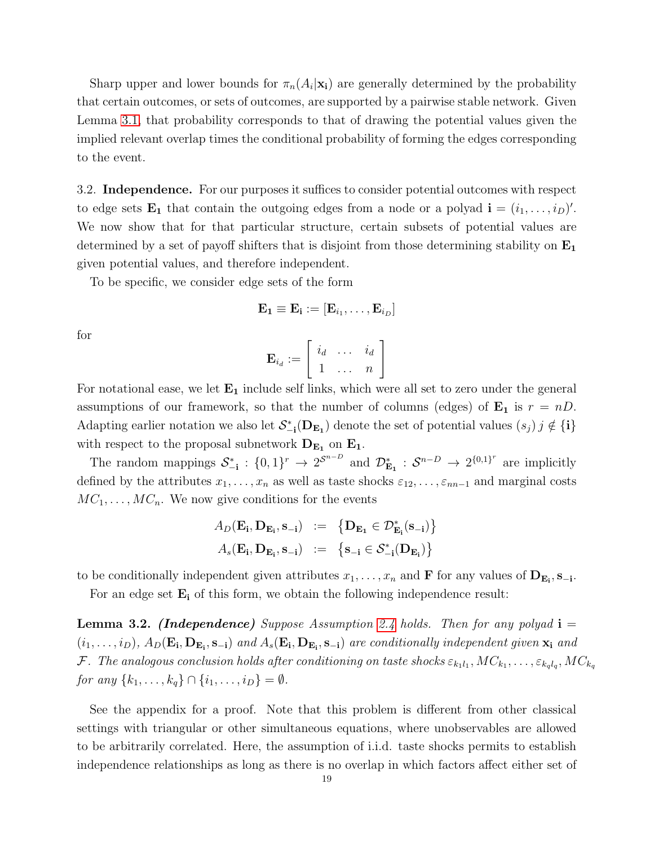Sharp upper and lower bounds for  $\pi_n(A_i|\mathbf{x_i})$  are generally determined by the probability that certain outcomes, or sets of outcomes, are supported by a pairwise stable network. Given Lemma [3.1,](#page-17-0) that probability corresponds to that of drawing the potential values given the implied relevant overlap times the conditional probability of forming the edges corresponding to the event.

3.2. Independence. For our purposes it suffices to consider potential outcomes with respect to edge sets  $\mathbf{E_1}$  that contain the outgoing edges from a node or a polyad  $\mathbf{i} = (i_1, \ldots, i_D)'$ . We now show that for that particular structure, certain subsets of potential values are determined by a set of payoff shifters that is disjoint from those determining stability on  $E_1$ given potential values, and therefore independent.

To be specific, we consider edge sets of the form

$$
\mathbf{E_1} \equiv \mathbf{E_i} := [\mathbf{E}_{i_1}, \dots, \mathbf{E}_{i_D}]
$$

for

$$
\mathbf{E}_{i_d} := \left[ \begin{array}{ccc} i_d & \dots & i_d \\ 1 & \dots & n \end{array} \right]
$$

For notational ease, we let  $E_1$  include self links, which were all set to zero under the general assumptions of our framework, so that the number of columns (edges) of  $\mathbf{E}_1$  is  $r = nD$ . Adapting earlier notation we also let  $S_{-i}^*(D_{E_1})$  denote the set of potential values  $(s_j)$   $j \notin \{i\}$ with respect to the proposal subnetwork  $\mathbf{D_{E_1}}$  on  $\mathbf{E_1}.$ 

The random mappings  $S_{-i}^* : \{0,1\}^r \to 2^{S^{n-D}}$  and  $\mathcal{D}_{\mathbf{E}_1}^* : S^{n-D} \to 2^{\{0,1\}^r}$  are implicitly defined by the attributes  $x_1, \ldots, x_n$  as well as taste shocks  $\varepsilon_{12}, \ldots, \varepsilon_{nn-1}$  and marginal costs  $MC_1, \ldots, MC_n$ . We now give conditions for the events

$$
A_D(\mathbf{E_i}, \mathbf{D_{E_i}}, \mathbf{s_{-i}}) := \{ \mathbf{D_{E_1}} \in \mathcal{D}_{E_i}^*(\mathbf{s_{-i}}) \}
$$
  

$$
A_s(\mathbf{E_i}, \mathbf{D_{E_i}}, \mathbf{s_{-i}}) := \{ \mathbf{s_{-i}} \in \mathcal{S}_{-i}^*(\mathbf{D_{E_i}}) \}
$$

to be conditionally independent given attributes  $x_1, \ldots, x_n$  and **F** for any values of  $D_{E_i}, s_{-i}$ .

For an edge set  $E_i$  of this form, we obtain the following independence result:

<span id="page-18-0"></span>**Lemma 3.2.** (Independence) Suppose Assumption [2.4](#page-11-0) holds. Then for any polyad  $i =$  $(i_1,\ldots,i_D)$ ,  $A_D(\mathbf{E_i},\mathbf{D_{E_i}},\mathbf{s_{-i}})$  and  $A_s(\mathbf{E_i},\mathbf{D_{E_i}},\mathbf{s_{-i}})$  are conditionally independent given  $\mathbf{x_i}$  and  ${\cal F}.$  The analogous conclusion holds after conditioning on taste shocks  $\varepsilon_{k_1l_1},MC_{k_1},\ldots,\varepsilon_{k_ql_q},MC_{k_q}$ for any  $\{k_1, ..., k_q\} \cap \{i_1, ..., i_D\} = \emptyset$ .

See the appendix for a proof. Note that this problem is different from other classical settings with triangular or other simultaneous equations, where unobservables are allowed to be arbitrarily correlated. Here, the assumption of i.i.d. taste shocks permits to establish independence relationships as long as there is no overlap in which factors affect either set of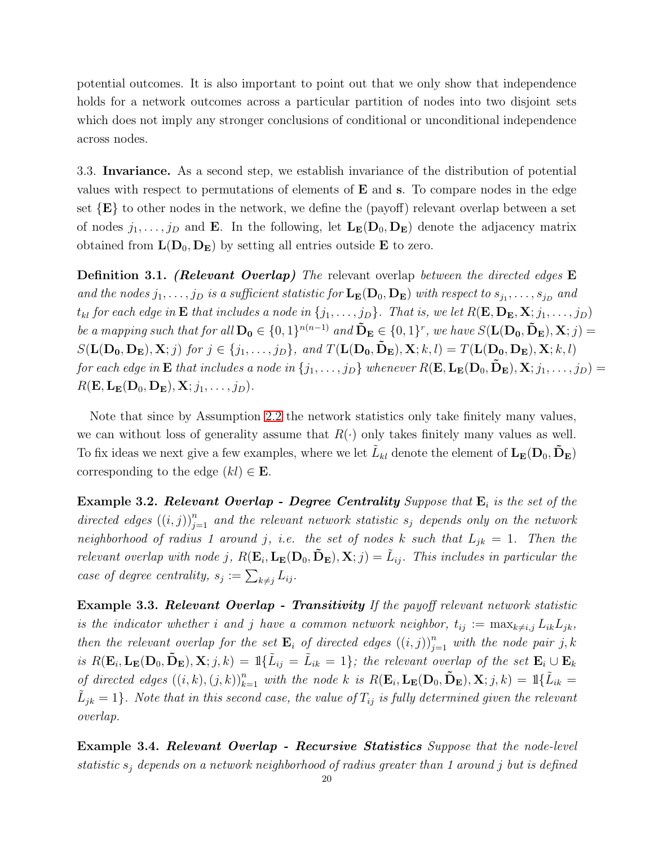potential outcomes. It is also important to point out that we only show that independence holds for a network outcomes across a particular partition of nodes into two disjoint sets which does not imply any stronger conclusions of conditional or unconditional independence across nodes.

3.3. Invariance. As a second step, we establish invariance of the distribution of potential values with respect to permutations of elements of  $E$  and  $s$ . To compare nodes in the edge set  $\{E\}$  to other nodes in the network, we define the (payoff) relevant overlap between a set of nodes  $j_1, \ldots, j_D$  and **E**. In the following, let  $\mathbf{L}_{\mathbf{E}}(\mathbf{D}_0, \mathbf{D}_{\mathbf{E}})$  denote the adjacency matrix obtained from  $\mathbf{L}(\mathbf{D}_0, \mathbf{D}_{\mathbf{E}})$  by setting all entries outside **E** to zero.

**Definition 3.1.** (Relevant Overlap) The relevant overlap between the directed edges E and the nodes  $j_1, \ldots, j_D$  is a sufficient statistic for  $\mathbf{L}_{\mathbf{E}}(\mathbf{D}_0, \mathbf{D}_{\mathbf{E}})$  with respect to  $s_{j_1}, \ldots, s_{j_D}$  and  $t_{kl}$  for each edge in **E** that includes a node in  $\{j_1, \ldots, j_D\}$ . That is, we let  $R(\mathbf{E}, \mathbf{D_E}, \mathbf{X}; j_1, \ldots, j_D)$ be a mapping such that for all  $D_0 \in \{0,1\}^{n(n-1)}$  and  $\tilde{D}_E \in \{0,1\}^r$ , we have  $S(\mathbf{L}(D_0, \tilde{D}_E), \mathbf{X}; j) =$  $S(\mathbf{L}(\mathbf{D_0}, \mathbf{D_E}), \mathbf{X}; j)$  for  $j \in \{j_1, \ldots, j_D\}$ , and  $T(\mathbf{L}(\mathbf{D_0}, \tilde{\mathbf{D_E}}), \mathbf{X}; k, l) = T(\mathbf{L}(\mathbf{D_0}, \mathbf{D_E}), \mathbf{X}; k, l)$ for each edge in **E** that includes a node in  $\{j_1, \ldots, j_D\}$  whenever  $R(\mathbf{E}, \mathbf{L}_{\mathbf{E}}(\mathbf{D}_0, \mathbf{D}_{\mathbf{E}}), \mathbf{X}; j_1, \ldots, j_D) =$  $R(\mathbf{E}, \mathbf{L}_{\mathbf{E}}(\mathbf{D}_0, \mathbf{D}_{\mathbf{E}}), \mathbf{X}; j_1, \ldots, j_D).$ 

Note that since by Assumption [2.2](#page-10-0) the network statistics only take finitely many values, we can without loss of generality assume that  $R(\cdot)$  only takes finitely many values as well. To fix ideas we next give a few examples, where we let  $\tilde{L}_{kl}$  denote the element of  $\mathbf{L}_{\mathbf{E}}(\mathbf{D}_0, \mathbf{\tilde{D}_E})$ corresponding to the edge  $(kl) \in \mathbf{E}$ .

**Example 3.2. Relevant Overlap - Degree Centrality** Suppose that  $\mathbf{E}_i$  is the set of the directed edges  $((i, j))_{j=1}^n$  and the relevant network statistic  $s_j$  depends only on the network neighborhood of radius 1 around j, i.e. the set of nodes k such that  $L_{jk} = 1$ . Then the relevant overlap with node j,  $R(\mathbf{E}_i, \mathbf{L}_{\mathbf{E}}(\mathbf{D}_0, \tilde{\mathbf{D}}_{\mathbf{E}}), \mathbf{X}; j) = \tilde{L}_{ij}$ . This includes in particular the case of degree centrality,  $s_j := \sum_{k \neq j} L_{ij}$ .

**Example 3.3. Relevant Overlap - Transitivity** If the payoff relevant network statistic is the indicator whether i and j have a common network neighbor,  $t_{ij} := \max_{k \neq i,j} L_{ik}L_{jk}$ , then the relevant overlap for the set  $\mathbf{E}_i$  of directed edges  $((i, j))_{j=1}^n$  with the node pair j, k is  $R(\mathbf{E}_i, \mathbf{L}_{\mathbf{E}}(\mathbf{D}_0, \tilde{\mathbf{D}}_{\mathbf{E}}), \mathbf{X}; j, k) = \mathbb{1}\{\tilde{L}_{ij} = \tilde{L}_{ik} = 1\}$ ; the relevant overlap of the set  $\mathbf{E}_i \cup \mathbf{E}_k$ of directed edges  $((i, k), (j, k))_{k=1}^n$  with the node k is  $R(\mathbf{E}_i, \mathbf{L}_{\mathbf{E}}(\mathbf{D}_0, \tilde{\mathbf{D}}_{\mathbf{E}}), \mathbf{X}; j, k) = \mathbb{1}\{\tilde{L}_{ik} =$  $\tilde{L}_{jk} = 1$ . Note that in this second case, the value of  $T_{ij}$  is fully determined given the relevant overlap.

Example 3.4. Relevant Overlap - Recursive Statistics Suppose that the node-level statistic  $s_i$  depends on a network neighborhood of radius greater than 1 around j but is defined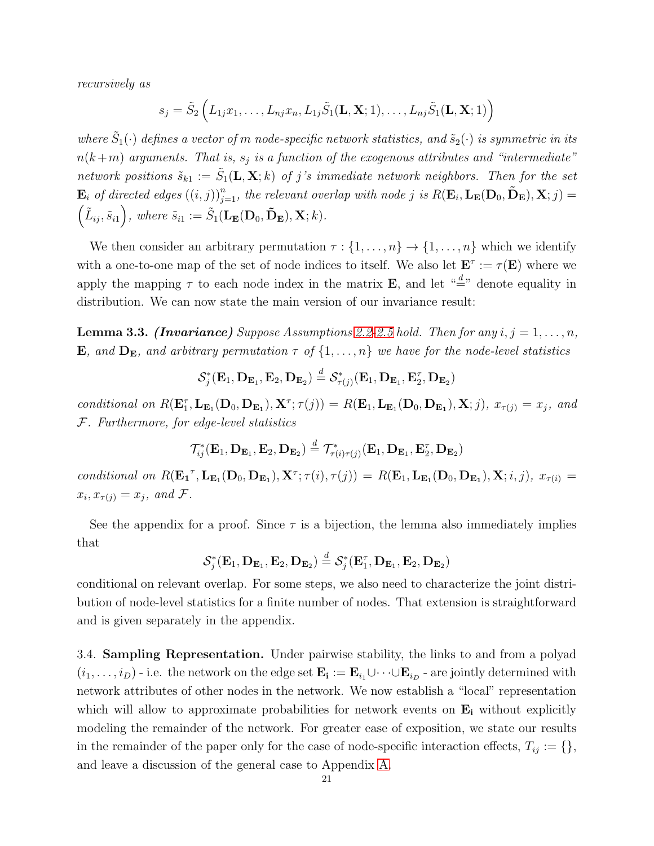recursively as

$$
s_j = \tilde{S}_2\left(L_{1j}x_1,\ldots,L_{nj}x_n,L_{1j}\tilde{S}_1(\mathbf{L},\mathbf{X};1),\ldots,L_{nj}\tilde{S}_1(\mathbf{L},\mathbf{X};1)\right)
$$

where  $\tilde{S}_1(\cdot)$  defines a vector of m node-specific network statistics, and  $\tilde{s}_2(\cdot)$  is symmetric in its  $n(k+m)$  arguments. That is,  $s_j$  is a function of the exogenous attributes and "intermediate" network positions  $\tilde{s}_{k1} := \tilde{S}_1(\mathbf{L}, \mathbf{X}; k)$  of j's immediate network neighbors. Then for the set  $\mathbf{E}_i$  of directed edges  $((i, j))_{j=1}^n$ , the relevant overlap with node j is  $R(\mathbf{E}_i, \mathbf{L}_{\mathbf{E}}(\mathbf{D}_0, \mathbf{\tilde{D}}_{\mathbf{E}}), \mathbf{X}; j) =$  $(\tilde{L}_{ij}, \tilde{s}_{i1}),$  where  $\tilde{s}_{i1} := \tilde{S}_1(\mathbf{L}_{\mathbf{E}}(\mathbf{D}_0, \tilde{\mathbf{D}}_{\mathbf{E}}), \mathbf{X}; k).$ 

We then consider an arbitrary permutation  $\tau : \{1, \ldots, n\} \to \{1, \ldots, n\}$  which we identify with a one-to-one map of the set of node indices to itself. We also let  $\mathbf{E}^{\tau} := \tau(\mathbf{E})$  where we apply the mapping  $\tau$  to each node index in the matrix **E**, and let  $\alpha \stackrel{d}{=}$ " denote equality in distribution. We can now state the main version of our invariance result:

<span id="page-20-1"></span>**Lemma 3.3. (Invariance)** Suppose Assumptions [2.2](#page-10-0)[-2.5](#page-11-1) hold. Then for any  $i, j = 1, \ldots, n$ , **E**, and  $D_E$ , and arbitrary permutation  $\tau$  of  $\{1, \ldots, n\}$  we have for the node-level statistics

$$
\mathcal{S}_j^*(\mathbf{E}_1, \mathbf{D}_{\mathbf{E}_1}, \mathbf{E}_2, \mathbf{D}_{\mathbf{E}_2}) \stackrel{d}{=} \mathcal{S}_{\tau(j)}^*(\mathbf{E}_1, \mathbf{D}_{\mathbf{E}_1}, \mathbf{E}_2^{\tau}, \mathbf{D}_{\mathbf{E}_2})
$$

conditional on  $R(\mathbf{E}_1^{\tau}, \mathbf{L}_{\mathbf{E}_1}(\mathbf{D}_0, \mathbf{D}_{\mathbf{E}_1}), \mathbf{X}^{\tau}; \tau(j)) = R(\mathbf{E}_1, \mathbf{L}_{\mathbf{E}_1}(\mathbf{D}_0, \mathbf{D}_{\mathbf{E}_1}), \mathbf{X}; j), x_{\tau(j)} = x_j$ , and F. Furthermore, for edge-level statistics

$$
\mathcal{T}_{ij}^*(\mathbf{E}_1, \mathbf{D}_{\mathbf{E}_1}, \mathbf{E}_2, \mathbf{D}_{\mathbf{E}_2}) \stackrel{d}{=} \mathcal{T}_{\tau(i)\tau(j)}^*(\mathbf{E}_1, \mathbf{D}_{\mathbf{E}_1}, \mathbf{E}_2^{\tau}, \mathbf{D}_{\mathbf{E}_2})
$$

conditional on  $R(\mathbf{E_1}^{\tau}, \mathbf{L_{E_1}}(\mathbf{D}_0, \mathbf{D_{E_1}}), \mathbf{X}^{\tau}; \tau(i), \tau(j)) = R(\mathbf{E}_1, \mathbf{L_{E_1}}(\mathbf{D}_0, \mathbf{D_{E_1}}), \mathbf{X}; i, j), x_{\tau(i)} =$  $x_i, x_{\tau(j)} = x_j$ , and  $\mathcal{F}$ .

See the appendix for a proof. Since  $\tau$  is a bijection, the lemma also immediately implies that

$$
\mathcal{S}^*_j(\mathbf{E}_1, \mathbf{D}_{\mathbf{E}_1}, \mathbf{E}_2, \mathbf{D}_{\mathbf{E}_2}) \overset{d}{=} \mathcal{S}^*_j(\mathbf{E}^{\tau}_1, \mathbf{D}_{\mathbf{E}_1}, \mathbf{E}_2, \mathbf{D}_{\mathbf{E}_2})
$$

conditional on relevant overlap. For some steps, we also need to characterize the joint distribution of node-level statistics for a finite number of nodes. That extension is straightforward and is given separately in the appendix.

<span id="page-20-0"></span>3.4. Sampling Representation. Under pairwise stability, the links to and from a polyad  $(i_1, \ldots, i_D)$  - i.e. the network on the edge set  $\mathbf{E_i} := \mathbf{E}_{i_1} \cup \cdots \cup \mathbf{E}_{i_D}$  - are jointly determined with network attributes of other nodes in the network. We now establish a "local" representation which will allow to approximate probabilities for network events on  $\mathbf{E}_i$  without explicitly modeling the remainder of the network. For greater ease of exposition, we state our results in the remainder of the paper only for the case of node-specific interaction effects,  $T_{ij} := \{\},\$ and leave a discussion of the general case to Appendix [A.](#page-39-2)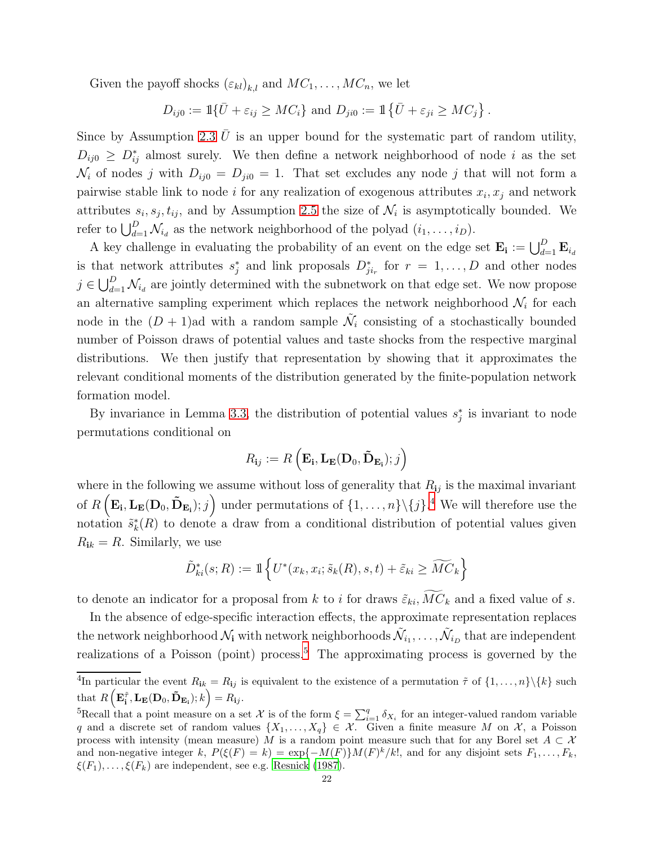Given the payoff shocks  $(\varepsilon_{kl})_{k,l}$  and  $MC_1, \ldots, MC_n$ , we let

$$
D_{ij0} := \mathbb{1}\{\bar{U} + \varepsilon_{ij} \geq MC_i\} \text{ and } D_{ji0} := \mathbb{1}\{\bar{U} + \varepsilon_{ji} \geq MC_j\}.
$$

Since by Assumption [2.3](#page-10-1)  $U$  is an upper bound for the systematic part of random utility,  $D_{ij0} \geq D_{ij}^*$  almost surely. We then define a network neighborhood of node i as the set  $\mathcal{N}_i$  of nodes j with  $D_{ij0} = D_{ji0} = 1$ . That set excludes any node j that will not form a pairwise stable link to node i for any realization of exogenous attributes  $x_i, x_j$  and network attributes  $s_i, s_j, t_{ij}$ , and by Assumption [2.5](#page-11-1) the size of  $\mathcal{N}_i$  is asymptotically bounded. We refer to  $\bigcup_{d=1}^D \mathcal{N}_{i_d}$  as the network neighborhood of the polyad  $(i_1, \ldots, i_D)$ .

A key challenge in evaluating the probability of an event on the edge set  $\mathbf{E_i} := \bigcup_{d=1}^D \mathbf{E}_{i_d}$ is that network attributes  $s_j^*$  and link proposals  $D_{ji_r}^*$  for  $r = 1, \ldots, D$  and other nodes  $j \in \bigcup_{d=1}^D \mathcal{N}_{i_d}$  are jointly determined with the subnetwork on that edge set. We now propose an alternative sampling experiment which replaces the network neighborhood  $\mathcal{N}_i$  for each node in the  $(D+1)$  ad with a random sample  $\tilde{\mathcal{N}}_i$  consisting of a stochastically bounded number of Poisson draws of potential values and taste shocks from the respective marginal distributions. We then justify that representation by showing that it approximates the relevant conditional moments of the distribution generated by the finite-population network formation model.

By invariance in Lemma [3.3,](#page-20-1) the distribution of potential values  $s_j^*$  is invariant to node permutations conditional on

$$
R_{\mathbf{i}j} := R\left(\mathbf{E}_{\mathbf{i}}, \mathbf{L}_{\mathbf{E}}(\mathbf{D}_0, \mathbf{\tilde{D}}_{\mathbf{E}_\mathbf{i}}); j\right)
$$

where in the following we assume without loss of generality that  $R_{ij}$  is the maximal invariant of  $R\left(\mathbf{E_i}, \mathbf{L_E}(\mathbf{D_0}, \mathbf{\tilde{D}_{E_i}}); j\right)$  under permutations of  $\{1, \ldots, n\} \setminus \{j\}$ .<sup>[4](#page-21-0)</sup> We will therefore use the notation  $\tilde{s}_k^*(R)$  to denote a draw from a conditional distribution of potential values given  $R_{ik} = R$ . Similarly, we use

$$
\tilde{D}_{ki}^*(s;R) := \mathbbm{1}\left\{ U^*(x_k,x_i;\tilde{s}_k(R),s,t) + \tilde{\varepsilon}_{ki} \geq \widetilde{MC}_k \right\}
$$

to denote an indicator for a proposal from k to i for draws  $\tilde{\varepsilon}_{ki}$ ,  $MC_k$  and a fixed value of s.

In the absence of edge-specific interaction effects, the approximate representation replaces the network neighborhood  $\mathcal{N}_i$  with network neighborhoods  $\tilde{\mathcal{N}}_{i_1},\ldots,\tilde{\mathcal{N}}_{i_D}$  that are independent realizations of a Poisson (point) process.<sup>[5](#page-21-1)</sup> The approximating process is governed by the

<span id="page-21-0"></span><sup>&</sup>lt;sup>4</sup>In particular the event  $R_{ik} = R_{ij}$  is equivalent to the existence of a permutation  $\tilde{\tau}$  of  $\{1, \ldots, n\} \setminus \{k\}$  such that  $R\left(\mathbf{E}_{\mathbf{i}}^{\tilde{\tau}}, \mathbf{L}_{\mathbf{E}}(\mathbf{D}_0, \mathbf{\tilde{D}}_{\mathbf{E_i}}); k\right) = R_{\mathbf{i}j}.$ 

<span id="page-21-1"></span><sup>&</sup>lt;sup>5</sup>Recall that a point measure on a set X is of the form  $\xi = \sum_{i=1}^{q} \delta_{X_i}$  for an integer-valued random variable q and a discrete set of random values  $\{X_1, \ldots, X_q\} \in \mathcal{X}$ . Given a finite measure M on X, a Poisson process with intensity (mean measure) M is a random point measure such that for any Borel set  $A \subset \mathcal{X}$ and non-negative integer k,  $P(\xi(F) = k) = \exp\{-M(F)\}M(F)^k/k!$ , and for any disjoint sets  $F_1, \ldots, F_k$ ,  $\xi(F_1), \ldots, \xi(F_k)$  are independent, see e.g. [Resnick \(1987\)](#page-38-12).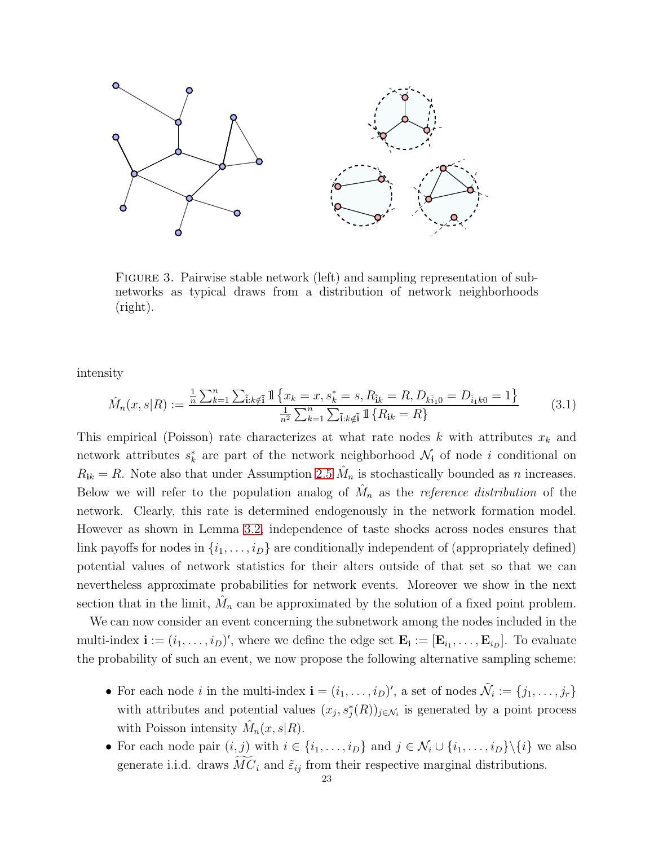

FIGURE 3. Pairwise stable network (left) and sampling representation of subnetworks as typical draws from a distribution of network neighborhoods (right).

intensity

<span id="page-22-0"></span>
$$
\hat{M}_n(x,s|R) := \frac{\frac{1}{n}\sum_{k=1}^n\sum_{\tilde{i}:k\notin \tilde{i}}\mathbb{1}\left\{x_k = x, s_k^* = s, R_{\tilde{i}k} = R, D_{k\tilde{i}10} = D_{\tilde{i}1k0} = 1\right\}}{\frac{1}{n^2}\sum_{k=1}^n\sum_{\tilde{i}:k\notin \tilde{i}}\mathbb{1}\left\{R_{ik} = R\right\}}
$$
\n(3.1)

This empirical (Poisson) rate characterizes at what rate nodes k with attributes  $x_k$  and network attributes  $s_k^*$  are part of the network neighborhood  $\mathcal{N}_i$  of node i conditional on  $R_{ik} = R$ . Note also that under Assumption [2.5](#page-11-1)  $\hat{M}_n$  is stochastically bounded as n increases. Below we will refer to the population analog of  $\hat{M}_n$  as the *reference distribution* of the network. Clearly, this rate is determined endogenously in the network formation model. However as shown in Lemma [3.2,](#page-18-0) independence of taste shocks across nodes ensures that link payoffs for nodes in  $\{i_1, \ldots, i_D\}$  are conditionally independent of (appropriately defined) potential values of network statistics for their alters outside of that set so that we can nevertheless approximate probabilities for network events. Moreover we show in the next section that in the limit,  $\hat{M}_n$  can be approximated by the solution of a fixed point problem.

We can now consider an event concerning the subnetwork among the nodes included in the multi-index  $\mathbf{i} := (i_1, \ldots, i_D)'$ , where we define the edge set  $\mathbf{E_i} := [\mathbf{E}_{i_1}, \ldots, \mathbf{E}_{i_D}]$ . To evaluate the probability of such an event, we now propose the following alternative sampling scheme:

- For each node *i* in the multi-index  $\mathbf{i} = (i_1, \ldots, i_D)'$ , a set of nodes  $\tilde{\mathcal{N}}_i := \{j_1, \ldots, j_r\}$ with attributes and potential values  $(x_j, s_j^*(R))_{j \in \mathcal{N}_i}$  is generated by a point process with Poisson intensity  $\hat{M}_n(x, s | R)$ .
- For each node pair  $(i, j)$  with  $i \in \{i_1, \ldots, i_D\}$  and  $j \in \mathcal{N}_i \cup \{i_1, \ldots, i_D\} \setminus \{i\}$  we also generate i.i.d. draws  $MC_i$  and  $\tilde{\varepsilon}_{ij}$  from their respective marginal distributions.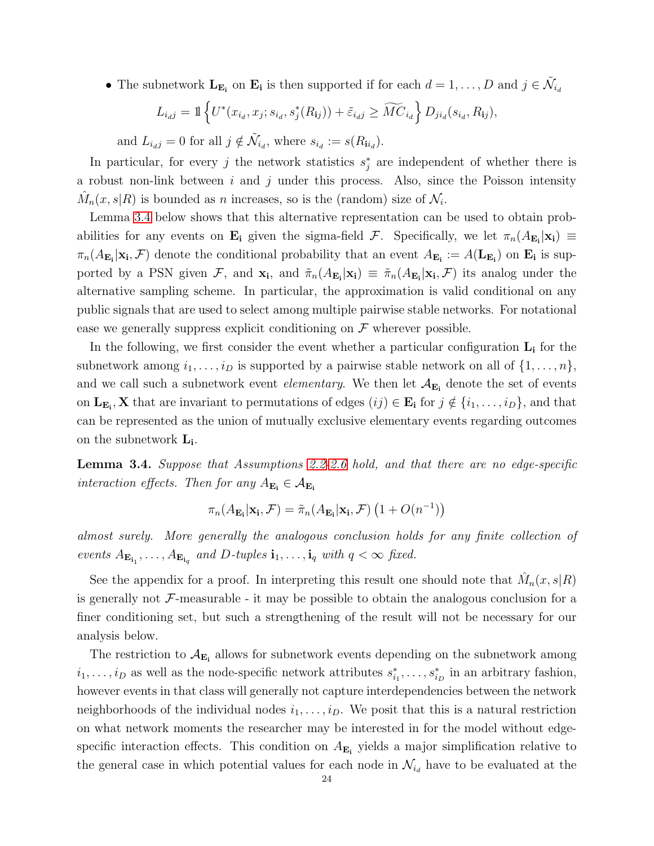• The subnetwork  $\mathbf{L}_{\mathbf{E_i}}$  on  $\mathbf{E_i}$  is then supported if for each  $d = 1, \ldots, D$  and  $j \in \tilde{\mathcal{N}}_{i_d}$ 

$$
L_{i,j} = \mathbb{1}\left\{ U^*(x_{i_d}, x_j; s_{i_d}, s_j^*(R_{ij})) + \tilde{\varepsilon}_{i_d} \geq \widetilde{MC}_{i_d} \right\} D_{j i_d}(s_{i_d}, R_{ij}),
$$

and  $L_{i_dj} = 0$  for all  $j \notin \tilde{\mathcal{N}}_{i_d}$ , where  $s_{i_d} := s(R_{ii_d})$ .

In particular, for every j the network statistics  $s_j^*$  are independent of whether there is a robust non-link between i and j under this process. Also, since the Poisson intensity  $\hat{M}_n(x, s | R)$  is bounded as *n* increases, so is the (random) size of  $\mathcal{N}_i$ .

Lemma [3.4](#page-23-0) below shows that this alternative representation can be used to obtain probabilities for any events on  $\mathbf{E}_i$  given the sigma-field  $\mathcal{F}$ . Specifically, we let  $\pi_n(A_{\mathbf{E}_i}|\mathbf{x}_i) \equiv$  $\pi_n(A_{\mathbf{E_i}}|\mathbf{x_i}, \mathcal{F})$  denote the conditional probability that an event  $A_{\mathbf{E_i}} := A(\mathbf{L}_{\mathbf{E_i}})$  on  $\mathbf{E_i}$  is supported by a PSN given F, and  $\pi_n(A_{\mathbf{E_i}}|\mathbf{x_i}) \equiv \tilde{\pi}_n(A_{\mathbf{E_i}}|\mathbf{x_i}, \mathcal{F})$  its analog under the alternative sampling scheme. In particular, the approximation is valid conditional on any public signals that are used to select among multiple pairwise stable networks. For notational ease we generally suppress explicit conditioning on  $\mathcal F$  wherever possible.

In the following, we first consider the event whether a particular configuration  $\mathbf{L}_{i}$  for the subnetwork among  $i_1, \ldots, i_D$  is supported by a pairwise stable network on all of  $\{1, \ldots, n\}$ , and we call such a subnetwork event *elementary*. We then let  $A_{\mathbf{E_i}}$  denote the set of events on  $\mathbf{L}_{\mathbf{E_i}}$ , **X** that are invariant to permutations of edges  $(ij) \in \mathbf{E_i}$  for  $j \notin \{i_1, \ldots, i_D\}$ , and that can be represented as the union of mutually exclusive elementary events regarding outcomes on the subnetwork  $L_i$ .

<span id="page-23-0"></span>Lemma 3.4. Suppose that Assumptions [2.2-](#page-10-0)[2.6](#page-12-1) hold, and that there are no edge-specific interaction effects. Then for any  $A_{\mathbf{E_i}} \in \mathcal{A}_{\mathbf{E_i}}$ 

$$
\pi_n(A_{\mathbf{E_i}}|\mathbf{x_i}, \mathcal{F}) = \tilde{\pi}_n(A_{\mathbf{E_i}}|\mathbf{x_i}, \mathcal{F})\left(1 + O(n^{-1})\right)
$$

almost surely. More generally the analogous conclusion holds for any finite collection of events  $A_{\mathbf{E}_{\mathbf{i}_1}}, \ldots, A_{\mathbf{E}_{\mathbf{i}_q}}$  and D-tuples  $\mathbf{i}_1, \ldots, \mathbf{i}_q$  with  $q < \infty$  fixed.

See the appendix for a proof. In interpreting this result one should note that  $\hat{M}_n(x, s | R)$ is generally not  $\mathcal F$ -measurable - it may be possible to obtain the analogous conclusion for a finer conditioning set, but such a strengthening of the result will not be necessary for our analysis below.

The restriction to  $A_{\mathbf{E_i}}$  allows for subnetwork events depending on the subnetwork among  $i_1, \ldots, i_D$  as well as the node-specific network attributes  $s_{i_1}^*, \ldots, s_{i_D}^*$  in an arbitrary fashion, however events in that class will generally not capture interdependencies between the network neighborhoods of the individual nodes  $i_1, \ldots, i_D$ . We posit that this is a natural restriction on what network moments the researcher may be interested in for the model without edgespecific interaction effects. This condition on  $A_{\mathbf{E_i}}$  yields a major simplification relative to the general case in which potential values for each node in  $\mathcal{N}_{i_d}$  have to be evaluated at the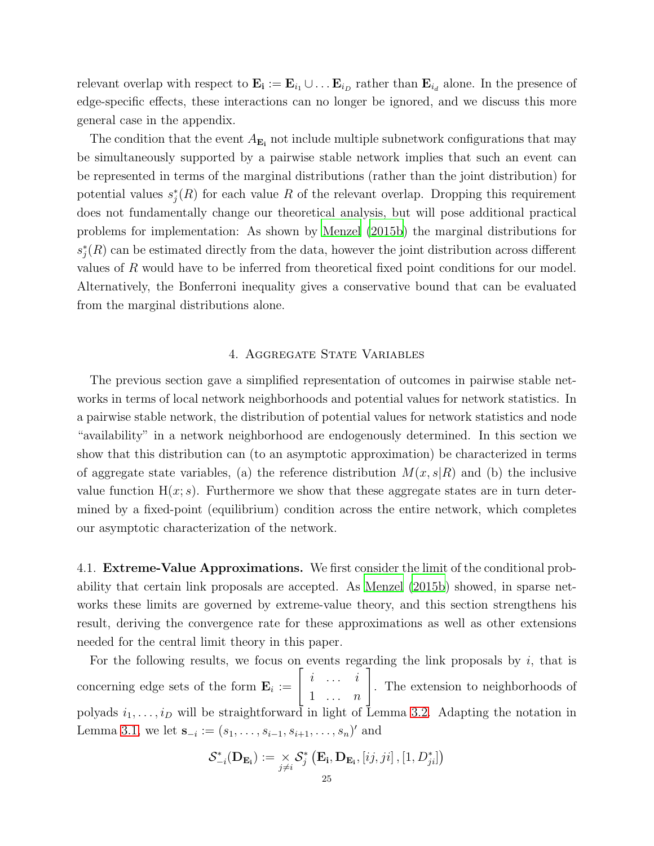relevant overlap with respect to  $\mathbf{E_i} := \mathbf{E}_{i_1} \cup \dots \mathbf{E}_{i_D}$  rather than  $\mathbf{E}_{i_d}$  alone. In the presence of edge-specific effects, these interactions can no longer be ignored, and we discuss this more general case in the appendix.

The condition that the event  $A_{\mathbf{E}_i}$  not include multiple subnetwork configurations that may be simultaneously supported by a pairwise stable network implies that such an event can be represented in terms of the marginal distributions (rather than the joint distribution) for potential values  $s_j^*(R)$  for each value R of the relevant overlap. Dropping this requirement does not fundamentally change our theoretical analysis, but will pose additional practical problems for implementation: As shown by [Menzel \(2015b](#page-38-0)) the marginal distributions for  $s_j^*(R)$  can be estimated directly from the data, however the joint distribution across different values of R would have to be inferred from theoretical fixed point conditions for our model. Alternatively, the Bonferroni inequality gives a conservative bound that can be evaluated from the marginal distributions alone.

## 4. Aggregate State Variables

<span id="page-24-0"></span>The previous section gave a simplified representation of outcomes in pairwise stable networks in terms of local network neighborhoods and potential values for network statistics. In a pairwise stable network, the distribution of potential values for network statistics and node "availability" in a network neighborhood are endogenously determined. In this section we show that this distribution can (to an asymptotic approximation) be characterized in terms of aggregate state variables, (a) the reference distribution  $M(x, s|R)$  and (b) the inclusive value function  $H(x; s)$ . Furthermore we show that these aggregate states are in turn determined by a fixed-point (equilibrium) condition across the entire network, which completes our asymptotic characterization of the network.

4.1. Extreme-Value Approximations. We first consider the limit of the conditional probability that certain link proposals are accepted. As [Menzel \(2015b\)](#page-38-0) showed, in sparse networks these limits are governed by extreme-value theory, and this section strengthens his result, deriving the convergence rate for these approximations as well as other extensions needed for the central limit theory in this paper.

For the following results, we focus on events regarding the link proposals by  $i$ , that is concerning edge sets of the form  $\mathbf{E}_i := \begin{bmatrix} i & \cdots & i \\ 1 & \cdots & n \end{bmatrix}$ . The extension to neighborhoods of polyads  $i_1, \ldots, i_D$  will be straightforward in light of Lemma [3.2.](#page-18-0) Adapting the notation in Lemma [3.1,](#page-17-0) we let  $\mathbf{s}_{-i} := (s_1, \ldots, s_{i-1}, s_{i+1}, \ldots, s_n)'$  and

$$
\mathcal{S}_{-i}^{*}(\mathbf{D}_{\mathbf{E}_{i}}) := \underset{j \neq i}{\times} \mathcal{S}_{j}^{*}(\mathbf{E}_{i}, \mathbf{D}_{\mathbf{E}_{i}}, [ij, ji], [1, D_{ji}^{*}])
$$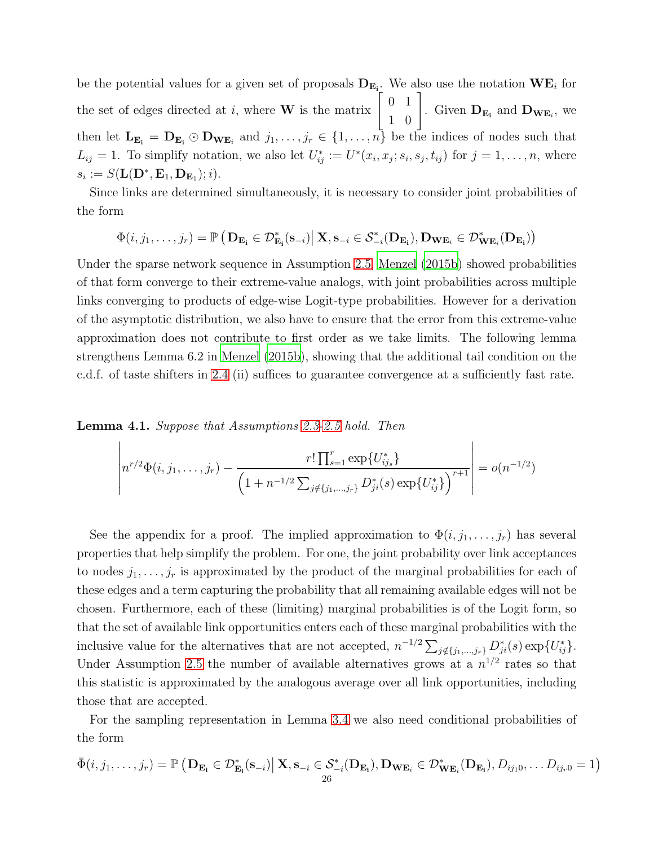be the potential values for a given set of proposals  $D_{E_i}$ . We also use the notation  $WE_i$  for the set of edges directed at i, where **W** is the matrix  $\begin{bmatrix} 0 & 1 \\ 1 & 0 \end{bmatrix}$ . Given  $\mathbf{D}_{\mathbf{E_i}}$  and  $\mathbf{D}_{\mathbf{WE}_i}$ , we then let  $\mathbf{L}_{\mathbf{E_i}} = \mathbf{D}_{\mathbf{E_i}} \odot \mathbf{D}_{\mathbf{WE}_i}$  and  $j_1, \ldots, j_r \in \{1, \ldots, n\}$  be the indices of nodes such that  $L_{ij} = 1$ . To simplify notation, we also let  $U_{ij}^* := U^*(x_i, x_j; s_i, s_j, t_{ij})$  for  $j = 1, \ldots, n$ , where  $s_i := S(\mathbf{L}(\mathbf{D}^*, \mathbf{E}_1, \mathbf{D}_{\mathbf{E}_1}); i).$ 

Since links are determined simultaneously, it is necessary to consider joint probabilities of the form

$$
\Phi(i,j_1,\ldots,j_r)=\mathbb{P}\left(\left.\mathbf{D}_{\mathbf{E_i}}\in\mathcal{D}^*_{\mathbf{E_i}}(\mathbf{s}_{-i})\right|\mathbf{X},\mathbf{s}_{-i}\in\mathcal{S}^*_{-i}(\mathbf{D}_{\mathbf{E_i}}),\mathbf{D}_{\mathbf{WE}_i}\in\mathcal{D}^*_{\mathbf{WE}_i}(\mathbf{D}_{\mathbf{E_i}})\right)
$$

Under the sparse network sequence in Assumption [2.5,](#page-11-1) [Menzel \(2015b\)](#page-38-0) showed probabilities of that form converge to their extreme-value analogs, with joint probabilities across multiple links converging to products of edge-wise Logit-type probabilities. However for a derivation of the asymptotic distribution, we also have to ensure that the error from this extreme-value approximation does not contribute to first order as we take limits. The following lemma strengthens Lemma 6.2 in [Menzel \(2015b](#page-38-0)), showing that the additional tail condition on the c.d.f. of taste shifters in [2.4](#page-11-0) (ii) suffices to guarantee convergence at a sufficiently fast rate.

<span id="page-25-0"></span>Lemma 4.1. Suppose that Assumptions [2.3-](#page-10-1)[2.5](#page-11-1) hold. Then

$$
\left| n^{r/2} \Phi(i, j_1, \dots, j_r) - \frac{r! \prod_{s=1}^r \exp\{U_{ij_s}^*\}}{\left(1 + n^{-1/2} \sum_{j \notin \{j_1, \dots, j_r\}} D_{ji}^*(s) \exp\{U_{ij}^*\}\right)^{r+1}} \right| = o(n^{-1/2})
$$

See the appendix for a proof. The implied approximation to  $\Phi(i, j_1, \ldots, j_r)$  has several properties that help simplify the problem. For one, the joint probability over link acceptances to nodes  $j_1, \ldots, j_r$  is approximated by the product of the marginal probabilities for each of these edges and a term capturing the probability that all remaining available edges will not be chosen. Furthermore, each of these (limiting) marginal probabilities is of the Logit form, so that the set of available link opportunities enters each of these marginal probabilities with the inclusive value for the alternatives that are not accepted,  $n^{-1/2} \sum_{j \notin \{j_1,\dots,j_r\}} D^*_{ji}(s) \exp\{U^*_{ij}\}.$ Under Assumption [2.5](#page-11-1) the number of available alternatives grows at a  $n^{1/2}$  rates so that this statistic is approximated by the analogous average over all link opportunities, including those that are accepted.

For the sampling representation in Lemma [3.4](#page-23-0) we also need conditional probabilities of the form

$$
\bar{\Phi}(i,j_1,\ldots,j_r)=\mathbb{P}\left(\mathbf{D}_{\mathbf{E_i}}\in\mathcal{D}^*_{\mathbf{E_i}}(\mathbf{s}_{-i})\big|\ \mathbf{X},\mathbf{s}_{-i}\in\mathcal{S}^*_{-i}(\mathbf{D}_{\mathbf{E_i}}),\mathbf{D}_{\mathbf{WE}_i}\in\mathcal{D}^*_{\mathbf{WE}_i}(\mathbf{D}_{\mathbf{E_i}}),D_{ij_10},\ldots D_{ij_r0}=1\right)
$$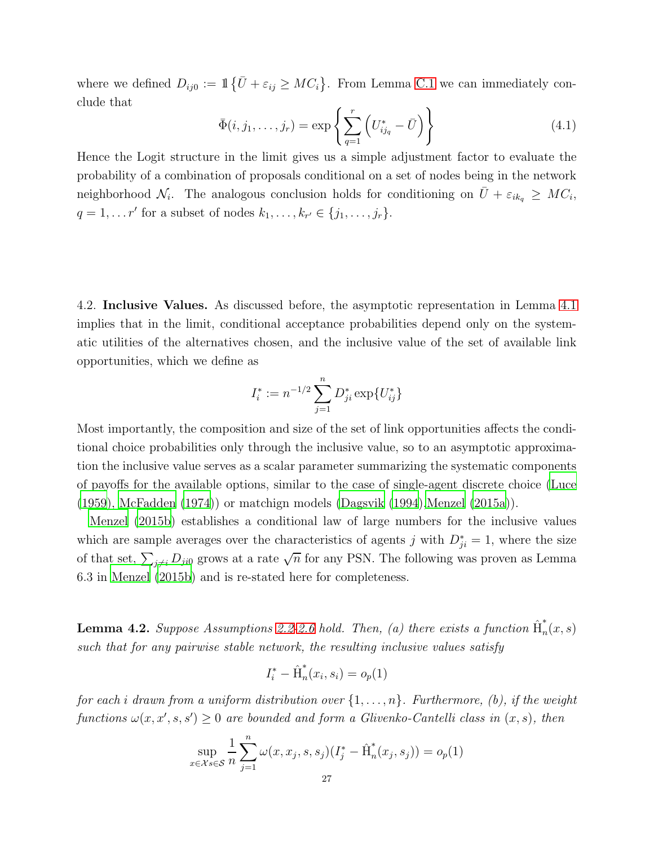where we defined  $D_{ij0} := \mathbb{1} \{ \bar{U} + \varepsilon_{ij} \geq MC_i \}$ . From Lemma [C.1](#page-45-0) we can immediately conclude that

<span id="page-26-1"></span>
$$
\bar{\Phi}(i, j_1, \dots, j_r) = \exp\left\{ \sum_{q=1}^r \left( U_{ij_q}^* - \bar{U} \right) \right\}
$$
 (4.1)

Hence the Logit structure in the limit gives us a simple adjustment factor to evaluate the probability of a combination of proposals conditional on a set of nodes being in the network neighborhood  $\mathcal{N}_i$ . The analogous conclusion holds for conditioning on  $\bar{U} + \varepsilon_{ik_q} \geq MC_i$ ,  $q = 1, ..., r'$  for a subset of nodes  $k_1, ..., k_{r'} \in \{j_1, ..., j_r\}.$ 

4.2. Inclusive Values. As discussed before, the asymptotic representation in Lemma [4.1](#page-25-0) implies that in the limit, conditional acceptance probabilities depend only on the systematic utilities of the alternatives chosen, and the inclusive value of the set of available link opportunities, which we define as

$$
I_i^* := n^{-1/2} \sum_{j=1}^n D_{ji}^* \exp\{U_{ij}^*\}
$$

Most importantly, the composition and size of the set of link opportunities affects the conditional choice probabilities only through the inclusive value, so to an asymptotic approximation the inclusive value serves as a scalar parameter summarizing the systematic components of payoffs for the available options, similar to the case of single-agent discrete choice [\(Luce](#page-38-14) [\(1959\)](#page-38-14), [McFadden \(1974\)](#page-38-15)) or matchign models [\(Dagsvik \(1994\)](#page-37-15)[,Menzel \(2015a\)](#page-38-16)).

[Menzel \(2015b\)](#page-38-0) establishes a conditional law of large numbers for the inclusive values which are sample averages over the characteristics of agents j with  $D_{ji}^* = 1$ , where the size of that set,  $\sum_{j\neq i} D_{ji0}$  grows at a rate  $\sqrt{n}$  for any PSN. The following was proven as Lemma 6.3 in [Menzel \(2015b\)](#page-38-0) and is re-stated here for completeness.

<span id="page-26-0"></span>**Lemma 4.2.** Suppose Assumptions [2.2-](#page-10-0)[2.6](#page-12-1) hold. Then, (a) there exists a function  $\hat{H}_n^*$  $n(x,s)$ such that for any pairwise stable network, the resulting inclusive values satisfy

$$
I_i^* - \hat{H}_n^*(x_i, s_i) = o_p(1)
$$

for each i drawn from a uniform distribution over  $\{1,\ldots,n\}$ . Furthermore, (b), if the weight functions  $\omega(x, x', s, s') \geq 0$  are bounded and form a Glivenko-Cantelli class in  $(x, s)$ , then

$$
\sup_{x \in \mathcal{X}} \frac{1}{n} \sum_{j=1}^{n} \omega(x, x_j, s, s_j) (I_j^* - \hat{H}_n^*(x_j, s_j)) = o_p(1)
$$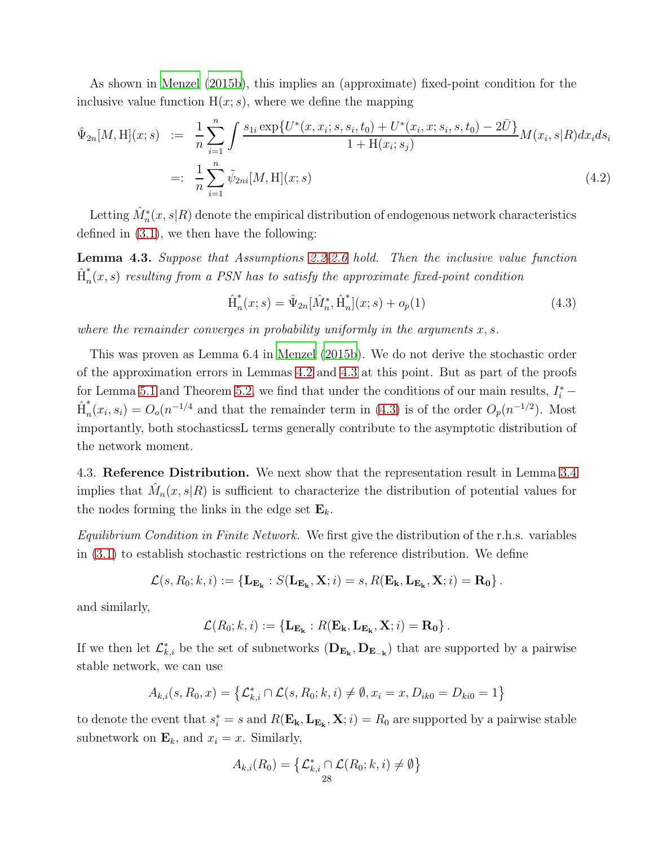As shown in [Menzel \(2015b\)](#page-38-0), this implies an (approximate) fixed-point condition for the inclusive value function  $H(x; s)$ , where we define the mapping

$$
\hat{\Psi}_{2n}[M,H](x;s) := \frac{1}{n} \sum_{i=1}^{n} \int \frac{s_{1i} \exp\{U^*(x, x_i; s, s_i, t_0) + U^*(x_i, x; s_i, s, t_0) - 2\bar{U}\}}{1 + H(x_i; s_j)} M(x_i, s | R) dx_i ds_i
$$
\n
$$
=: \frac{1}{n} \sum_{i=1}^{n} \tilde{\psi}_{2ni}[M,H](x;s)
$$
\n(4.2)

Letting  $\hat{M}_n^*(x,s|R)$  denote the empirical distribution of endogenous network characteristics defined in [\(3.1\)](#page-22-0), we then have the following:

<span id="page-27-0"></span>Lemma 4.3. Suppose that Assumptions [2.2](#page-10-0)[-2.6](#page-12-1) hold. Then the inclusive value function  $\hat{\text{H}}_n^{*}$  $f_n(x,s)$  resulting from a PSN has to satisfy the approximate fixed-point condition

<span id="page-27-1"></span>
$$
\hat{H}_n^*(x; s) = \hat{\Psi}_{2n}[\hat{M}_n^*, \hat{H}_n^*](x; s) + o_p(1)
$$
\n(4.3)

where the remainder converges in probability uniformly in the arguments  $x, s$ .

This was proven as Lemma 6.4 in [Menzel \(2015b](#page-38-0)). We do not derive the stochastic order of the approximation errors in Lemmas [4.2](#page-26-0) and [4.3](#page-27-0) at this point. But as part of the proofs for Lemma [5.1](#page-34-0) and Theorem [5.2,](#page-35-0) we find that under the conditions of our main results,  $I_i^*$  –  $\hat{\text{H}}_n^{*}$  $n(n, s_i) = O_o(n^{-1/4}$  and that the remainder term in [\(4.3\)](#page-27-1) is of the order  $O_p(n^{-1/2})$ . Most importantly, both stochasticssL terms generally contribute to the asymptotic distribution of the network moment.

4.3. Reference Distribution. We next show that the representation result in Lemma [3.4](#page-23-0) implies that  $\hat{M}_n(x, s | R)$  is sufficient to characterize the distribution of potential values for the nodes forming the links in the edge set  $\mathbf{E}_k$ .

Equilibrium Condition in Finite Network. We first give the distribution of the r.h.s. variables in [\(3.1\)](#page-22-0) to establish stochastic restrictions on the reference distribution. We define

$$
\mathcal{L}(s, R_0; k, i) := \left\{ \mathbf{L}_{\mathbf{E}_{\mathbf{k}}} : S(\mathbf{L}_{\mathbf{E}_{\mathbf{k}}}, \mathbf{X}; i) = s, R(\mathbf{E}_{\mathbf{k}}, \mathbf{L}_{\mathbf{E}_{\mathbf{k}}}, \mathbf{X}; i) = \mathbf{R_0} \right\}.
$$

and similarly,

$$
\mathcal{L}(R_0; k, i) := \{ \mathbf{L}_{\mathbf{E}_{\mathbf{k}}} : R(\mathbf{E}_{\mathbf{k}}, \mathbf{L}_{\mathbf{E}_{\mathbf{k}}}, \mathbf{X}; i) = \mathbf{R_0} \}.
$$

If we then let  $\mathcal{L}_{k,i}^*$  be the set of subnetworks  $(D_{\mathbf{E_k}}, D_{\mathbf{E_{-k}}})$  that are supported by a pairwise stable network, we can use

$$
A_{k,i}(s, R_0, x) = \{ \mathcal{L}_{k,i}^* \cap \mathcal{L}(s, R_0; k, i) \neq \emptyset, x_i = x, D_{ik0} = D_{ki0} = 1 \}
$$

to denote the event that  $s_i^* = s$  and  $R(\mathbf{E_k}, \mathbf{L_{E_k}}, \mathbf{X}; i) = R_0$  are supported by a pairwise stable subnetwork on  $\mathbf{E}_k$ , and  $x_i = x$ . Similarly,

$$
A_{k,i}(R_0) = \left\{ \mathcal{L}_{k,i}^* \cap \mathcal{L}(R_0;k,i) \neq \emptyset \right\}
$$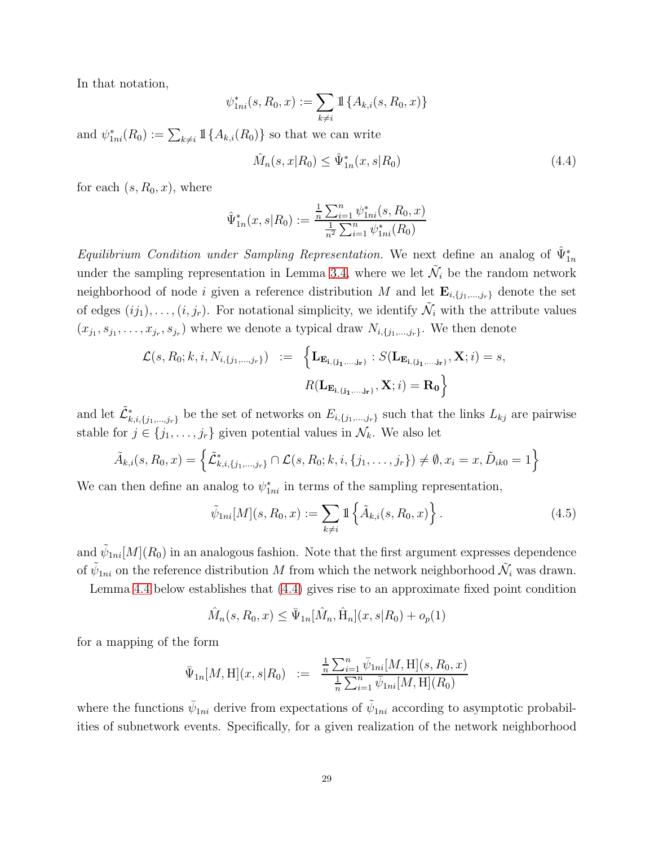In that notation,

$$
\psi_{1ni}^*(s, R_0, x) := \sum_{k \neq i} \mathbb{1} \{ A_{k,i}(s, R_0, x) \}
$$

and  $\psi_{1ni}^*(R_0) := \sum_{k \neq i} \mathbb{1} \{ A_{k,i}(R_0) \}$  so that we can write

<span id="page-28-0"></span>
$$
\hat{M}_n(s, x | R_0) \le \hat{\Psi}_{1n}^*(x, s | R_0)
$$
\n(4.4)

for each  $(s, R_0, x)$ , where

$$
\hat{\Psi}_{1n}^*(x, s | R_0) := \frac{\frac{1}{n} \sum_{i=1}^n \psi_{1ni}^*(s, R_0, x)}{\frac{1}{n^2} \sum_{i=1}^n \psi_{1ni}^*(R_0)}
$$

Equilibrium Condition under Sampling Representation. We next define an analog of  $\hat{\Psi}_{1n}^*$ under the sampling representation in Lemma [3.4,](#page-23-0) where we let  $\tilde{\mathcal{N}}_i$  be the random network neighborhood of node i given a reference distribution M and let  $\mathbf{E}_{i,\{j_1,\dots,j_r\}}$  denote the set of edges  $(ij_1), \ldots, (i, j_r)$ . For notational simplicity, we identify  $\tilde{\mathcal{N}}_i$  with the attribute values  $(x_{j_1}, s_{j_1}, \ldots, x_{j_r}, s_{j_r})$  where we denote a typical draw  $N_{i, \{j_1, \ldots, j_r\}}$ . We then denote

$$
\mathcal{L}(s, R_0; k, i, N_{i, \{j_1, \ldots, j_r\}}) := \left\{ \mathbf{L}_{\mathbf{E}_{\mathbf{i}, \{\mathbf{j}_1, \ldots, \mathbf{j}_r\}}} : S(\mathbf{L}_{\mathbf{E}_{\mathbf{i}, \{\mathbf{j}_1, \ldots, \mathbf{j}_r\}}}, \mathbf{X}; i) = s,
$$
  

$$
R(\mathbf{L}_{\mathbf{E}_{\mathbf{i}, \{\mathbf{j}_1, \ldots, \mathbf{j}_r\}}}, \mathbf{X}; i) = \mathbf{R_0} \right\}
$$

and let  $\tilde{\mathcal{L}}^*_{k,i,\{j_1,...,j_r\}}$  be the set of networks on  $E_{i,\{j_1,...,j_r\}}$  such that the links  $L_{kj}$  are pairwise stable for  $j \in \{j_1, \ldots, j_r\}$  given potential values in  $\mathcal{N}_k$ . We also let

$$
\tilde{A}_{k,i}(s, R_0, x) = \left\{ \tilde{\mathcal{L}}_{k,i,\{j_1,\dots,j_r\}}^* \cap \mathcal{L}(s, R_0; k, i, \{j_1, \dots, j_r\}) \neq \emptyset, x_i = x, \tilde{D}_{ik0} = 1 \right\}
$$

We can then define an analog to  $\psi_{1ni}^*$  in terms of the sampling representation,

$$
\tilde{\psi}_{1ni}[M](s, R_0, x) := \sum_{k \neq i} \mathbb{1} \left\{ \tilde{A}_{k,i}(s, R_0, x) \right\}.
$$
\n(4.5)

and  $\tilde{\psi}_{1ni}[M](R_0)$  in an analogous fashion. Note that the first argument expresses dependence of  $\tilde{\psi}_{1ni}$  on the reference distribution M from which the network neighborhood  $\tilde{\mathcal{N}}_i$  was drawn.

Lemma [4.4](#page-29-0) below establishes that [\(4.4\)](#page-28-0) gives rise to an approximate fixed point condition

$$
\hat{M}_n(s, R_0, x) \le \bar{\Psi}_{1n}[\hat{M}_n, \hat{H}_n](x, s | R_0) + o_p(1)
$$

for a mapping of the form

$$
\bar{\Psi}_{1n}[M,H](x,s|R_0) := \frac{\frac{1}{n}\sum_{i=1}^n \bar{\psi}_{1ni}[M,H](s,R_0,x)}{\frac{1}{n}\sum_{i=1}^n \bar{\psi}_{1ni}[M,H](R_0)}
$$

where the functions  $\bar{\psi}_{1ni}$  derive from expectations of  $\tilde{\psi}_{1ni}$  according to asymptotic probabilities of subnetwork events. Specifically, for a given realization of the network neighborhood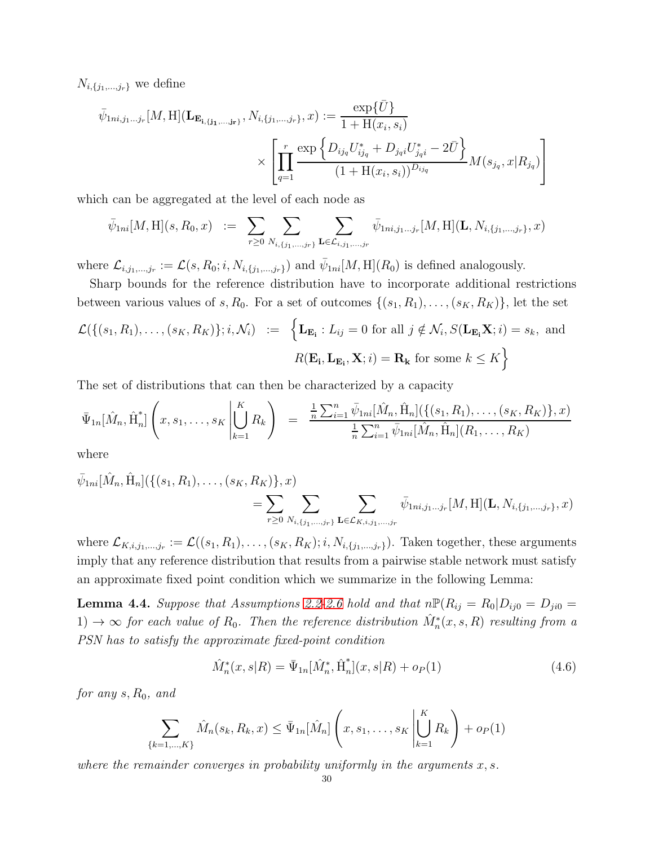$N_{i,\{j_1,\ldots,j_r\}}$  we define

$$
\bar{\psi}_{1ni,j_1...j_r}[M,H](\mathbf{L}_{\mathbf{E_{i,j_1,...,j_r}}}, N_{i,\{j_1,...,j_r\}},x) := \frac{\exp{\{\bar{U}\}}}{1 + \mathcal{H}(x_i, s_i)}
$$
\n
$$
\times \left[ \prod_{q=1}^r \frac{\exp{\left\{D_{ij_q} U_{ij_q}^* + D_{j_q i} U_{j_q i}^* - 2\bar{U}\right\}}}{(1 + \mathcal{H}(x_i, s_i))^{D_{ij_q}}} M(s_{j_q}, x | R_{j_q}) \right]
$$

which can be aggregated at the level of each node as

$$
\bar{\psi}_{1ni}[M,H](s,R_0,x) \ := \ \sum_{r\geq 0} \sum_{N_{i,\{j_1,\ldots,j_r\}}} \sum_{\mathbf{L}\in\mathcal{L}_{i,j_1,\ldots,j_r}} \bar{\psi}_{1ni,j_1\ldots j_r}[M,H](\mathbf{L},N_{i,\{j_1,\ldots,j_r\}},x)
$$

where  $\mathcal{L}_{i,j_1,\dots,j_r} := \mathcal{L}(s, R_0; i, N_{i,\{j_1,\dots,j_r\}})$  and  $\bar{\psi}_{1ni}[M, H](R_0)$  is defined analogously.

Sharp bounds for the reference distribution have to incorporate additional restrictions between various values of s,  $R_0$ . For a set of outcomes  $\{(s_1, R_1), \ldots, (s_K, R_K)\}\)$ , let the set

$$
\mathcal{L}(\{(s_1, R_1), \dots, (s_K, R_K)\}; i, \mathcal{N}_i) := \left\{ \mathbf{L}_{\mathbf{E_i}} : L_{ij} = 0 \text{ for all } j \notin \mathcal{N}_i, S(\mathbf{L}_{\mathbf{E_i}} \mathbf{X}; i) = s_k, \text{ and}
$$

$$
R(\mathbf{E_i}, \mathbf{L}_{\mathbf{E_i}}, \mathbf{X}; i) = \mathbf{R_k} \text{ for some } k \le K \right\}
$$

The set of distributions that can then be characterized by a capacity

$$
\bar{\Psi}_{1n}[\hat{M}_n, \hat{\mathbf{H}}_n^*] \left( x, s_1, \dots, s_K \middle| \bigcup_{k=1}^K R_k \right) = \frac{\frac{1}{n} \sum_{i=1}^n \bar{\psi}_{1ni}[\hat{M}_n, \hat{\mathbf{H}}_n] (\{(s_1, R_1), \dots, (s_K, R_K)\}, x)}{\frac{1}{n} \sum_{i=1}^n \bar{\psi}_{1ni}[\hat{M}_n, \hat{\mathbf{H}}_n](R_1, \dots, R_K)}
$$

where

$$
\bar{\psi}_{1ni}[\hat{M}_n, \hat{H}_n](\{(s_1, R_1), \dots, (s_K, R_K)\}, x) = \sum_{r \ge 0} \sum_{N_{i, \{j_1, \dots, j_r\}}} \sum_{\mathbf{L} \in \mathcal{L}_{K, i, j_1, \dots, j_r}} \bar{\psi}_{1ni, j_1 \dots j_r}[M, H](\mathbf{L}, N_{i, \{j_1, \dots, j_r\}}, x)
$$

where  $\mathcal{L}_{K,i,j_1,...,j_r} := \mathcal{L}((s_1,R_1),\ldots,(s_K,R_K);i,N_{i,\{j_1,...,j_r\}})$ . Taken together, these arguments imply that any reference distribution that results from a pairwise stable network must satisfy an approximate fixed point condition which we summarize in the following Lemma:

<span id="page-29-0"></span>**Lemma 4.4.** Suppose that Assumptions [2.2-](#page-10-0)[2.6](#page-12-1) hold and that  $n\mathbb{P}(R_{ij} = R_0|D_{ij0} = D_{ji0} =$  $1) \rightarrow \infty$  for each value of  $R_0$ . Then the reference distribution  $\hat{M}_n^*(x, s, R)$  resulting from a PSN has to satisfy the approximate fixed-point condition

$$
\hat{M}_n^*(x, s | R) = \bar{\Psi}_{1n}[\hat{M}_n^*, \hat{H}_n^*](x, s | R) + o_P(1)
$$
\n(4.6)

for any  $s, R_0$ , and

$$
\sum_{\{k=1,\dots,K\}} \hat{M}_n(s_k, R_k, x) \leq \bar{\Psi}_{1n}[\hat{M}_n] \left( x, s_1, \dots, s_K \middle| \bigcup_{k=1}^K R_k \right) + o_P(1)
$$

where the remainder converges in probability uniformly in the arguments  $x, s$ .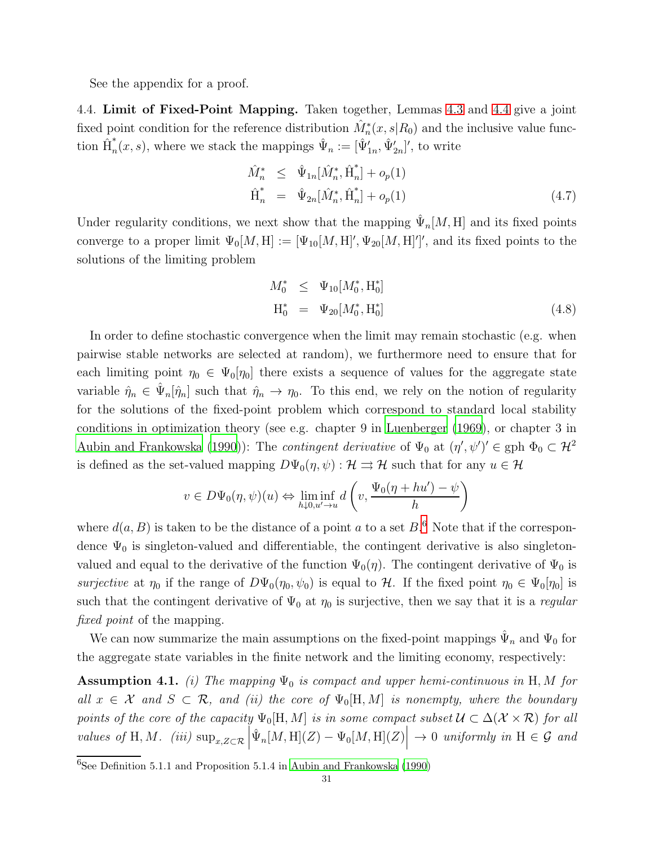See the appendix for a proof.

4.4. Limit of Fixed-Point Mapping. Taken together, Lemmas [4.3](#page-27-0) and [4.4](#page-29-0) give a joint fixed point condition for the reference distribution  $\hat{M}_n^*(x, s | R_0)$  and the inclusive value function  $\hat{H}^*_{n}$  $\hat{\Psi}_n(x, s)$ , where we stack the mappings  $\hat{\Psi}_n := [\hat{\Psi}'_{1n}, \hat{\Psi}'_{2n}]'$ , to write

$$
\hat{M}_n^* \leq \hat{\Psi}_{1n}[\hat{M}_n^*, \hat{H}_n^*] + o_p(1) \n\hat{H}_n^* = \hat{\Psi}_{2n}[\hat{M}_n^*, \hat{H}_n^*] + o_p(1)
$$
\n(4.7)

Under regularity conditions, we next show that the mapping  $\hat{\Psi}_n[M, H]$  and its fixed points converge to a proper limit  $\Psi_0[M, H] := [\Psi_{10}[M, H]', \Psi_{20}[M, H]']',$  and its fixed points to the solutions of the limiting problem

<span id="page-30-2"></span>
$$
M_0^* \leq \Psi_{10}[M_0^*, \mathbf{H}_0^*]
$$
  
\n
$$
\mathbf{H}_0^* = \Psi_{20}[M_0^*, \mathbf{H}_0^*]
$$
\n(4.8)

In order to define stochastic convergence when the limit may remain stochastic (e.g. when pairwise stable networks are selected at random), we furthermore need to ensure that for each limiting point  $\eta_0 \in \Psi_0[\eta_0]$  there exists a sequence of values for the aggregate state variable  $\hat{\eta}_n \in \hat{\Psi}_n[\hat{\eta}_n]$  such that  $\hat{\eta}_n \to \eta_0$ . To this end, we rely on the notion of regularity for the solutions of the fixed-point problem which correspond to standard local stability conditions in optimization theory (see e.g. chapter 9 in [Luenberger \(1969](#page-38-17)), or chapter 3 in [Aubin and Frankowska \(1990\)](#page-36-7)): The *contingent derivative* of  $\Psi_0$  at  $(\eta', \psi')' \in \text{gph } \Phi_0 \subset \mathcal{H}^2$ is defined as the set-valued mapping  $D\Psi_0(\eta, \psi): \mathcal{H} \rightrightarrows \mathcal{H}$  such that for any  $u \in \mathcal{H}$ 

$$
v \in D\Psi_0(\eta, \psi)(u) \Leftrightarrow \liminf_{h \downarrow 0, u' \to u} d\left(v, \frac{\Psi_0(\eta + hu') - \psi}{h}\right)
$$

where  $d(a, B)$  is taken to be the distance of a point a to a set  $B<sup>6</sup>$  $B<sup>6</sup>$  $B<sup>6</sup>$ . Note that if the correspondence  $\Psi_0$  is singleton-valued and differentiable, the contingent derivative is also singletonvalued and equal to the derivative of the function  $\Psi_0(\eta)$ . The contingent derivative of  $\Psi_0$  is surjective at  $\eta_0$  if the range of  $D\Psi_0(\eta_0, \psi_0)$  is equal to H. If the fixed point  $\eta_0 \in \Psi_0[\eta_0]$  is such that the contingent derivative of  $\Psi_0$  at  $\eta_0$  is surjective, then we say that it is a regular fixed point of the mapping.

We can now summarize the main assumptions on the fixed-point mappings  $\hat{\Psi}_n$  and  $\Psi_0$  for the aggregate state variables in the finite network and the limiting economy, respectively:

<span id="page-30-1"></span>**Assumption 4.1.** (i) The mapping  $\Psi_0$  is compact and upper hemi-continuous in H, M for all  $x \in \mathcal{X}$  and  $S \subset \mathcal{R}$ , and (ii) the core of  $\Psi_0[H, M]$  is nonempty, where the boundary points of the core of the capacity  $\Psi_0[H, M]$  is in some compact subset  $\mathcal{U} \subset \Delta(\mathcal{X} \times \mathcal{R})$  for all values of H, M. (iii)  $\sup_{x,Z\subset\mathcal{R}}\left|\hat{\Psi}_n[M,H](Z)-\Psi_0[M,H](Z)\right| \to 0$  uniformly in  $H\in\mathcal{G}$  and

<span id="page-30-0"></span> $\frac{6}{6}$ See Definition 5.1.1 and Proposition 5.1.4 in [Aubin and Frankowska \(1990\)](#page-36-7)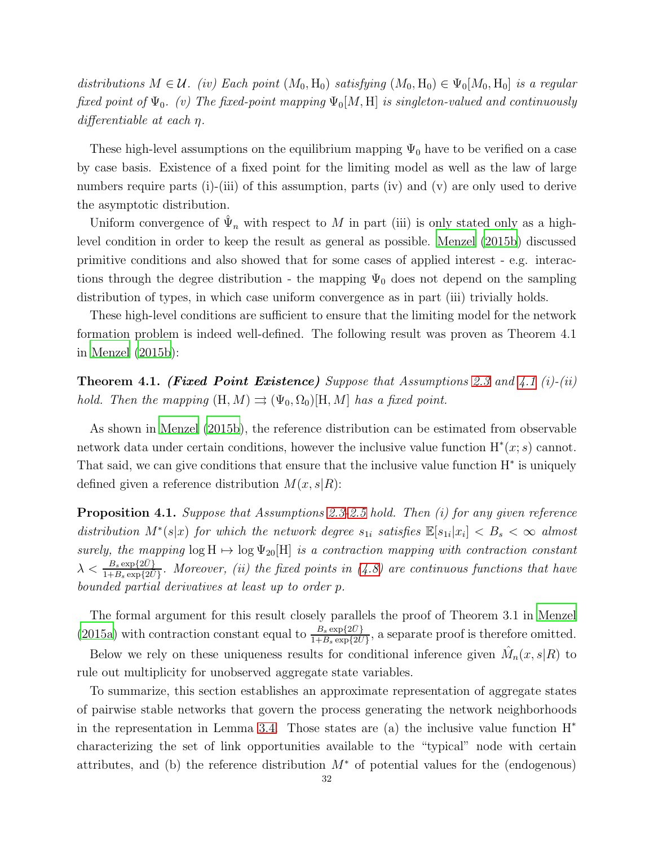distributions  $M \in \mathcal{U}$ . (iv) Each point  $(M_0, H_0)$  satisfying  $(M_0, H_0) \in \Psi_0[M_0, H_0]$  is a regular fixed point of  $\Psi_0$ . (v) The fixed-point mapping  $\Psi_0[M, H]$  is singleton-valued and continuously differentiable at each  $\eta$ .

These high-level assumptions on the equilibrium mapping  $\Psi_0$  have to be verified on a case by case basis. Existence of a fixed point for the limiting model as well as the law of large numbers require parts (i)-(iii) of this assumption, parts (iv) and (v) are only used to derive the asymptotic distribution.

Uniform convergence of  $\hat{\Psi}_n$  with respect to M in part (iii) is only stated only as a highlevel condition in order to keep the result as general as possible. [Menzel \(2015b](#page-38-0)) discussed primitive conditions and also showed that for some cases of applied interest - e.g. interactions through the degree distribution - the mapping  $\Psi_0$  does not depend on the sampling distribution of types, in which case uniform convergence as in part (iii) trivially holds.

These high-level conditions are sufficient to ensure that the limiting model for the network formation problem is indeed well-defined. The following result was proven as Theorem 4.1 in [Menzel \(2015b](#page-38-0)):

<span id="page-31-0"></span>**Theorem [4.1](#page-30-1). (Fixed Point Existence)** Suppose that Assumptions [2.3](#page-10-1) and 4.1 (i)-(ii) hold. Then the mapping  $(H, M) \rightrightarrows (\Psi_0, \Omega_0)[H, M]$  has a fixed point.

As shown in [Menzel \(2015b\)](#page-38-0), the reference distribution can be estimated from observable network data under certain conditions, however the inclusive value function  $H^*(x; s)$  cannot. That said, we can give conditions that ensure that the inclusive value function  $H^*$  is uniquely defined given a reference distribution  $M(x, s|R)$ :

Proposition 4.1. Suppose that Assumptions [2.3-](#page-10-1)[2.5](#page-11-1) hold. Then (i) for any given reference distribution  $M^*(s|x)$  for which the network degree  $s_{1i}$  satisfies  $\mathbb{E}[s_{1i}|x_i] < B_s < \infty$  almost surely, the mapping  $\log H \mapsto \log \Psi_{20}[H]$  is a contraction mapping with contraction constant  $\lambda < \frac{B_s \exp\{2\bar{U}\}}{1+B_s \exp\{2\bar{U}\}}$ . Moreover, (ii) the fixed points in [\(4.8\)](#page-30-2) are continuous functions that have bounded partial derivatives at least up to order p.

The formal argument for this result closely parallels the proof of Theorem 3.1 in [Menzel](#page-38-16) [\(2015a\)](#page-38-16) with contraction constant equal to  $\frac{B_s \exp\{2\bar{U}\}}{1+B_s \exp\{2\bar{U}\}}$ , a separate proof is therefore omitted.

Below we rely on these uniqueness results for conditional inference given  $\hat{M}_n(x, s | R)$  to rule out multiplicity for unobserved aggregate state variables.

To summarize, this section establishes an approximate representation of aggregate states of pairwise stable networks that govern the process generating the network neighborhoods in the representation in Lemma [3.4.](#page-23-0) Those states are (a) the inclusive value function  $H^*$ characterizing the set of link opportunities available to the "typical" node with certain attributes, and (b) the reference distribution  $M^*$  of potential values for the (endogenous)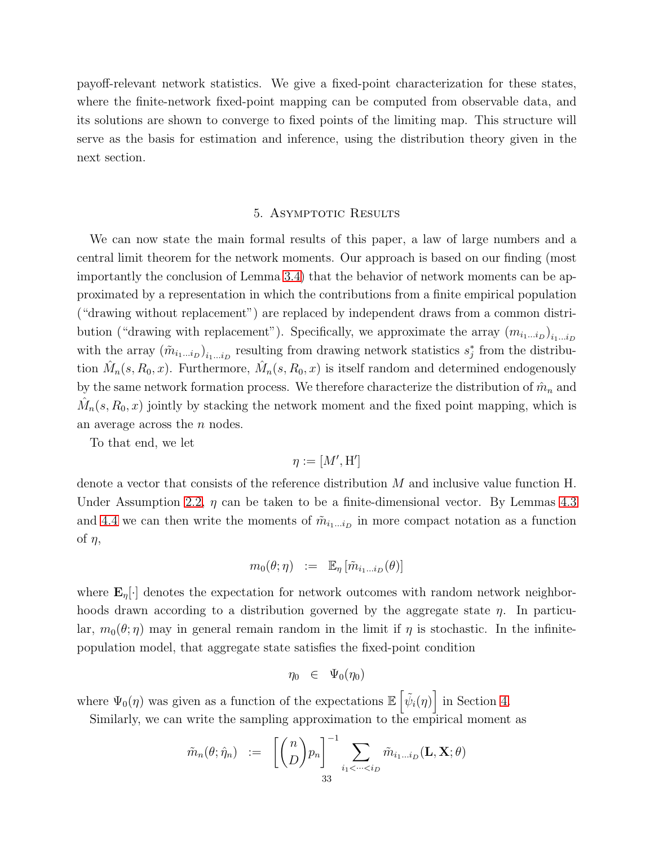payoff-relevant network statistics. We give a fixed-point characterization for these states, where the finite-network fixed-point mapping can be computed from observable data, and its solutions are shown to converge to fixed points of the limiting map. This structure will serve as the basis for estimation and inference, using the distribution theory given in the next section.

## 5. ASYMPTOTIC RESULTS

<span id="page-32-0"></span>We can now state the main formal results of this paper, a law of large numbers and a central limit theorem for the network moments. Our approach is based on our finding (most importantly the conclusion of Lemma [3.4\)](#page-23-0) that the behavior of network moments can be approximated by a representation in which the contributions from a finite empirical population ("drawing without replacement") are replaced by independent draws from a common distribution ("drawing with replacement"). Specifically, we approximate the array  $(m_{i_1...i_D})_{i_1...i_D}$ with the array  $(\tilde{m}_{i_1...i_D})_{i_1...i_D}$  resulting from drawing network statistics  $s_j^*$  from the distribution  $\hat{M}_n(s, R_0, x)$ . Furthermore,  $\hat{M}_n(s, R_0, x)$  is itself random and determined endogenously by the same network formation process. We therefore characterize the distribution of  $\hat{m}_n$  and  $\hat{M}_n(s, R_0, x)$  jointly by stacking the network moment and the fixed point mapping, which is an average across the n nodes.

To that end, we let

$$
\eta:=[M',\mathrm{H}']
$$

denote a vector that consists of the reference distribution M and inclusive value function H. Under Assumption [2.2,](#page-10-0)  $\eta$  can be taken to be a finite-dimensional vector. By Lemmas [4.3](#page-27-0) and [4.4](#page-29-0) we can then write the moments of  $\tilde{m}_{i_1...i_D}$  in more compact notation as a function of  $\eta$ ,

$$
m_0(\theta; \eta) \quad := \quad \mathbb{E}_{\eta} \left[ \tilde{m}_{i_1...i_D}(\theta) \right]
$$

where  $\mathbf{E}_{\eta}[\cdot]$  denotes the expectation for network outcomes with random network neighborhoods drawn according to a distribution governed by the aggregate state  $\eta$ . In particular,  $m_0(\theta;\eta)$  may in general remain random in the limit if  $\eta$  is stochastic. In the infinitepopulation model, that aggregate state satisfies the fixed-point condition

$$
\eta_0 \in \Psi_0(\eta_0)
$$

where  $\Psi_0(\eta)$  was given as a function of the expectations  $\mathbb{E}\left[\tilde{\psi}_i(\eta)\right]$  in Section [4.](#page-24-0)

Similarly, we can write the sampling approximation to the empirical moment as

$$
\tilde{m}_n(\theta; \hat{\eta}_n) \hspace{2mm} := \hspace{2mm} \bigg[ \binom{n}{D} p_n \bigg]^{-1} \sum_{i_1 < \dots < i_D} \tilde{m}_{i_1 \dots i_D}(\mathbf{L}, \mathbf{X}; \theta)
$$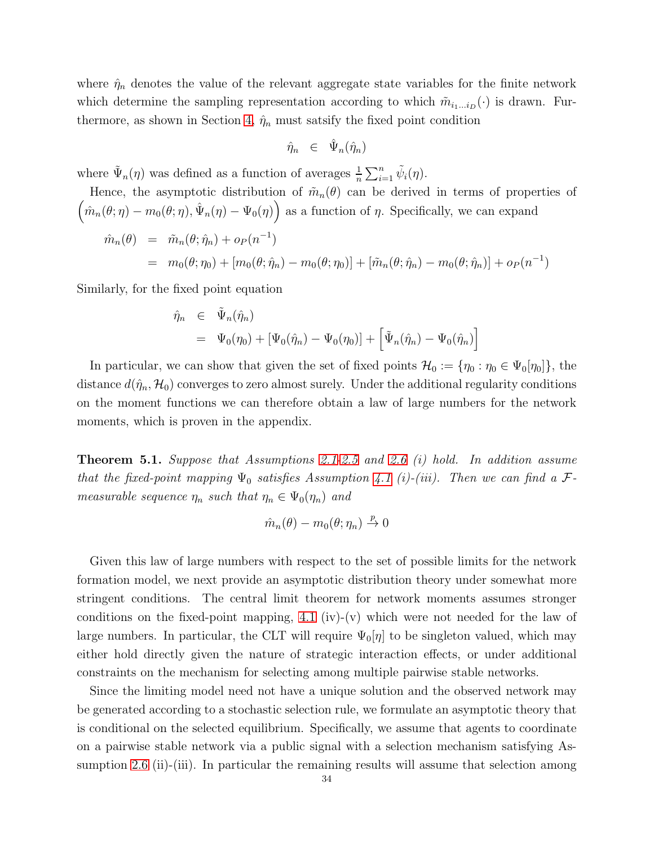where  $\hat{\eta}_n$  denotes the value of the relevant aggregate state variables for the finite network which determine the sampling representation according to which  $\tilde{m}_{i_1...i_D}(\cdot)$  is drawn. Fur-thermore, as shown in Section [4,](#page-24-0)  $\hat{\eta}_n$  must satsify the fixed point condition

$$
\hat{\eta}_n \;\;\in\;\; \hat{\Psi}_n(\hat{\eta}_n)
$$

where  $\tilde{\Psi}_n(\eta)$  was defined as a function of averages  $\frac{1}{n} \sum_{i=1}^n \tilde{\psi}_i(\eta)$ .

Hence, the asymptotic distribution of 
$$
\tilde{m}_n(\theta)
$$
 can be derived in terms of properties of  
\n
$$
\left(\hat{m}_n(\theta; \eta) - m_0(\theta; \eta), \hat{\Psi}_n(\eta) - \Psi_0(\eta)\right)
$$
as a function of  $\eta$ . Specifically, we can expand  
\n
$$
\hat{m}_n(\theta) = \tilde{m}_n(\theta; \hat{\eta}_n) + o_P(n^{-1})
$$
\n
$$
= m_0(\theta; \eta_0) + [m_0(\theta; \hat{\eta}_n) - m_0(\theta; \eta_0)] + [\tilde{m}_n(\theta; \hat{\eta}_n) - m_0(\theta; \hat{\eta}_n)] + o_P(n^{-1})
$$

Similarly, for the fixed point equation

$$
\hat{\eta}_n \in \tilde{\Psi}_n(\hat{\eta}_n)
$$
  
=  $\Psi_0(\eta_0) + [\Psi_0(\hat{\eta}_n) - \Psi_0(\eta_0)] + [\tilde{\Psi}_n(\hat{\eta}_n) - \Psi_0(\hat{\eta}_n)]$ 

In particular, we can show that given the set of fixed points  $\mathcal{H}_0 := \{\eta_0 : \eta_0 \in \Psi_0[\eta_0]\},\$ distance  $d(\hat{\eta}_n, \mathcal{H}_0)$  converges to zero almost surely. Under the additional regularity conditions on the moment functions we can therefore obtain a law of large numbers for the network moments, which is proven in the appendix.

<span id="page-33-0"></span>**Theorem 5.1.** Suppose that Assumptions [2.1](#page-5-0)[-2.5](#page-11-1) and [2.6](#page-12-1) (i) hold. In addition assume that the fixed-point mapping  $\Psi_0$  satisfies Assumption [4.1](#page-30-1) (i)-(iii). Then we can find a  $\mathcal{F}$ measurable sequence  $\eta_n$  such that  $\eta_n \in \Psi_0(\eta_n)$  and

$$
\hat{m}_n(\theta) - m_0(\theta; \eta_n) \stackrel{p}{\to} 0
$$

Given this law of large numbers with respect to the set of possible limits for the network formation model, we next provide an asymptotic distribution theory under somewhat more stringent conditions. The central limit theorem for network moments assumes stronger conditions on the fixed-point mapping, [4.1](#page-30-1) (iv)-(v) which were not needed for the law of large numbers. In particular, the CLT will require  $\Psi_0[\eta]$  to be singleton valued, which may either hold directly given the nature of strategic interaction effects, or under additional constraints on the mechanism for selecting among multiple pairwise stable networks.

Since the limiting model need not have a unique solution and the observed network may be generated according to a stochastic selection rule, we formulate an asymptotic theory that is conditional on the selected equilibrium. Specifically, we assume that agents to coordinate on a pairwise stable network via a public signal with a selection mechanism satisfying As-sumption [2.6](#page-12-1) (ii)-(iii). In particular the remaining results will assume that selection among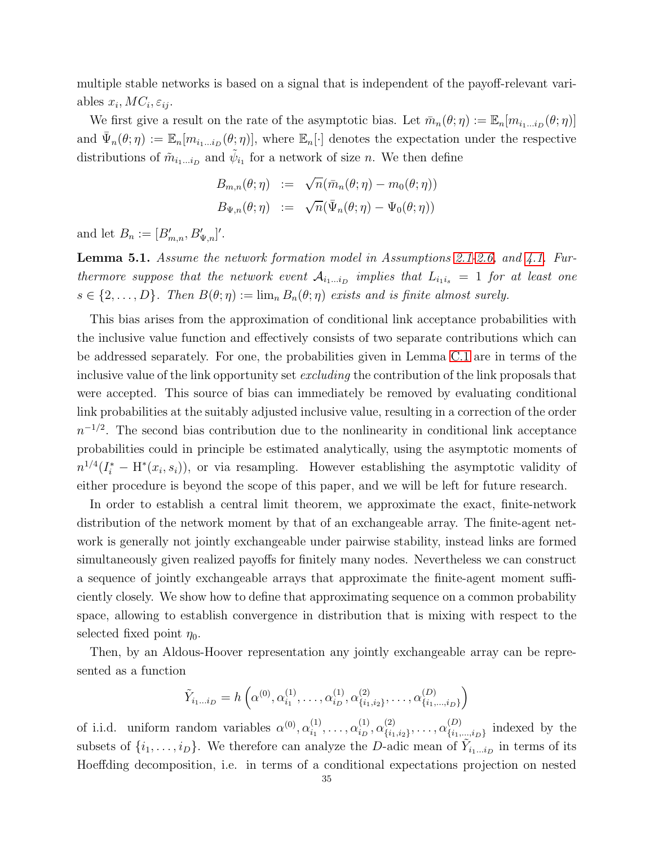multiple stable networks is based on a signal that is independent of the payoff-relevant variables  $x_i$ ,  $MC_i$ ,  $\varepsilon_{ij}$ .

We first give a result on the rate of the asymptotic bias. Let  $\bar{m}_n(\theta; \eta) := \mathbb{E}_n[m_{i_1...i_D}(\theta; \eta)]$ and  $\bar{\Psi}_n(\theta;\eta) := \mathbb{E}_n[m_{i_1...i_D}(\theta;\eta)]$ , where  $\mathbb{E}_n[\cdot]$  denotes the expectation under the respective distributions of  $\tilde{m}_{i_1...i_D}$  and  $\tilde{\psi}_{i_1}$  for a network of size *n*. We then define

$$
B_{m,n}(\theta; \eta) := \sqrt{n}(\bar{m}_n(\theta; \eta) - m_0(\theta; \eta))
$$
  

$$
B_{\Psi,n}(\theta; \eta) := \sqrt{n}(\bar{\Psi}_n(\theta; \eta) - \Psi_0(\theta; \eta))
$$

and let  $B_n := [B'_{m,n}, B'_{\Psi,n}]'.$ 

<span id="page-34-0"></span>Lemma 5.1. Assume the network formation model in Assumptions [2.1-](#page-5-0)[2.6,](#page-12-1) and [4.1.](#page-30-1) Furthermore suppose that the network event  $A_{i_1...i_D}$  implies that  $L_{i_1i_s} = 1$  for at least one  $s \in \{2, \ldots, D\}$ . Then  $B(\theta; \eta) := \lim_{n} B_n(\theta; \eta)$  exists and is finite almost surely.

This bias arises from the approximation of conditional link acceptance probabilities with the inclusive value function and effectively consists of two separate contributions which can be addressed separately. For one, the probabilities given in Lemma [C.1](#page-45-0) are in terms of the inclusive value of the link opportunity set *excluding* the contribution of the link proposals that were accepted. This source of bias can immediately be removed by evaluating conditional link probabilities at the suitably adjusted inclusive value, resulting in a correction of the order  $n^{-1/2}$ . The second bias contribution due to the nonlinearity in conditional link acceptance probabilities could in principle be estimated analytically, using the asymptotic moments of  $n^{1/4}(I_i^* - H^*(x_i, s_i))$ , or via resampling. However establishing the asymptotic validity of either procedure is beyond the scope of this paper, and we will be left for future research.

In order to establish a central limit theorem, we approximate the exact, finite-network distribution of the network moment by that of an exchangeable array. The finite-agent network is generally not jointly exchangeable under pairwise stability, instead links are formed simultaneously given realized payoffs for finitely many nodes. Nevertheless we can construct a sequence of jointly exchangeable arrays that approximate the finite-agent moment sufficiently closely. We show how to define that approximating sequence on a common probability space, allowing to establish convergence in distribution that is mixing with respect to the selected fixed point  $\eta_0$ .

Then, by an Aldous-Hoover representation any jointly exchangeable array can be represented as a function

$$
\tilde{Y}_{i_1...i_D} = h\left(\alpha^{(0)}, \alpha^{(1)}_{i_1}, \dots, \alpha^{(1)}_{i_D}, \alpha^{(2)}_{\{i_1, i_2\}}, \dots, \alpha^{(D)}_{\{i_1, \dots, i_D\}}\right)
$$

of i.i.d. uniform random variables  $\alpha^{(0)}, \alpha^{(1)}_{i_1}$  $\alpha_{i_1}^{(1)}, \ldots, \alpha_{i_D}^{(1)}$  $\alpha_{i_D}^{(1)},\alpha_{\{i_1} }^{(2)}$  ${\binom{(2)}{\{i_1,i_2\}}},\ldots,{\alpha{\binom{(D)}{\{i_1,\dotsb)}}}}$  $\{i_1,...,i_D\}$  indexed by the subsets of  $\{i_1, \ldots, i_D\}$ . We therefore can analyze the D-adic mean of  $\tilde{Y}_{i_1...i_D}$  in terms of its Hoeffding decomposition, i.e. in terms of a conditional expectations projection on nested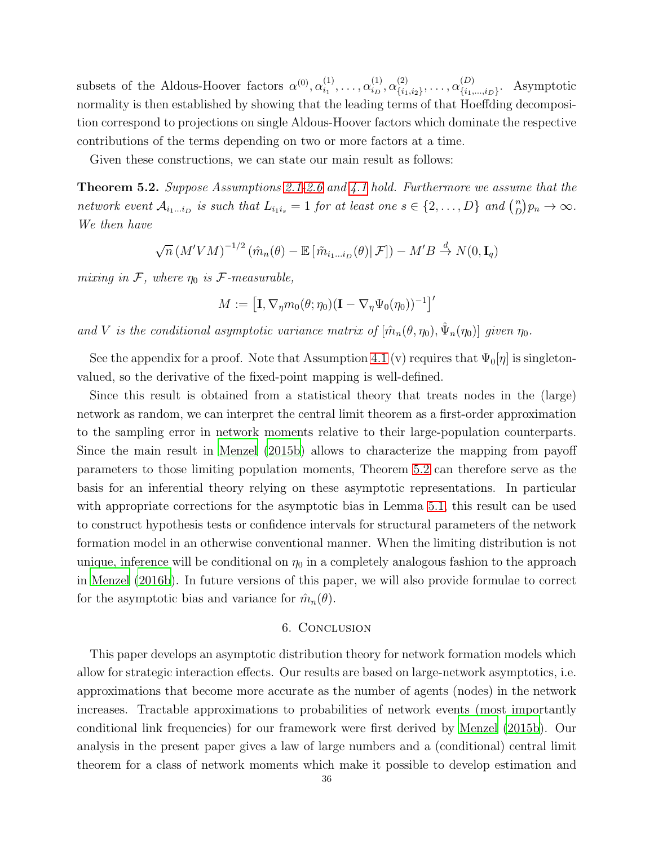subsets of the Aldous-Hoover factors  $\alpha^{(0)}, \alpha_{i_1}^{(1)}$  $\alpha_{i_1}^{(1)}, \ldots, \alpha_{i_D}^{(1)}$  $\alpha_{i_D}^{(1)},\alpha_{\{i_1} }^{(2)}$  ${\binom{(2)}{\{i_1,i_2\}}},\ldots,{\alpha{\binom{(D)}{\{i_1\}}}}$  $\{S_{i_1,\ldots,i_D\}}$ . Asymptotic normality is then established by showing that the leading terms of that Hoeffding decomposition correspond to projections on single Aldous-Hoover factors which dominate the respective contributions of the terms depending on two or more factors at a time.

Given these constructions, we can state our main result as follows:

<span id="page-35-0"></span>**Theorem 5.2.** Suppose Assumptions [2.1](#page-5-0)[-2.6](#page-12-1) and [4.1](#page-30-1) hold. Furthermore we assume that the network event  $\mathcal{A}_{i_1...i_p}$  is such that  $L_{i_1i_s} = 1$  for at least one  $s \in \{2,...,D\}$  and  $\binom{n}{D}$  $\binom{n}{D} p_n \to \infty.$ We then have

$$
\sqrt{n} (M'VM)^{-1/2} (\hat{m}_n(\theta) - \mathbb{E} [\tilde{m}_{i_1...i_D}(\theta) | \mathcal{F}]) - M'B \stackrel{d}{\to} N(0, \mathbf{I}_q)
$$

mixing in  $\mathcal{F}$ , where  $\eta_0$  is  $\mathcal{F}\text{-}measurable$ ,

$$
M := \left[\mathbf{I}, \nabla_{\eta} m_0(\theta; \eta_0)(\mathbf{I} - \nabla_{\eta} \Psi_0(\eta_0))^{-1}\right]'
$$

and V is the conditional asymptotic variance matrix of  $[\hat{m}_n(\theta, \eta_0), \hat{\Psi}_n(\eta_0)]$  given  $\eta_0$ .

See the appendix for a proof. Note that Assumption [4.1](#page-30-1) (v) requires that  $\Psi_0[\eta]$  is singletonvalued, so the derivative of the fixed-point mapping is well-defined.

Since this result is obtained from a statistical theory that treats nodes in the (large) network as random, we can interpret the central limit theorem as a first-order approximation to the sampling error in network moments relative to their large-population counterparts. Since the main result in [Menzel \(2015b](#page-38-0)) allows to characterize the mapping from payoff parameters to those limiting population moments, Theorem [5.2](#page-35-0) can therefore serve as the basis for an inferential theory relying on these asymptotic representations. In particular with appropriate corrections for the asymptotic bias in Lemma [5.1,](#page-34-0) this result can be used to construct hypothesis tests or confidence intervals for structural parameters of the network formation model in an otherwise conventional manner. When the limiting distribution is not unique, inference will be conditional on  $\eta_0$  in a completely analogous fashion to the approach in [Menzel \(2016b\)](#page-38-4). In future versions of this paper, we will also provide formulae to correct for the asymptotic bias and variance for  $\hat{m}_n(\theta)$ .

## 6. Conclusion

This paper develops an asymptotic distribution theory for network formation models which allow for strategic interaction effects. Our results are based on large-network asymptotics, i.e. approximations that become more accurate as the number of agents (nodes) in the network increases. Tractable approximations to probabilities of network events (most importantly conditional link frequencies) for our framework were first derived by [Menzel \(2015b](#page-38-0)). Our analysis in the present paper gives a law of large numbers and a (conditional) central limit theorem for a class of network moments which make it possible to develop estimation and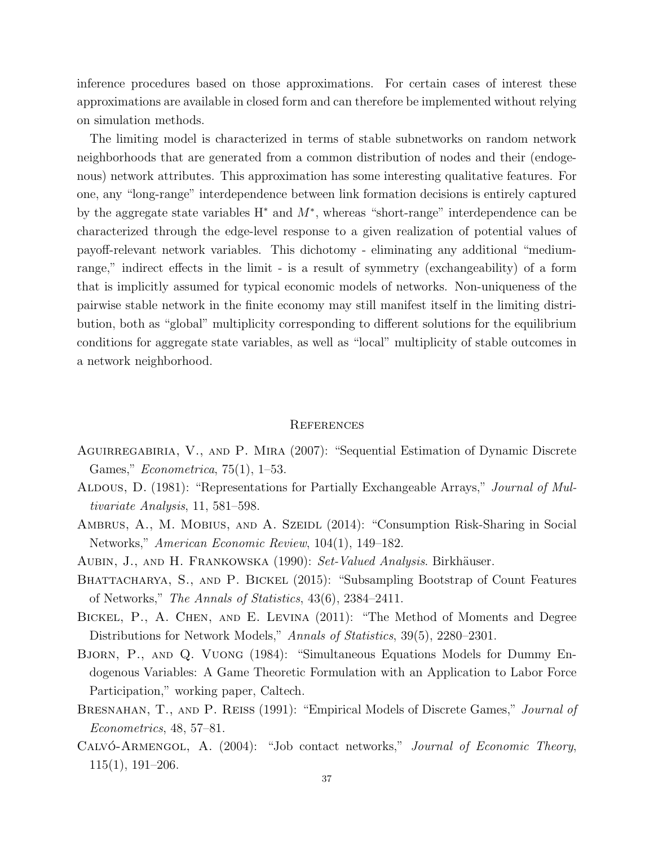inference procedures based on those approximations. For certain cases of interest these approximations are available in closed form and can therefore be implemented without relying on simulation methods.

The limiting model is characterized in terms of stable subnetworks on random network neighborhoods that are generated from a common distribution of nodes and their (endogenous) network attributes. This approximation has some interesting qualitative features. For one, any "long-range" interdependence between link formation decisions is entirely captured by the aggregate state variables  $H^*$  and  $M^*$ , whereas "short-range" interdependence can be characterized through the edge-level response to a given realization of potential values of payoff-relevant network variables. This dichotomy - eliminating any additional "mediumrange," indirect effects in the limit - is a result of symmetry (exchangeability) of a form that is implicitly assumed for typical economic models of networks. Non-uniqueness of the pairwise stable network in the finite economy may still manifest itself in the limiting distribution, both as "global" multiplicity corresponding to different solutions for the equilibrium conditions for aggregate state variables, as well as "local" multiplicity of stable outcomes in a network neighborhood.

## **REFERENCES**

- <span id="page-36-4"></span>AGUIRREGABIRIA, V., AND P. MIRA (2007): "Sequential Estimation of Dynamic Discrete Games," Econometrica, 75(1), 1–53.
- <span id="page-36-8"></span>ALDOUS, D. (1981): "Representations for Partially Exchangeable Arrays," Journal of Multivariate Analysis, 11, 581–598.
- <span id="page-36-1"></span>AMBRUS, A., M. MOBIUS, AND A. SZEIDL (2014): "Consumption Risk-Sharing in Social Networks," American Economic Review, 104(1), 149–182.
- <span id="page-36-7"></span>AUBIN, J., AND H. FRANKOWSKA (1990): Set-Valued Analysis. Birkhäuser.
- <span id="page-36-6"></span>BHATTACHARYA, S., AND P. BICKEL (2015): "Subsampling Bootstrap of Count Features of Networks," The Annals of Statistics, 43(6), 2384–2411.
- <span id="page-36-5"></span>Bickel, P., A. Chen, and E. Levina (2011): "The Method of Moments and Degree Distributions for Network Models," Annals of Statistics, 39(5), 2280–2301.
- <span id="page-36-2"></span>Bjorn, P., and Q. Vuong (1984): "Simultaneous Equations Models for Dummy Endogenous Variables: A Game Theoretic Formulation with an Application to Labor Force Participation," working paper, Caltech.
- <span id="page-36-3"></span>BRESNAHAN, T., AND P. REISS (1991): "Empirical Models of Discrete Games," Journal of Econometrics, 48, 57–81.
- <span id="page-36-0"></span>CALVÓ-ARMENGOL, A. (2004): "Job contact networks," *Journal of Economic Theory*, 115(1), 191–206.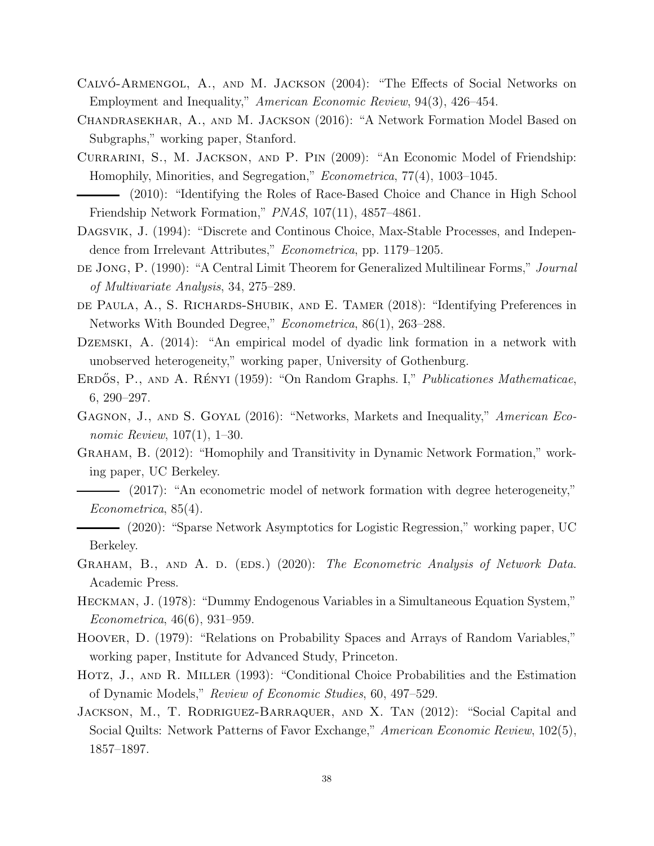- <span id="page-37-0"></span>CALVÓ-ARMENGOL, A., AND M. JACKSON (2004): "The Effects of Social Networks on Employment and Inequality," American Economic Review, 94(3), 426–454.
- <span id="page-37-9"></span>Chandrasekhar, A., and M. Jackson (2016): "A Network Formation Model Based on Subgraphs," working paper, Stanford.
- <span id="page-37-3"></span>Currarini, S., M. Jackson, and P. Pin (2009): "An Economic Model of Friendship: Homophily, Minorities, and Segregation," Econometrica, 77(4), 1003–1045.
- <span id="page-37-4"></span>(2010): "Identifying the Roles of Race-Based Choice and Chance in High School Friendship Network Formation," PNAS, 107(11), 4857–4861.
- <span id="page-37-15"></span>Dagsvik, J. (1994): "Discrete and Continous Choice, Max-Stable Processes, and Independence from Irrelevant Attributes," Econometrica, pp. 1179–1205.
- <span id="page-37-17"></span>de Jong, P. (1990): "A Central Limit Theorem for Generalized Multilinear Forms," Journal of Multivariate Analysis, 34, 275–289.
- <span id="page-37-10"></span>de Paula, A., S. Richards-Shubik, and E. Tamer (2018): "Identifying Preferences in Networks With Bounded Degree," Econometrica, 86(1), 263–288.
- <span id="page-37-12"></span>Dzemski, A. (2014): "An empirical model of dyadic link formation in a network with unobserved heterogeneity," working paper, University of Gothenburg.
- <span id="page-37-8"></span>ERDÓS, P., AND A. RÉNYI (1959): "On Random Graphs. I," *Publicationes Mathematicae*, 6, 290–297.
- <span id="page-37-2"></span>GAGNON, J., AND S. GOYAL (2016): "Networks, Markets and Inequality," American Economic Review, 107(1), 1–30.
- <span id="page-37-13"></span><span id="page-37-11"></span>Graham, B. (2012): "Homophily and Transitivity in Dynamic Network Formation," working paper, UC Berkeley.
	- (2017): "An econometric model of network formation with degree heterogeneity," Econometrica, 85(4).

<span id="page-37-7"></span>(2020): "Sparse Network Asymptotics for Logistic Regression," working paper, UC Berkeley.

- <span id="page-37-14"></span>GRAHAM, B., AND A. D. (EDS.) (2020): The Econometric Analysis of Network Data. Academic Press.
- <span id="page-37-5"></span>Heckman, J. (1978): "Dummy Endogenous Variables in a Simultaneous Equation System," Econometrica, 46(6), 931–959.
- <span id="page-37-16"></span>Hoover, D. (1979): "Relations on Probability Spaces and Arrays of Random Variables," working paper, Institute for Advanced Study, Princeton.
- <span id="page-37-6"></span>Hotz, J., and R. Miller (1993): "Conditional Choice Probabilities and the Estimation of Dynamic Models," Review of Economic Studies, 60, 497–529.
- <span id="page-37-1"></span>Jackson, M., T. Rodriguez-Barraquer, and X. Tan (2012): "Social Capital and Social Quilts: Network Patterns of Favor Exchange," American Economic Review, 102(5), 1857–1897.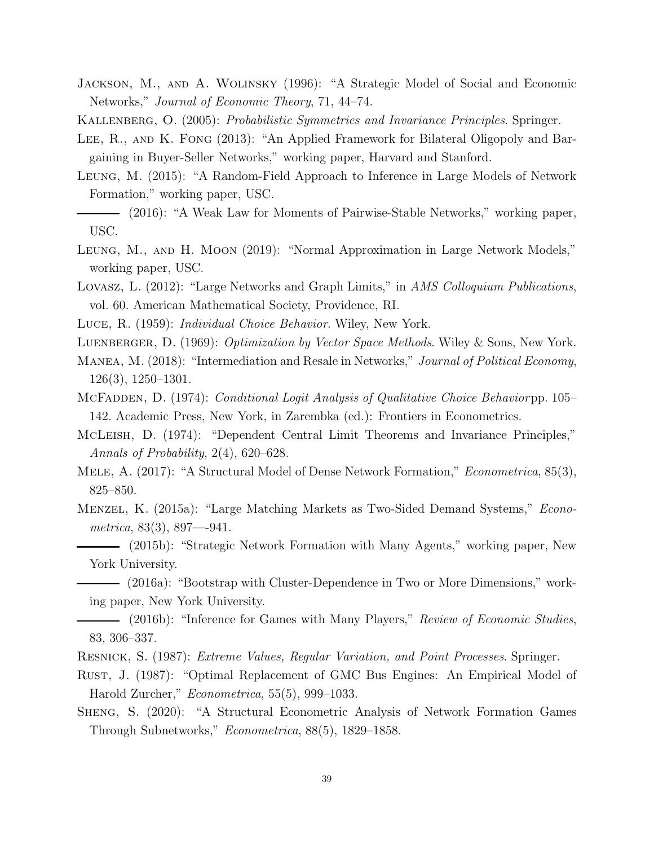- <span id="page-38-13"></span>Jackson, M., and A. Wolinsky (1996): "A Strategic Model of Social and Economic Networks," Journal of Economic Theory, 71, 44–74.
- <span id="page-38-18"></span>KALLENBERG, O. (2005): Probabilistic Symmetries and Invariance Principles. Springer.
- <span id="page-38-1"></span>LEE, R., AND K. FONG (2013): "An Applied Framework for Bilateral Oligopoly and Bargaining in Buyer-Seller Networks," working paper, Harvard and Stanford.
- <span id="page-38-8"></span>Leung, M. (2015): "A Random-Field Approach to Inference in Large Models of Network Formation," working paper, USC.
- <span id="page-38-6"></span>(2016): "A Weak Law for Moments of Pairwise-Stable Networks," working paper, USC.
- <span id="page-38-7"></span>Leung, M., and H. Moon (2019): "Normal Approximation in Large Network Models," working paper, USC.
- <span id="page-38-9"></span>Lovasz, L. (2012): "Large Networks and Graph Limits," in AMS Colloquium Publications, vol. 60. American Mathematical Society, Providence, RI.
- <span id="page-38-14"></span>Luce, R. (1959): Individual Choice Behavior. Wiley, New York.
- <span id="page-38-17"></span>LUENBERGER, D. (1969): *Optimization by Vector Space Methods*. Wiley & Sons, New York.
- <span id="page-38-2"></span>MANEA, M. (2018): "Intermediation and Resale in Networks," Journal of Political Economy, 126(3), 1250–1301.
- <span id="page-38-15"></span>MCFADDEN, D. (1974): *Conditional Logit Analysis of Qualitative Choice Behaviorpp.* 105– 142. Academic Press, New York, in Zarembka (ed.): Frontiers in Econometrics.
- <span id="page-38-19"></span>McLeish, D. (1974): "Dependent Central Limit Theorems and Invariance Principles," Annals of Probability, 2(4), 620–628.
- <span id="page-38-10"></span>MELE, A. (2017): "A Structural Model of Dense Network Formation," *Econometrica*, 85(3), 825–850.
- <span id="page-38-16"></span><span id="page-38-0"></span>Menzel, K. (2015a): "Large Matching Markets as Two-Sided Demand Systems," Econometrica, 83(3), 897—941.
	- (2015b): "Strategic Network Formation with Many Agents," working paper, New York University.
	- (2016a): "Bootstrap with Cluster-Dependence in Two or More Dimensions," working paper, New York University.
- <span id="page-38-5"></span><span id="page-38-4"></span>- (2016b): "Inference for Games with Many Players," Review of Economic Studies, 83, 306–337.
- <span id="page-38-12"></span>Resnick, S. (1987): Extreme Values, Regular Variation, and Point Processes. Springer.
- <span id="page-38-3"></span>Rust, J. (1987): "Optimal Replacement of GMC Bus Engines: An Empirical Model of Harold Zurcher," Econometrica, 55(5), 999–1033.
- <span id="page-38-11"></span>Sheng, S. (2020): "A Structural Econometric Analysis of Network Formation Games Through Subnetworks," Econometrica, 88(5), 1829–1858.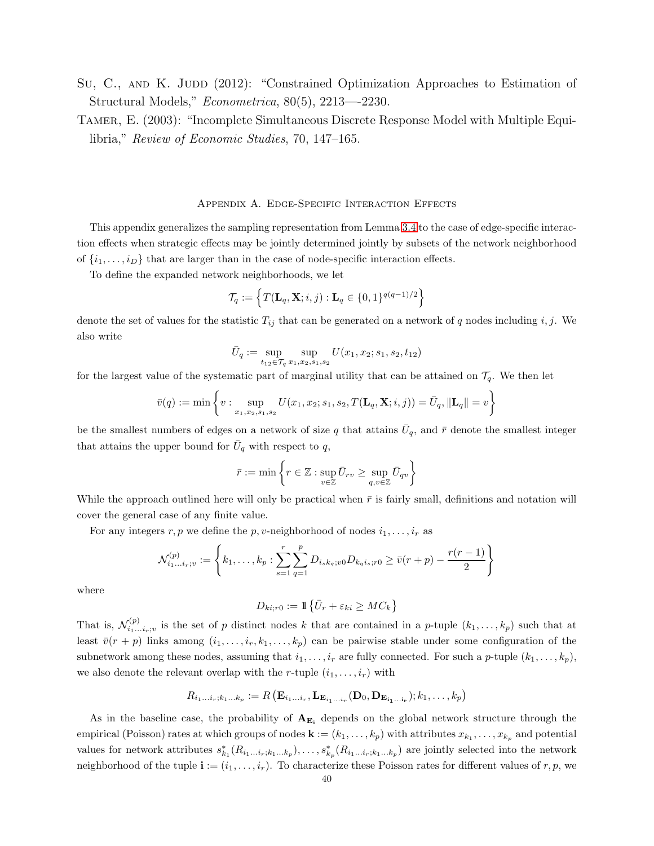- <span id="page-39-1"></span>Su, C., AND K. JUDD (2012): "Constrained Optimization Approaches to Estimation of Structural Models," Econometrica, 80(5), 2213—-2230.
- <span id="page-39-0"></span>Tamer, E. (2003): "Incomplete Simultaneous Discrete Response Model with Multiple Equilibria," Review of Economic Studies, 70, 147–165.

#### Appendix A. Edge-Specific Interaction Effects

<span id="page-39-2"></span>This appendix generalizes the sampling representation from Lemma [3.4](#page-23-0) to the case of edge-specific interaction effects when strategic effects may be jointly determined jointly by subsets of the network neighborhood of  $\{i_1, \ldots, i_D\}$  that are larger than in the case of node-specific interaction effects.

To define the expanded network neighborhoods, we let

$$
\mathcal{T}_q:=\Big\{T(\mathbf{L}_q,\mathbf{X};i,j):\mathbf{L}_q\in\{0,1\}^{q(q-1)/2}\Big\}
$$

denote the set of values for the statistic  $T_{ij}$  that can be generated on a network of q nodes including i, j. We also write

$$
\bar{U}_q := \sup_{t_{12} \in \mathcal{T}_q} \sup_{x_1, x_2, s_1, s_2} U(x_1, x_2; s_1, s_2, t_{12})
$$

for the largest value of the systematic part of marginal utility that can be attained on  $\mathcal{T}_q$ . We then let

$$
\bar{v}(q) := \min\left\{v: \sup_{x_1, x_2, s_1, s_2} U(x_1, x_2; s_1, s_2, T(\mathbf{L}_q, \mathbf{X}; i, j)) = \bar{U}_q, \|\mathbf{L}_q\| = v\right\}
$$

be the smallest numbers of edges on a network of size q that attains  $\bar{U}_q$ , and  $\bar{r}$  denote the smallest integer that attains the upper bound for  $\bar{U}_q$  with respect to q,

$$
\bar{r}:=\min\left\{r\in\mathbb{Z}: \sup_{v\in\mathbb{Z}}\bar{U}_{rv}\geq \sup_{q,v\in\mathbb{Z}}\bar{U}_{qv}\right\}
$$

While the approach outlined here will only be practical when  $\bar{r}$  is fairly small, definitions and notation will cover the general case of any finite value.

For any integers r, p we define the p, v-neighborhood of nodes  $i_1, \ldots, i_r$  as

$$
\mathcal{N}_{i_1...i_r;v}^{(p)} := \left\{ k_1, \ldots, k_p : \sum_{s=1}^r \sum_{q=1}^p D_{i_sk_q;v0} D_{k_qi_s;r0} \ge \bar{v}(r+p) - \frac{r(r-1)}{2} \right\}
$$

where

N

$$
D_{ki;r0} := \mathbb{1}\left\{\bar{U}_r + \varepsilon_{ki} \geq MC_k\right\}
$$

That is,  $\mathcal{N}_{i_1}^{(p)}$ .  $\sum_{i_1...i_r;v_i}^{(p)}$  is the set of p distinct nodes k that are contained in a p-tuple  $(k_1,...,k_p)$  such that at least  $\bar{v}(r + p)$  links among  $(i_1, \ldots, i_r, k_1, \ldots, k_p)$  can be pairwise stable under some configuration of the subnetwork among these nodes, assuming that  $i_1, \ldots, i_r$  are fully connected. For such a p-tuple  $(k_1, \ldots, k_p)$ , we also denote the relevant overlap with the r-tuple  $(i_1, \ldots, i_r)$  with

$$
R_{i_1\ldots i_r;k_1\ldots k_p} := R\left(\mathbf{E}_{i_1\ldots i_r}, \mathbf{L}_{\mathbf{E}_{i_1\ldots i_r}}(\mathbf{D}_0, \mathbf{D}_{\mathbf{E}_{i_1\ldots i_r}}); k_1, \ldots, k_p\right)
$$

As in the baseline case, the probability of  $A_{E_i}$  depends on the global network structure through the empirical (Poisson) rates at which groups of nodes  $\mathbf{k} := (k_1, \ldots, k_p)$  with attributes  $x_{k_1}, \ldots, x_{k_p}$  and potential values for network attributes  $s_{k_1}^*(R_{i_1...i_r,k_1...k_p}),\ldots,s_{k_p}^*(R_{i_1...i_r,k_1...k_p})$  are jointly selected into the network neighborhood of the tuple  $\mathbf{i} := (i_1, \ldots, i_r)$ . To characterize these Poisson rates for different values of r, p, we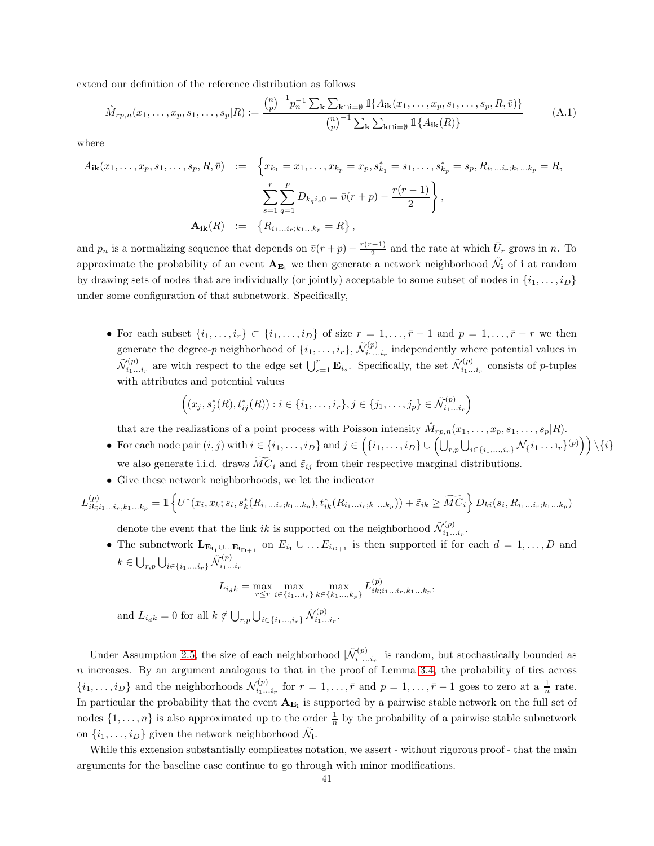extend our definition of the reference distribution as follows

$$
\hat{M}_{rp,n}(x_1,\ldots,x_p,s_1,\ldots,s_p|R) := \frac{\binom{n}{p}^{-1}p_n^{-1}\sum_{\mathbf{k}}\sum_{\mathbf{k}\cap\mathbf{i}=\emptyset} \mathbb{1}\{A_{\mathbf{i}\mathbf{k}}(x_1,\ldots,x_p,s_1,\ldots,s_p,R,\bar{v})\}}{\binom{n}{p}^{-1}\sum_{\mathbf{k}}\sum_{\mathbf{k}\cap\mathbf{i}=\emptyset} \mathbb{1}\{A_{\mathbf{i}\mathbf{k}}(R)\}}\tag{A.1}
$$

where

$$
A_{ik}(x_1, \ldots, x_p, s_1, \ldots, s_p, R, \bar{v}) := \left\{ x_{k_1} = x_1, \ldots, x_{k_p} = x_p, s_{k_1}^* = s_1, \ldots, s_{k_p}^* = s_p, R_{i_1 \ldots i_r; k_1 \ldots k_p} = R, \right\}
$$

$$
\sum_{s=1}^r \sum_{q=1}^p D_{k_q i_s 0} = \bar{v}(r+p) - \frac{r(r-1)}{2} \right\},
$$

$$
\mathbf{A}_{ik}(R) := \left\{ R_{i_1 \ldots i_r; k_1 \ldots k_p} = R \right\},
$$

and  $p_n$  is a normalizing sequence that depends on  $\bar{v}(r+p) - \frac{r(r-1)}{2}$  $\frac{(-1)}{2}$  and the rate at which  $\bar{U}_r$  grows in n. To approximate the probability of an event  $A_{E_i}$  we then generate a network neighborhood  $\tilde{\mathcal{N}}_i$  of  $i$  at random by drawing sets of nodes that are individually (or jointly) acceptable to some subset of nodes in  $\{i_1, \ldots, i_D\}$ under some configuration of that subnetwork. Specifically,

• For each subset  $\{i_1,\ldots,i_r\} \subset \{i_1,\ldots,i_D\}$  of size  $r=1,\ldots,\bar{r}-1$  and  $p=1,\ldots,\bar{r}-r$  we then generate the degree-p neighborhood of  $\{i_1, \ldots, i_r\}$ ,  $\tilde{\mathcal{N}}_{i_1 \ldots}^{(p)}$  $\zeta_{i_1...i_r}^{(p)}$  independently where potential values in  $\tilde{\mathcal{N}}_{i_1...i_r}^{(p)}$  are with respect to the edge set  $\bigcup_{s=1}^r \mathbf{E}_{i_s}$ . Specifically, the set  $\tilde{\mathcal{N}}_{i_1...i_r}^{(p)}$  consists of p-tuples with attributes and potential values

$$
((x_j, s_j^*(R), t_{ij}^*(R)) : i \in \{i_1, \ldots, i_r\}, j \in \{j_1, \ldots, j_p\} \in \tilde{\mathcal{N}}_{i_1 \ldots i_r}^{(p)})
$$

that are the realizations of a point process with Poisson intensity  $\hat{M}_{rp,n}(x_1,\ldots,x_p,s_1,\ldots,s_p|R)$ .

- For each node pair  $(i, j)$  with  $i \in \{i_1, \ldots, i_D\}$  and  $j \in \left(\{i_1, \ldots, i_D\} \cup \left(\bigcup_{r,p} \bigcup_{i \in \{i_1, \ldots, i_r\}} \mathcal{N}_{\{i_1 \ldots, i_r\}}(p)\right)\right) \setminus \{i\}$ we also generate i.i.d. draws  $\widetilde{MC}_i$  and  $\widetilde{\varepsilon}_{ij}$  from their respective marginal distributions.
- Give these network neighborhoods, we let the indicator

$$
L_{ik;i_1...i_r,k_1...k_p}^{(p)} = \mathbb{1} \left\{ U^*(x_i, x_k; s_i, s_k^*(R_{i_1...i_r;k_1...k_p}), t_{ik}^*(R_{i_1...i_r;k_1...k_p})) + \tilde{\varepsilon}_{ik} \geq \widetilde{MC}_i \right\} D_{ki}(s_i, R_{i_1...i_r;k_1...k_p})
$$

denote the event that the link *ik* is supported on the neighborhood  $\tilde{\mathcal{N}}_{i_1...i_r}^{(p)}$ .

• The subnetwork  $\mathbf{L}_{\mathbf{E}_{i_1} \cup \dots \mathbf{E}_{i_{D+1}}}$  on  $E_{i_1} \cup \dots E_{i_{D+1}}$  is then supported if for each  $d = 1, \dots, D$  and  $k \in \bigcup_{r,p} \bigcup_{i \in \{i_1, ..., i_r\}} \tilde{\mathcal{N}}_{i_1...i_r}^{(p)}$ 

$$
L_{i_{d}k} = \max_{r \leq \bar{r}} \max_{i \in \{i_1...i_r\}} \max_{k \in \{k_1...,k_p\}} L_{ik;i_1...i_r,k_1...k_p}^{(p)},
$$

and  $L_{i_{d}k} = 0$  for all  $k \notin \bigcup_{r,p} \bigcup_{i \in \{i_1, ..., i_r\}} \tilde{\mathcal{N}}_{i_1...i_r}^{(p)}$ .

Under Assumption [2.5,](#page-11-1) the size of each neighborhood  $|\tilde{\mathcal{N}}_{i_1}^{(p)}|$ .  $\sum_{i_1...i_r}^{(p)}$  is random, but stochastically bounded as  $n$  increases. By an argument analogous to that in the proof of Lemma [3.4,](#page-23-0) the probability of ties across  $\{i_1,\ldots,i_D\}$  and the neighborhoods  $\mathcal{N}_{i_1\ldots i_r}^{(p)}$  for  $r=1,\ldots,\bar{r}$  and  $p=1,\ldots,\bar{r}-1$  goes to zero at a  $\frac{1}{n}$  rate. In particular the probability that the event  $A_{E_i}$  is supported by a pairwise stable network on the full set of nodes  $\{1,\ldots,n\}$  is also approximated up to the order  $\frac{1}{n}$  by the probability of a pairwise stable subnetwork on  $\{i_1, \ldots, i_D\}$  given the network neighborhood  $\tilde{\mathcal{N}}_i$ .

While this extension substantially complicates notation, we assert - without rigorous proof - that the main arguments for the baseline case continue to go through with minor modifications.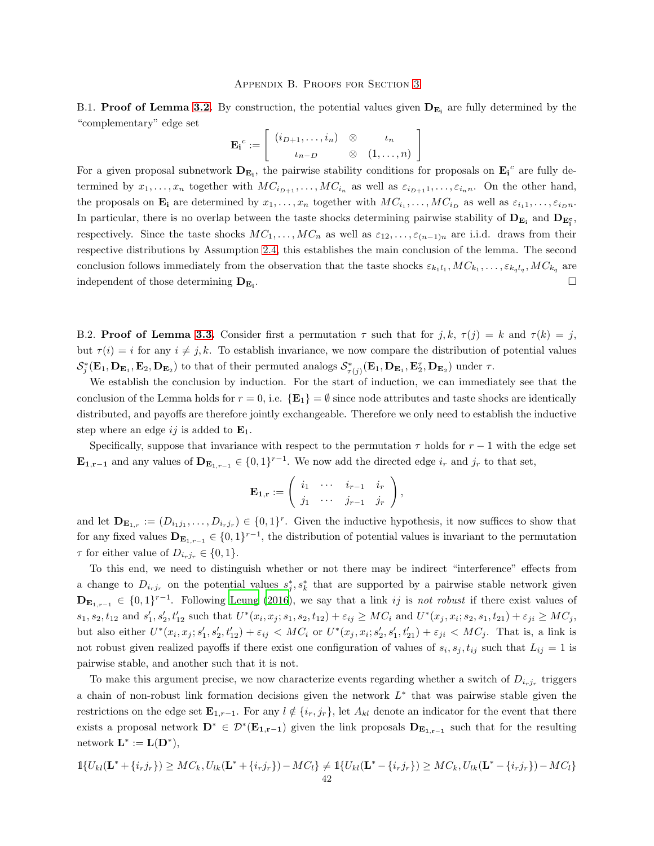B.1. Proof of Lemma [3.2.](#page-18-0) By construction, the potential values given  $D_{E_i}$  are fully determined by the "complementary" edge set

$$
\mathbf{E_i}^c := \left[ \begin{array}{ccc} (i_{D+1}, \ldots, i_n) & \otimes & \iota_n \\ i_{n-D} & \otimes & (1, \ldots, n) \end{array} \right]
$$

For a given proposal subnetwork  $D_{E_i}$ , the pairwise stability conditions for proposals on  $E_i^c$  are fully determined by  $x_1, \ldots, x_n$  together with  $MC_{i_{D+1}}, \ldots, MC_{i_n}$  as well as  $\varepsilon_{i_{D+1}}, \ldots, \varepsilon_{i_n}$ . On the other hand, the proposals on  $\mathbf{E_i}$  are determined by  $x_1, \ldots, x_n$  together with  $MC_{i_1}, \ldots, MC_{i_D}$  as well as  $\varepsilon_{i_1 1}, \ldots, \varepsilon_{i_D n}$ . In particular, there is no overlap between the taste shocks determining pairwise stability of  $D_{E_i}$  and  $D_{E_i^c}$ , respectively. Since the taste shocks  $MC_1, \ldots, MC_n$  as well as  $\varepsilon_{12}, \ldots, \varepsilon_{(n-1)n}$  are i.i.d. draws from their respective distributions by Assumption [2.4,](#page-11-0) this establishes the main conclusion of the lemma. The second conclusion follows immediately from the observation that the taste shocks  $\varepsilon_{k_1l_1}, MC_{k_1},\ldots,\varepsilon_{k_ql_q}, MC_{k_q}$  are independent of those determining  $D_{E_i}$ . .

B.2. **Proof of Lemma [3.3.](#page-20-1)** Consider first a permutation  $\tau$  such that for j, k,  $\tau(j) = k$  and  $\tau(k) = j$ , but  $\tau(i) = i$  for any  $i \neq j, k$ . To establish invariance, we now compare the distribution of potential values  $\mathcal{S}_j^*(\mathbf{E}_1, \mathbf{D}_{\mathbf{E}_1}, \mathbf{E}_2, \mathbf{D}_{\mathbf{E}_2})$  to that of their permuted analogs  $\mathcal{S}_{\tau(j)}^*(\mathbf{E}_1, \mathbf{D}_{\mathbf{E}_1}, \mathbf{E}_2^{\tau}, \mathbf{D}_{\mathbf{E}_2})$  under  $\tau$ .

We establish the conclusion by induction. For the start of induction, we can immediately see that the conclusion of the Lemma holds for  $r = 0$ , i.e.  $\{E_1\} = \emptyset$  since node attributes and taste shocks are identically distributed, and payoffs are therefore jointly exchangeable. Therefore we only need to establish the inductive step where an edge ij is added to  $\mathbf{E}_1$ .

Specifically, suppose that invariance with respect to the permutation  $\tau$  holds for  $r-1$  with the edge set  **and any values of**  $**D**<sub>**E**<sub>1,r-1</sub></sub> \in \{0,1\}^{r-1}$ **. We now add the directed edge**  $i_r$  **and**  $j_r$  **to that set,** 

$$
\mathbf{E}_{\mathbf{1},\mathbf{r}} := \left( \begin{array}{ccc} i_1 & \cdots & i_{r-1} & i_r \\ j_1 & \cdots & j_{r-1} & j_r \end{array} \right),
$$

and let  $\mathbf{D}_{\mathbf{E}_{1,r}} := (D_{i_1j_1}, \ldots, D_{i_rj_r}) \in \{0,1\}^r$ . Given the inductive hypothesis, it now suffices to show that for any fixed values  $D_{E_{1,r-1}} \in \{0,1\}^{r-1}$ , the distribution of potential values is invariant to the permutation  $\tau$  for either value of  $D_{i_rj_r} \in \{0,1\}.$ 

To this end, we need to distinguish whether or not there may be indirect "interference" effects from a change to  $D_{i_rj_r}$  on the potential values  $s_j^*, s_k^*$  that are supported by a pairwise stable network given  $\mathbf{D}_{\mathbf{E}_{1,r-1}} \in \{0,1\}^{r-1}$ . Following [Leung \(2016](#page-38-6)), we say that a link *ij* is not robust if there exist values of  $s_1, s_2, t_{12} \text{ and } s'_1, s'_2, t'_{12} \text{ such that } U^*(x_i, x_j; s_1, s_2, t_{12}) + \varepsilon_{ij} \geq MC_i \text{ and } U^*(x_j, x_i; s_2, s_1, t_{21}) + \varepsilon_{ji} \geq MC_j$ but also either  $U^*(x_i, x_j; s'_1, s'_2, t'_{12}) + \varepsilon_{ij} < MC_i$  or  $U^*(x_j, x_i; s'_2, s'_1, t'_{21}) + \varepsilon_{ji} < MC_j$ . That is, a link is not robust given realized payoffs if there exist one configuration of values of  $s_i, s_j, t_{ij}$  such that  $L_{ij} = 1$  is pairwise stable, and another such that it is not.

To make this argument precise, we now characterize events regarding whether a switch of  $D_{i_rj_r}$  triggers a chain of non-robust link formation decisions given the network  $L^*$  that was pairwise stable given the restrictions on the edge set  $\mathbf{E}_{1,r-1}$ . For any  $l \notin \{i_r, j_r\}$ , let  $A_{kl}$  denote an indicator for the event that there exists a proposal network  $D^* \in \mathcal{D}^*(E_{1,r-1})$  given the link proposals  $D_{E_{1,r-1}}$  such that for the resulting network  $\mathbf{L}^* := \mathbf{L}(\mathbf{D}^*),$ 

$$
\mathbb{1}\{U_{kl}(\mathbf{L}^* + \{i_rj_r\}) \geq MC_k, U_{lk}(\mathbf{L}^* + \{i_rj_r\}) - MC_l\} \neq \mathbb{1}\{U_{kl}(\mathbf{L}^* - \{i_rj_r\}) \geq MC_k, U_{lk}(\mathbf{L}^* - \{i_rj_r\}) - MC_l\}
$$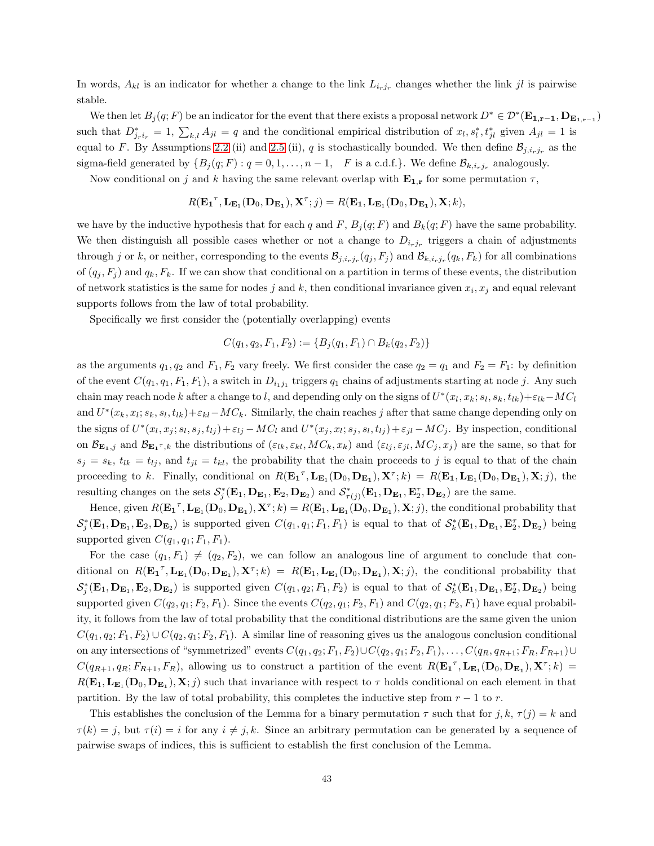In words,  $A_{kl}$  is an indicator for whether a change to the link  $L_{i_rj_r}$  changes whether the link jl is pairwise stable.

We then let  $B_j(q;F)$  be an indicator for the event that there exists a proposal network  $D^* \in \mathcal{D}^*(\mathbf{E_{1,r-1}}, \mathbf{D_{E_{1,r-1}}})$ such that  $D^*_{j_r i_r} = 1$ ,  $\sum_{k,l} A_{jl} = q$  and the conditional empirical distribution of  $x_l, s^*_l, t^*_{jl}$  given  $A_{jl} = 1$  is equal to F. By Assumptions [2.2](#page-10-0) (ii) and [2.5](#page-11-1) (ii), q is stochastically bounded. We then define  $\mathcal{B}_{j,i_rj_r}$  as the sigma-field generated by  $\{B_j(q;F): q = 0, 1, \ldots, n-1, F$  is a c.d.f.}. We define  $\mathcal{B}_{k,i_r,j_r}$  analogously.

Now conditional on j and k having the same relevant overlap with  $\mathbf{E_{1,r}}$  for some permutation  $\tau$ ,

$$
R(\mathbf{E_1}^\tau, \mathbf{L}_{\mathbf{E}_1}(\mathbf{D}_0, \mathbf{D}_{\mathbf{E}_1}), \mathbf{X}^\tau; j) = R(\mathbf{E_1}, \mathbf{L}_{\mathbf{E}_1}(\mathbf{D}_0, \mathbf{D}_{\mathbf{E}_1}), \mathbf{X}; k),
$$

we have by the inductive hypothesis that for each q and F,  $B_i(q; F)$  and  $B_k(q; F)$  have the same probability. We then distinguish all possible cases whether or not a change to  $D_{i_rj_r}$  triggers a chain of adjustments through j or k, or neither, corresponding to the events  $\mathcal{B}_{j,i_r,j_r}(q_j,F_j)$  and  $\mathcal{B}_{k,i_r,j_r}(q_k,F_k)$  for all combinations of  $(q_j, F_j)$  and  $q_k, F_k$ . If we can show that conditional on a partition in terms of these events, the distribution of network statistics is the same for nodes j and k, then conditional invariance given  $x_i, x_j$  and equal relevant supports follows from the law of total probability.

Specifically we first consider the (potentially overlapping) events

$$
C(q_1, q_2, F_1, F_2) := \{ B_j(q_1, F_1) \cap B_k(q_2, F_2) \}
$$

as the arguments  $q_1, q_2$  and  $F_1, F_2$  vary freely. We first consider the case  $q_2 = q_1$  and  $F_2 = F_1$ : by definition of the event  $C(q_1, q_1, F_1, F_1)$ , a switch in  $D_{i_1j_1}$  triggers  $q_1$  chains of adjustments starting at node j. Any such chain may reach node k after a change to l, and depending only on the signs of  $U^*(x_l, x_k; s_l, s_k, t_{lk}) + \varepsilon_{lk} - MC_l$ and  $U^*(x_k, x_l; s_k, s_l, t_{lk})+\varepsilon_{kl}-MC_k$ . Similarly, the chain reaches j after that same change depending only on the signs of  $U^*(x_l, x_j; s_l, s_j, t_{lj}) + \varepsilon_{lj} - MC_l$  and  $U^*(x_j, x_l; s_j, s_l, t_{lj}) + \varepsilon_{jl} - MC_j$ . By inspection, conditional on  $\mathcal{B}_{\mathbf{E_1},j}$  and  $\mathcal{B}_{\mathbf{E_1}^{\tau},k}$  the distributions of  $(\varepsilon_{lk},\varepsilon_{kl},MC_k,x_k)$  and  $(\varepsilon_{lj},\varepsilon_{jl},MC_j,x_j)$  are the same, so that for  $s_j = s_k$ ,  $t_{lk} = t_{lj}$ , and  $t_{jl} = t_{kl}$ , the probability that the chain proceeds to j is equal to that of the chain proceeding to k. Finally, conditional on  $R(\mathbf{E_1}^{\tau}, \mathbf{L_{E_1}(D_0, D_{E_1})}, \mathbf{X}^{\tau}; k) = R(\mathbf{E_1}, \mathbf{L_{E_1}(D_0, D_{E_1})}, \mathbf{X}; j)$ , the resulting changes on the sets  $\mathcal{S}_j^*(\mathbf{E}_1, \mathbf{D}_{\mathbf{E}_1}, \mathbf{E}_2, \mathbf{D}_{\mathbf{E}_2})$  and  $\mathcal{S}_{\tau(j)}^*(\mathbf{E}_1, \mathbf{D}_{\mathbf{E}_1}, \mathbf{E}_2^{\tau}, \mathbf{D}_{\mathbf{E}_2})$  are the same.

Hence, given  $R(\mathbf{E_1}^{\tau}, \mathbf{L_{E_1}}(\mathbf{D}_0, \mathbf{D_{E_1}}), \mathbf{X}^{\tau}; k) = R(\mathbf{E}_1, \mathbf{L_{E_1}}(\mathbf{D}_0, \mathbf{D_{E_1}}), \mathbf{X}; j)$ , the conditional probability that  $\mathcal{S}_j^*(\mathbf{E}_1, \mathbf{D}_{\mathbf{E}_1}, \mathbf{E}_2, \mathbf{D}_{\mathbf{E}_2})$  is supported given  $C(q_1, q_1; F_1, F_1)$  is equal to that of  $\mathcal{S}_k^*(\mathbf{E}_1, \mathbf{D}_{\mathbf{E}_1}, \mathbf{E}_2^{\tau}, \mathbf{D}_{\mathbf{E}_2})$  being supported given  $C(q_1, q_1; F_1, F_1)$ .

For the case  $(q_1, F_1) \neq (q_2, F_2)$ , we can follow an analogous line of argument to conclude that conditional on  $R(\mathbf{E_1}^{\tau}, \mathbf{L_{E_1}(D_0, D_{E_1})}, \mathbf{X}^{\tau}; k) = R(\mathbf{E_1}, \mathbf{L_{E_1}(D_0, D_{E_1})}, \mathbf{X}; j)$ , the conditional probability that  $\mathcal{S}_j^*(\mathbf{E}_1, \mathbf{D}_{\mathbf{E}_1}, \mathbf{E}_2, \mathbf{D}_{\mathbf{E}_2})$  is supported given  $C(q_1, q_2; F_1, F_2)$  is equal to that of  $\mathcal{S}_k^*(\mathbf{E}_1, \mathbf{D}_{\mathbf{E}_1}, \mathbf{E}_2^{\tau}, \mathbf{D}_{\mathbf{E}_2})$  being supported given  $C(q_2, q_1; F_2, F_1)$ . Since the events  $C(q_2, q_1; F_2, F_1)$  and  $C(q_2, q_1; F_2, F_1)$  have equal probability, it follows from the law of total probability that the conditional distributions are the same given the union  $C(q_1, q_2; F_1, F_2) \cup C(q_2, q_1; F_2, F_1)$ . A similar line of reasoning gives us the analogous conclusion conditional on any intersections of "symmetrized" events  $C(q_1, q_2; F_1, F_2) \cup C(q_2, q_1; F_2, F_1), \ldots, C(q_R, q_{R+1}; F_R, F_{R+1}) \cup$  $C(q_{R+1}, q_R; F_{R+1}, F_R)$ , allowing us to construct a partition of the event  $R(\mathbf{E_1}^{\tau}, \mathbf{L_{E_1}(D_0, D_{E_1})}, \mathbf{X}^{\tau}; k)$  =  $R(E_1, L_{E_1}(D_0, D_{E_1}), X; j)$  such that invariance with respect to  $\tau$  holds conditional on each element in that partition. By the law of total probability, this completes the inductive step from  $r - 1$  to r.

This establishes the conclusion of the Lemma for a binary permutation  $\tau$  such that for j, k,  $\tau(j) = k$  and  $\tau(k) = j$ , but  $\tau(i) = i$  for any  $i \neq j, k$ . Since an arbitrary permutation can be generated by a sequence of pairwise swaps of indices, this is sufficient to establish the first conclusion of the Lemma.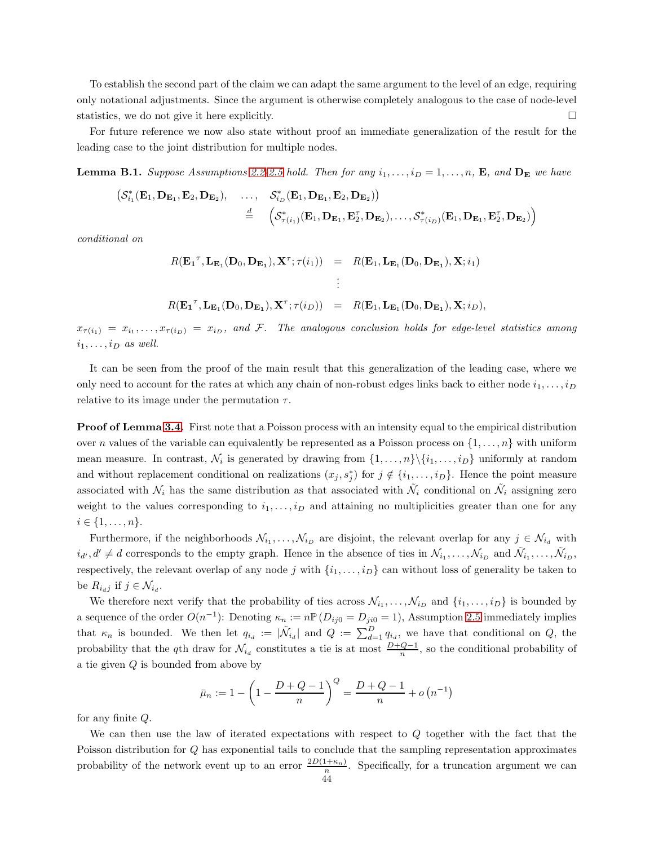To establish the second part of the claim we can adapt the same argument to the level of an edge, requiring only notational adjustments. Since the argument is otherwise completely analogous to the case of node-level statistics, we do not give it here explicitly.  $\Box$ 

For future reference we now also state without proof an immediate generalization of the result for the leading case to the joint distribution for multiple nodes.

**Lemma B.1.** Suppose Assumptions [2.2](#page-10-0)[-2.5](#page-11-1) hold. Then for any  $i_1, \ldots, i_D = 1, \ldots, n$ , **E**, and  $D_E$  we have

$$
\begin{array}{ccc} \left( \mathcal{S}_{i_1}^{*}(\mathbf{E}_1, \mathbf{D}_{\mathbf{E}_1}, \mathbf{E}_2, \mathbf{D}_{\mathbf{E}_2}), & \ldots, & \mathcal{S}_{i_D}^{*}(\mathbf{E}_1, \mathbf{D}_{\mathbf{E}_1}, \mathbf{E}_2, \mathbf{D}_{\mathbf{E}_2}) \right) \\ & \stackrel{d}{=} & \left( \mathcal{S}_{\tau(i_1)}^{*}(\mathbf{E}_1, \mathbf{D}_{\mathbf{E}_1}, \mathbf{E}_2^{ \tau}, \mathbf{D}_{\mathbf{E}_2}), \ldots, \mathcal{S}_{\tau(i_D)}^{*}(\mathbf{E}_1, \mathbf{D}_{\mathbf{E}_1}, \mathbf{E}_2^{ \tau}, \mathbf{D}_{\mathbf{E}_2}) \right) \end{array}
$$

conditional on

$$
R(\mathbf{E_1}^\tau, \mathbf{L}_{\mathbf{E}_1}(\mathbf{D}_0, \mathbf{D}_{\mathbf{E}_1}), \mathbf{X}^\tau; \tau(i_1)) = R(\mathbf{E}_1, \mathbf{L}_{\mathbf{E}_1}(\mathbf{D}_0, \mathbf{D}_{\mathbf{E}_1}), \mathbf{X}; i_1)
$$
  
 
$$
\vdots
$$
  
 
$$
R(\mathbf{E_1}^\tau, \mathbf{L}_{\mathbf{E}_1}(\mathbf{D}_0, \mathbf{D}_{\mathbf{E}_1}), \mathbf{X}^\tau; \tau(i_D)) = R(\mathbf{E}_1, \mathbf{L}_{\mathbf{E}_1}(\mathbf{D}_0, \mathbf{D}_{\mathbf{E}_1}), \mathbf{X}; i_D),
$$

 $x_{\tau(i_1)} = x_{i_1}, \ldots, x_{\tau(i_D)} = x_{i_D}, \text{ and } \mathcal{F}.$  The analogous conclusion holds for edge-level statistics among  $i_1, \ldots, i_D$  as well.

It can be seen from the proof of the main result that this generalization of the leading case, where we only need to account for the rates at which any chain of non-robust edges links back to either node  $i_1, \ldots, i_D$ relative to its image under the permutation  $\tau$ .

**Proof of Lemma [3.4.](#page-23-0)** First note that a Poisson process with an intensity equal to the empirical distribution over n values of the variable can equivalently be represented as a Poisson process on  $\{1, \ldots, n\}$  with uniform mean measure. In contrast,  $\mathcal{N}_i$  is generated by drawing from  $\{1, \ldots, n\} \setminus \{i_1, \ldots, i_D\}$  uniformly at random and without replacement conditional on realizations  $(x_j, s_j^*)$  for  $j \notin \{i_1, \ldots, i_D\}$ . Hence the point measure associated with  $\mathcal{N}_i$  has the same distribution as that associated with  $\tilde{\mathcal{N}}_i$  conditional on  $\tilde{\mathcal{N}}_i$  assigning zero weight to the values corresponding to  $i_1, \ldots, i_D$  and attaining no multiplicities greater than one for any  $i \in \{1, \ldots, n\}.$ 

Furthermore, if the neighborhoods  $\mathcal{N}_{i_1}, \ldots, \mathcal{N}_{i_D}$  are disjoint, the relevant overlap for any  $j \in \mathcal{N}_{i_d}$  with  $i_{d'}, d' \neq d$  corresponds to the empty graph. Hence in the absence of ties in  $\mathcal{N}_{i_1}, \ldots, \mathcal{N}_{i_D}$  and  $\tilde{\mathcal{N}}_{i_1}, \ldots, \tilde{\mathcal{N}}_{i_D}$ , respectively, the relevant overlap of any node j with  $\{i_1, \ldots, i_D\}$  can without loss of generality be taken to be  $R_{i_dj}$  if  $j \in \mathcal{N}_{i_d}$ .

We therefore next verify that the probability of ties across  $\mathcal{N}_{i_1}, \ldots, \mathcal{N}_{i_D}$  and  $\{i_1, \ldots, i_D\}$  is bounded by a sequence of the order  $O(n^{-1})$ : Denoting  $\kappa_n := n \mathbb{P}(D_{ij0} = D_{ji0} = 1)$ , Assumption [2.5](#page-11-1) immediately implies that  $\kappa_n$  is bounded. We then let  $q_{i_d} := |\tilde{\mathcal{N}}_{i_d}|$  and  $Q := \sum_{d=1}^D q_{i_d}$ , we have that conditional on  $Q$ , the probability that the qth draw for  $\mathcal{N}_{i_d}$  constitutes a tie is at most  $\frac{D+Q-1}{n}$ , so the conditional probability of a tie given Q is bounded from above by

$$
\bar{\mu}_n := 1 - \left(1 - \frac{D + Q - 1}{n}\right)^Q = \frac{D + Q - 1}{n} + o(n^{-1})
$$

for any finite Q.

We can then use the law of iterated expectations with respect to Q together with the fact that the Poisson distribution for Q has exponential tails to conclude that the sampling representation approximates probability of the network event up to an error  $\frac{2D(1+\kappa_n)}{n}$ . Specifically, for a truncation argument we can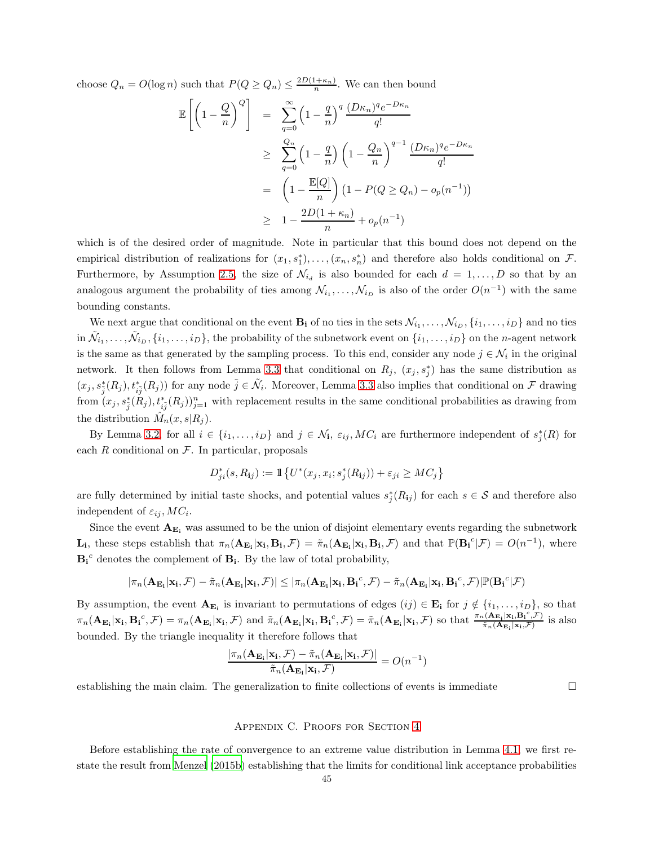choose  $Q_n = O(\log n)$  such that  $P(Q \geq Q_n) \leq \frac{2D(1+\kappa_n)}{n}$ . We can then bound

$$
\mathbb{E}\left[\left(1-\frac{Q}{n}\right)^{Q}\right] = \sum_{q=0}^{\infty} \left(1-\frac{q}{n}\right)^{q} \frac{(D\kappa_{n})^{q}e^{-D\kappa_{n}}}{q!}
$$
  
\n
$$
\geq \sum_{q=0}^{Q_{n}} \left(1-\frac{q}{n}\right) \left(1-\frac{Q_{n}}{n}\right)^{q-1} \frac{(D\kappa_{n})^{q}e^{-D\kappa_{n}}}{q!}
$$
  
\n
$$
= \left(1-\frac{\mathbb{E}[Q]}{n}\right) \left(1-P(Q \geq Q_{n})-o_{p}(n^{-1})\right)
$$
  
\n
$$
\geq 1-\frac{2D(1+\kappa_{n})}{n}+o_{p}(n^{-1})
$$

which is of the desired order of magnitude. Note in particular that this bound does not depend on the empirical distribution of realizations for  $(x_1, s_1^*), \ldots, (x_n, s_n^*)$  and therefore also holds conditional on  $\mathcal{F}$ . Furthermore, by Assumption [2.5,](#page-11-1) the size of  $\mathcal{N}_{i_d}$  is also bounded for each  $d = 1, \ldots, D$  so that by an analogous argument the probability of ties among  $\mathcal{N}_{i_1}, \ldots, \mathcal{N}_{i_D}$  is also of the order  $O(n^{-1})$  with the same bounding constants.

We next argue that conditional on the event  $B_i$  of no ties in the sets  $\mathcal{N}_{i_1}, \ldots, \mathcal{N}_{i_D}, \{i_1, \ldots, i_D\}$  and no ties  $\{\tilde{M}_{i_1},\ldots,\tilde{M}_{i_D},\{i_1,\ldots,i_D\},$  the probability of the subnetwork event on  $\{i_1,\ldots,i_D\}$  on the n-agent network is the same as that generated by the sampling process. To this end, consider any node  $j \in \mathcal{N}_i$  in the original network. It then follows from Lemma [3.3](#page-20-1) that conditional on  $R_j$ ,  $(x_j, s_j^*)$  has the same distribution as  $(x_j, s_j^*(R_j), t_{i\tilde{j}}^*(R_j))$  for any node  $\tilde{j} \in \tilde{\mathcal{N}}_i$ . Moreover, Lemma [3.3](#page-20-1) also implies that conditional on  $\mathcal F$  drawing from  $(x_j, s_j^*(R_j), t_{ij}^*(R_j))_{j=1}^n$  with replacement results in the same conditional probabilities as drawing from the distribution  $\hat{M}_n(x, s | R_j)$ .

By Lemma [3.2,](#page-18-0) for all  $i \in \{i_1, \ldots, i_D\}$  and  $j \in \mathcal{N}_i$ ,  $\varepsilon_{ij}$ ,  $MC_i$  are furthermore independent of  $s_j^*(R)$  for each  $R$  conditional on  $\mathcal F$ . In particular, proposals

$$
D_{ji}^*(s, R_{ij}) := \mathbb{1}\left\{U^*(x_j, x_i; s_j^*(R_{ij})) + \varepsilon_{ji} \geq MC_j\right\}
$$

are fully determined by initial taste shocks, and potential values  $s_j^*(R_{ij})$  for each  $s \in \mathcal{S}$  and therefore also independent of  $\varepsilon_{ij}$ ,  $MC_i$ .

Since the event  $A_{E_i}$  was assumed to be the union of disjoint elementary events regarding the subnetwork  $\mathbf{L_i}$ , these steps establish that  $\pi_n(\mathbf{A}_{\mathbf{E_i}}|\mathbf{x_i}, \mathbf{B_i}, \mathcal{F}) = \tilde{\pi}_n(\mathbf{A}_{\mathbf{E_i}}|\mathbf{x_i}, \mathbf{B_i}, \mathcal{F})$  and that  $\mathbb{P}(\mathbf{B_i}^c|\mathcal{F}) = O(n^{-1})$ , where  $B_i^c$  denotes the complement of  $B_i$ . By the law of total probability,

$$
|\pi_n(\mathbf{A}_{\mathbf{E_i}}|\mathbf{x_i}, \mathcal{F}) - \tilde{\pi}_n(\mathbf{A}_{\mathbf{E_i}}|\mathbf{x_i}, \mathcal{F})| \leq |\pi_n(\mathbf{A}_{\mathbf{E_i}}|\mathbf{x_i}, \mathbf{B_i}^c, \mathcal{F}) - \tilde{\pi}_n(\mathbf{A}_{\mathbf{E_i}}|\mathbf{x_i}, \mathbf{B_i}^c, \mathcal{F})| \mathbb{P}(\mathbf{B_i}^c | \mathcal{F})
$$

By assumption, the event  $A_{E_i}$  is invariant to permutations of edges  $(ij) \in E_i$  for  $j \notin \{i_1, \ldots, i_D\}$ , so that  $\pi_n(\mathbf{A}_{\mathbf{E_i}}|\mathbf{x_i},\mathbf{B_i}^c,\mathcal{F}) = \pi_n(\mathbf{A}_{\mathbf{E_i}}|\mathbf{x_i},\mathcal{F})$  and  $\tilde{\pi}_n(\mathbf{A}_{\mathbf{E_i}}|\mathbf{x_i},\mathbf{B_i}^c,\mathcal{F}) = \tilde{\pi}_n(\mathbf{A}_{\mathbf{E_i}}|\mathbf{x_i},\mathcal{F})$  so that  $\frac{\pi_n(\mathbf{A}_{\mathbf{E_i}}|\mathbf{x_i},\mathbf{B_i}^c,\mathcal{F})}{\tilde{\pi}_n(\mathbf{A}_{\mathbf{E_i}}|\math$  $\frac{\pi_{\mathbf{E}_{\mathbf{i}}|\mathbf{x}_{\mathbf{i}},\mathbf{D}_{\mathbf{i}}|,\mathcal{F}}}{\pi_n(\mathbf{A}_{\mathbf{E}_{\mathbf{i}}|\mathbf{x}_{\mathbf{i}},\mathcal{F})}$  is also bounded. By the triangle inequality it therefore follows that

$$
\frac{|\pi_n(\mathbf{A}_{\mathbf{E_i}}|\mathbf{x_i}, \mathcal{F}) - \tilde{\pi}_n(\mathbf{A}_{\mathbf{E_i}}|\mathbf{x_i}, \mathcal{F})|}{\tilde{\pi}_n(\mathbf{A}_{\mathbf{E_i}}|\mathbf{x_i}, \mathcal{F})} = O(n^{-1})
$$

establishing the main claim. The generalization to finite collections of events is immediate  $\square$ 

#### Appendix C. Proofs for Section [4](#page-24-0)

Before establishing the rate of convergence to an extreme value distribution in Lemma [4.1,](#page-25-0) we first restate the result from [Menzel \(2015b\)](#page-38-0) establishing that the limits for conditional link acceptance probabilities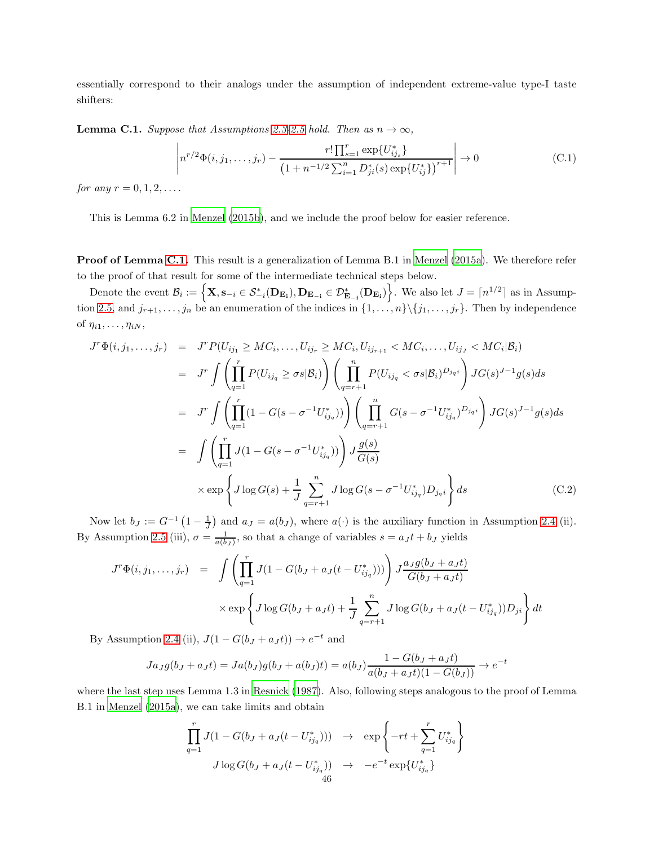essentially correspond to their analogs under the assumption of independent extreme-value type-I taste shifters:

<span id="page-45-0"></span>**Lemma C.1.** Suppose that Assumptions [2.3](#page-10-1)[-2.5](#page-11-1) hold. Then as  $n \to \infty$ ,

$$
\left| n^{r/2} \Phi(i, j_1, \dots, j_r) - \frac{r! \prod_{s=1}^r \exp\{U_{ij_s}^*\}}{\left(1 + n^{-1/2} \sum_{i=1}^n D_{ji}^*(s) \exp\{U_{ij}^*\}\right)^{r+1}} \right| \to 0
$$
\n(C.1)

*for any*  $r = 0, 1, 2, \ldots$ .

This is Lemma 6.2 in [Menzel \(2015b](#page-38-0)), and we include the proof below for easier reference.

Proof of Lemma [C.1.](#page-45-0) This result is a generalization of Lemma B.1 in [Menzel \(2015a\)](#page-38-16). We therefore refer to the proof of that result for some of the intermediate technical steps below.

Denote the event  $\mathcal{B}_i := \left\{ \mathbf{X}, \mathbf{s}_{-i} \in \mathcal{S}_{-i}^*(\mathbf{D}_{\mathbf{E}_i}), \mathbf{D}_{\mathbf{E}_{-i}} \in \mathcal{D}_{\mathbf{E}_{-i}}^*(\mathbf{D}_{\mathbf{E}_i}) \right\}$ . We also let  $J = \lceil n^{1/2} \rceil$  as in Assump-tion [2.5,](#page-11-1) and  $j_{r+1}, \ldots, j_n$  be an enumeration of the indices in  $\{1, \ldots, n\} \setminus \{j_1, \ldots, j_r\}$ . Then by independence of  $\eta_{i1}, \ldots, \eta_{iN}$ ,

<span id="page-45-1"></span>
$$
J^{r}\Phi(i,j_{1},...,j_{r}) = J^{r}P(U_{ij_{1}} \geq MC_{i},...,U_{ij_{r}} \geq MC_{i},U_{ij_{r+1}} < MC_{i},...,U_{ij_{J}} < MC_{i}|\mathcal{B}_{i})
$$
  
\n
$$
= J^{r} \int \left(\prod_{q=1}^{r} P(U_{ij_{q}} \geq \sigma s | \mathcal{B}_{i})\right) \left(\prod_{q=r+1}^{n} P(U_{ij_{q}} < \sigma s | \mathcal{B}_{i})^{D_{j_{q}i}}\right) JG(s)^{J-1}g(s)ds
$$
  
\n
$$
= J^{r} \int \left(\prod_{q=1}^{r} (1 - G(s - \sigma^{-1}U_{ij_{q}}^{*}))\right) \left(\prod_{q=r+1}^{n} G(s - \sigma^{-1}U_{ij_{q}}^{*})^{D_{j_{q}i}}\right) JG(s)^{J-1}g(s)ds
$$
  
\n
$$
= \int \left(\prod_{q=1}^{r} J(1 - G(s - \sigma^{-1}U_{ij_{q}}^{*}))\right) J\frac{g(s)}{G(s)}
$$
  
\n
$$
\times \exp\left\{J \log G(s) + \frac{1}{J} \sum_{q=r+1}^{n} J \log G(s - \sigma^{-1}U_{ij_{q}}^{*})D_{j_{q}i}\right\} ds
$$
(C.2)

Now let  $b_J := G^{-1} \left(1 - \frac{1}{J}\right)$  and  $a_J = a(b_J)$ , where  $a(\cdot)$  is the auxiliary function in Assumption [2.4](#page-11-0) (ii). By Assumption [2.5](#page-11-1) (iii),  $\sigma = \frac{1}{a(b_J)}$ , so that a change of variables  $s = a_J t + b_J$  yields

$$
J^r \Phi(i, j_1, ..., j_r) = \int \left( \prod_{q=1}^r J(1 - G(b_J + a_J(t - U_{ij_q}^*))) \right) J \frac{a_J g(b_J + a_J t)}{G(b_J + a_J t)}
$$
  
 
$$
\times \exp \left\{ J \log G(b_J + a_J t) + \frac{1}{J} \sum_{q=r+1}^n J \log G(b_J + a_J(t - U_{ij_q}^*)) D_{ji} \right\} dt
$$

By Assumption [2.4](#page-11-0) (ii),  $J(1 - G(b_J + a_J t)) \rightarrow e^{-t}$  and

$$
Ja_{J}g(b_{J} + a_{J}t) = Ja(b_{J})g(b_{J} + a(b_{J})t) = a(b_{J})\frac{1 - G(b_{J} + a_{J}t)}{a(b_{J} + a_{J}t)(1 - G(b_{J}))} \rightarrow e^{-t}
$$

where the last step uses Lemma 1.3 in [Resnick \(1987\)](#page-38-12). Also, following steps analogous to the proof of Lemma B.1 in [Menzel \(2015a\)](#page-38-16), we can take limits and obtain

$$
\prod_{q=1}^{r} J(1 - G(b_J + a_J(t - U_{ij_q}^*))) \rightarrow \exp\left\{-rt + \sum_{q=1}^{r} U_{ij_q}^*\right\}
$$

$$
J \log G(b_J + a_J(t - U_{ij_q}^*)) \rightarrow -e^{-t} \exp\{U_{ij_q}^*\}
$$
46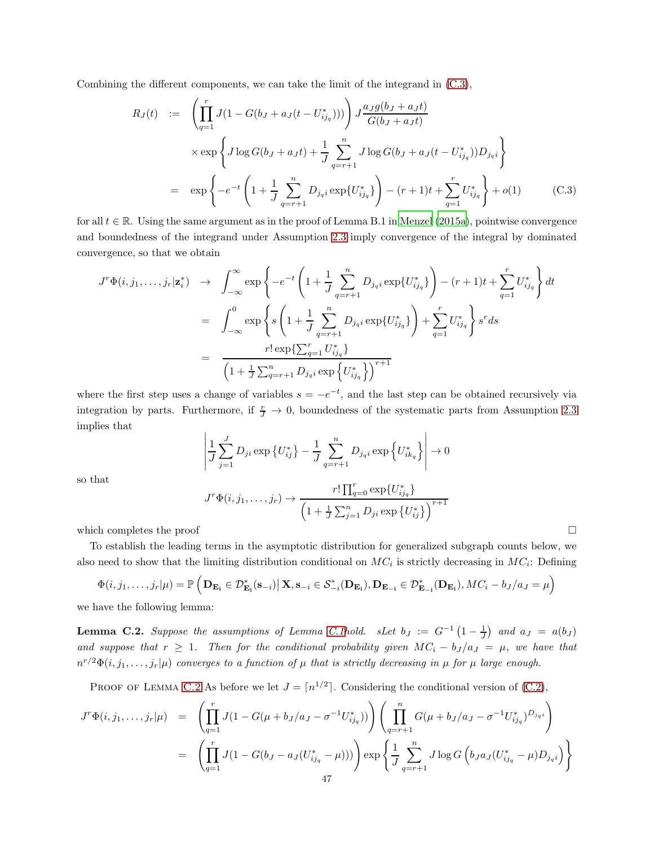Combining the different components, we can take the limit of the integrand in [\(C.3\)](#page-46-0),

<span id="page-46-0"></span>
$$
R_J(t) := \left(\prod_{q=1}^r J(1 - G(b_J + a_J(t - U_{ij_q}^*)))\right) J \frac{a_J g(b_J + a_J t)}{G(b_J + a_J t)}
$$
  
\n
$$
\times \exp\left\{J \log G(b_J + a_J t) + \frac{1}{J} \sum_{q=r+1}^n J \log G(b_J + a_J(t - U_{ij_q}^*)) D_{j_q i}\right\}
$$
  
\n
$$
= \exp\left\{-e^{-t} \left(1 + \frac{1}{J} \sum_{q=r+1}^n D_{j_q i} \exp\{U_{ij_q}^*\}\right) - (r+1)t + \sum_{q=1}^r U_{ij_q}^*\right\} + o(1) \qquad (C.3)
$$

for all  $t \in \mathbb{R}$ . Using the same argument as in the proof of Lemma B.1 in [Menzel \(2015a](#page-38-16)), pointwise convergence and boundedness of the integrand under Assumption [2.3](#page-10-1) imply convergence of the integral by dominated convergence, so that we obtain

$$
J^{r}\Phi(i,j_{1},...,j_{r}|\mathbf{z}_{i}^{*}) \rightarrow \int_{-\infty}^{\infty} \exp\left\{-e^{-t}\left(1+\frac{1}{J}\sum_{q=r+1}^{n}D_{j_{q}i}\exp\{U_{ij_{q}}^{*}\}\right) - (r+1)t + \sum_{q=1}^{r}U_{ij_{q}}^{*}\right\}dt
$$

$$
= \int_{-\infty}^{0} \exp\left\{s\left(1+\frac{1}{J}\sum_{q=r+1}^{n}D_{j_{q}i}\exp\{U_{ij_{q}}^{*}\}\right) + \sum_{q=1}^{r}U_{ij_{q}}^{*}\right\}s^{r}ds
$$

$$
= \frac{r!\exp\{\sum_{q=1}^{r}U_{ij_{q}}^{*}\}}{\left(1+\frac{1}{J}\sum_{q=r+1}^{n}D_{j_{q}i}\exp\{U_{ij_{q}}^{*}\}\right)^{r+1}}
$$

where the first step uses a change of variables  $s = -e^{-t}$ , and the last step can be obtained recursively via integration by parts. Furthermore, if  $\frac{r}{J} \to 0$ , boundedness of the systematic parts from Assumption [2.3](#page-10-1) implies that

$$
\left| \frac{1}{J} \sum_{j=1}^{J} D_{ji} \exp\left\{ U_{ij}^* \right\} - \frac{1}{J} \sum_{q=r+1}^{n} D_{j_q i} \exp\left\{ U_{ik_q}^* \right\} \right| \to 0
$$

so that

$$
J^{r}\Phi(i,j_{1},\ldots,j_{r}) \to \frac{r!\prod_{q=0}^{r} \exp\{U_{ij_{q}}^{*}\}}{\left(1+\frac{1}{J}\sum_{j=1}^{n} D_{ji} \exp\{U_{ij}^{*}\}\right)^{r+1}}
$$

which completes the proof

To establish the leading terms in the asymptotic distribution for generalized subgraph counts below, we also need to show that the limiting distribution conditional on  $MC_i$  is strictly decreasing in  $MC_i$ : Defining

$$
\Phi(i,j_1,\ldots,j_r|\mu) = \mathbb{P}\left(\mathbf{D}_{\mathbf{E_i}} \in \mathcal{D}^*_{\mathbf{E_i}}(\mathbf{s}_{-i}) \big| \mathbf{X}, \mathbf{s}_{-i} \in \mathcal{S}^*_{-i}(\mathbf{D}_{\mathbf{E_i}}), \mathbf{D}_{\mathbf{E_{-i}}} \in \mathcal{D}^*_{\mathbf{E_{-i}}}(\mathbf{D}_{\mathbf{E_i}}), MC_i - b_J/a_J = \mu\right)
$$

we have the following lemma:

<span id="page-46-1"></span>**Lemma C.2.** Suppose the assumptions of Lemma [C.1h](#page-45-0)old. sLet  $b_J := G^{-1}(1-\frac{1}{J})$  and  $a_J = a(b_J)$ and suppose that  $r \geq 1$ . Then for the conditional probability given  $MC_i - b_j/a_j = \mu$ , we have that  $n^{r/2}\Phi(i,j_1,\ldots,j_r|\mu)$  converges to a function of  $\mu$  that is strictly decreasing in  $\mu$  for  $\mu$  large enough.

PROOF OF LEMMA [C.2](#page-46-1) As before we let  $J = \lceil n^{1/2} \rceil$ . Considering the conditional version of [\(C.2\)](#page-45-1),

$$
J^r \Phi(i, j_1, \dots, j_r | \mu) = \left( \prod_{q=1}^r J(1 - G(\mu + b_J/a_J - \sigma^{-1} U_{ij_q}^*)) \right) \left( \prod_{q=r+1}^n G(\mu + b_J/a_J - \sigma^{-1} U_{ij_q}^*)^{D_{j_q i}} \right)
$$
  

$$
= \left( \prod_{q=1}^r J(1 - G(b_J - a_J(U_{ij_q}^* - \mu))) \right) \exp \left\{ \frac{1}{J} \sum_{q=r+1}^n J \log G \left( b_J a_J (U_{ij_q}^* - \mu) D_{j_q i} \right) \right\}
$$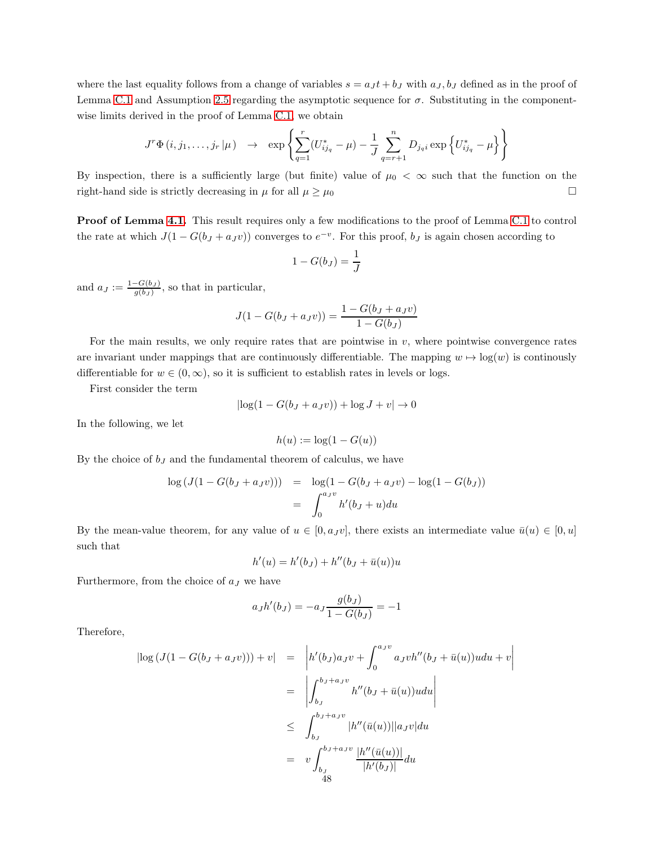where the last equality follows from a change of variables  $s = a_J t + b_J$  with  $a_J, b_J$  defined as in the proof of Lemma [C.1](#page-45-0) and Assumption [2.5](#page-11-1) regarding the asymptotic sequence for  $\sigma$ . Substituting in the componentwise limits derived in the proof of Lemma [C.1,](#page-45-0) we obtain

$$
J^r \Phi(i, j_1, \dots, j_r | \mu) \rightarrow \exp \left\{ \sum_{q=1}^r (U_{ij_q}^* - \mu) - \frac{1}{J} \sum_{q=r+1}^n D_{j_q i} \exp \left\{ U_{ij_q}^* - \mu \right\} \right\}
$$

By inspection, there is a sufficiently large (but finite) value of  $\mu_0 < \infty$  such that the function on the right-hand side is strictly decreasing in  $\mu$  for all  $\mu \ge \mu_0$ 

Proof of Lemma [4.1.](#page-25-0) This result requires only a few modifications to the proof of Lemma [C.1](#page-45-0) to control the rate at which  $J(1 - G(b_J + a_J v))$  converges to  $e^{-v}$ . For this proof,  $b_J$  is again chosen according to

$$
1 - G(b_J) = \frac{1}{J}
$$

and  $a_J := \frac{1-G(b_J)}{g(b_J)}$  $\frac{-G(b_J)}{g(b_J)}$ , so that in particular,

$$
J(1 - G(bJ + aJv)) = \frac{1 - G(bJ + aJv)}{1 - G(bJ)}
$$

For the main results, we only require rates that are pointwise in  $v$ , where pointwise convergence rates are invariant under mappings that are continuously differentiable. The mapping  $w \mapsto \log(w)$  is continously differentiable for  $w \in (0, \infty)$ , so it is sufficient to establish rates in levels or logs.

First consider the term

$$
|\log(1 - G(b_J + a_J v)) + \log J + v| \to 0
$$

In the following, we let

$$
h(u) := \log(1 - G(u))
$$

By the choice of  $b_J$  and the fundamental theorem of calculus, we have

$$
\log (J(1 - G(b_J + a_J v))) = \log(1 - G(b_J + a_J v) - \log(1 - G(b_J))
$$
  
= 
$$
\int_0^{a_J v} h'(b_J + u) du
$$

By the mean-value theorem, for any value of  $u \in [0, a_J v]$ , there exists an intermediate value  $\bar{u}(u) \in [0, u]$ such that

$$
h'(u) = h'(b_{J}) + h''(b_{J} + \bar{u}(u))u
$$

Furthermore, from the choice of  $a_J$  we have

$$
a_J h'(b_J) = -a_J \frac{g(b_J)}{1 - G(b_J)} = -1
$$

Therefore,

$$
\begin{array}{rcl}\n|\log\left(J(1-G(b_J+a_Jv))\right)+v| & = & \left|h'(b_J)a_Jv+\int_0^{a_Jv}a_Jvh''(b_J+\bar{u}(u))udu+v\right| \\
 & = & \left|\int_{b_J}^{b_J+a_Jv}h''(b_J+\bar{u}(u))udu\right| \\
 & \leq & \int_{b_J}^{b_J+a_Jv} |h''(\bar{u}(u))||a_Jv|du \\
 & = & v \int_{b_J}^{b_J+a_Jv} \frac{|h''(\bar{u}(u))|}{|h'(b_J)|}du\n\end{array}
$$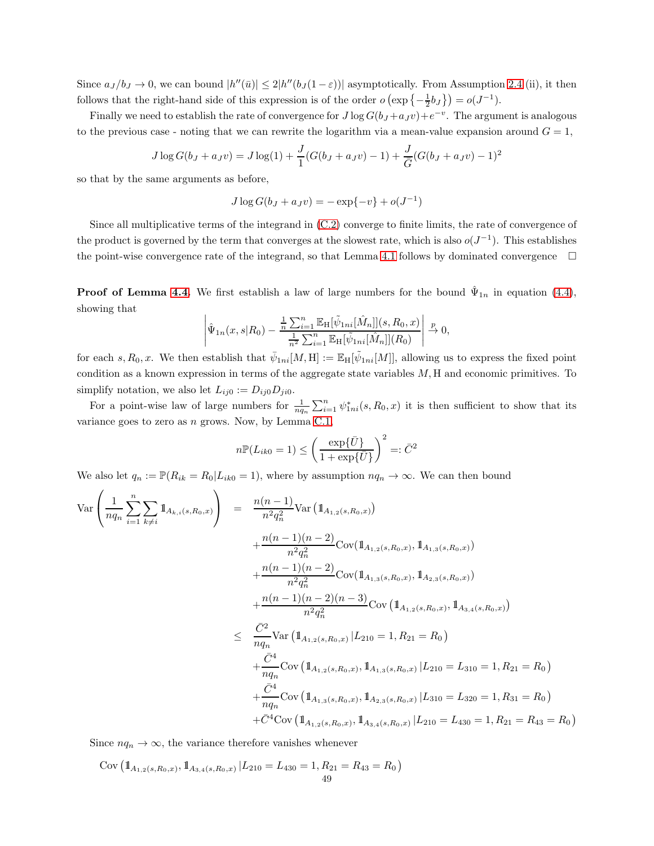Since  $a_J/b_J \to 0$ , we can bound  $|h''(\bar{u})| \leq 2|h''(b_J(1-\varepsilon))|$  asymptotically. From Assumption [2.4](#page-11-0) (ii), it then follows that the right-hand side of this expression is of the order  $o(\exp\left\{-\frac{1}{2}b_J\right\}) = o(J^{-1})$ .

Finally we need to establish the rate of convergence for  $J \log G(b_J + a_J v) + e^{-v}$ . The argument is analogous to the previous case - noting that we can rewrite the logarithm via a mean-value expansion around  $G = 1$ ,

$$
J \log G(b_J + a_J v) = J \log(1) + \frac{J}{1}(G(b_J + a_J v) - 1) + \frac{J}{\overline{G}}(G(b_J + a_J v) - 1)^2
$$

so that by the same arguments as before,

$$
J \log G(b_J + a_J v) = -\exp\{-v\} + o(J^{-1})
$$

Since all multiplicative terms of the integrand in [\(C.2\)](#page-45-1) converge to finite limits, the rate of convergence of the product is governed by the term that converges at the slowest rate, which is also  $o(J^{-1})$ . This establishes the point-wise convergence rate of the integrand, so that Lemma [4.1](#page-25-0) follows by dominated convergence  $\Box$ 

**Proof of Lemma [4.4.](#page-29-0)** We first establish a law of large numbers for the bound  $\hat{\Psi}_{1n}$  in equation [\(4.4\)](#page-28-0), showing that  $\overline{\phantom{a}}$ 

$$
\left| \hat{\Psi}_{1n}(x,s|R_0) - \frac{\frac{1}{n}\sum_{i=1}^n \mathbb{E}_{\mathbf{H}}[\tilde{\psi}_{1ni}[\hat{M}_n]](s,R_0,x)}{\frac{1}{n^2}\sum_{i=1}^n \mathbb{E}_{\mathbf{H}}[\tilde{\psi}_{1ni}[\hat{M}_n]](R_0)} \right| \xrightarrow{p} 0,
$$

for each s,  $R_0, x$ . We then establish that  $\bar{\psi}_{1ni}[M, H] := \mathbb{E}_H[\tilde{\psi}_{1ni}[M]]$ , allowing us to express the fixed point condition as a known expression in terms of the aggregate state variables  $M$ , H and economic primitives. To simplify notation, we also let  $L_{ij0} := D_{ij0} D_{ji0}$ .

For a point-wise law of large numbers for  $\frac{1}{n q_n} \sum_{i=1}^n \psi_{1ni}^*(s, R_0, x)$  it is then sufficient to show that its variance goes to zero as  $n$  grows. Now, by Lemma [C.1,](#page-45-0)

$$
n\mathbb{P}(L_{ik0} = 1) \le \left(\frac{\exp{\{\bar{U}\}}}{1 + \exp{\{\bar{U}\}}}\right)^2 =: \bar{C}^2
$$

We also let  $q_n := \mathbb{P}(R_{ik} = R_0 | L_{ik0} = 1)$ , where by assumption  $nq_n \to \infty$ . We can then bound

$$
\begin{split}\n\text{Var}\left(\frac{1}{nq_n}\sum_{i=1}^{n}\sum_{k\neq i}\mathbbm{1}_{A_{k,i}(s,R_0,x)}\right) &= \frac{n(n-1)}{n^2q_n^2}\text{Var}\left(\mathbbm{1}_{A_{1,2}(s,R_0,x)}\right) \\
&+ \frac{n(n-1)(n-2)}{n^2q_n^2}\text{Cov}(\mathbbm{1}_{A_{1,2}(s,R_0,x)},\mathbbm{1}_{A_{1,3}(s,R_0,x)}) \\
&+ \frac{n(n-1)(n-2)}{n^2q_n^2}\text{Cov}(\mathbbm{1}_{A_{1,3}(s,R_0,x)},\mathbbm{1}_{A_{2,3}(s,R_0,x)}) \\
&+ \frac{n(n-1)(n-2)(n-3)}{n^2q_n^2}\text{Cov}\left(\mathbbm{1}_{A_{1,2}(s,R_0,x)},\mathbbm{1}_{A_{3,4}(s,R_0,x)}\right) \\
&\leq \frac{\bar{C}^2}{nq_n}\text{Var}\left(\mathbbm{1}_{A_{1,2}(s,R_0,x)},\mathbbm{1}_{A_{1,3}(s,R_0,x)},\mathbbm{1}_{A_{3,4}(s,R_0,x)}\right) \\
&+ \frac{\bar{C}^4}{nq_n}\text{Cov}\left(\mathbbm{1}_{A_{1,2}(s,R_0,x)},\mathbbm{1}_{A_{1,3}(s,R_0,x)}\right) L_{210} = L_{310} = 1, R_{21} = R_0 \\
&+ \frac{\bar{C}^4}{nq_n}\text{Cov}\left(\mathbbm{1}_{A_{1,3}(s,R_0,x)},\mathbbm{1}_{A_{2,3}(s,R_0,x)}\right) L_{210} = L_{320} = 1, R_{31} = R_0 \\
&+ \bar{C}^4\text{Cov}\left(\mathbbm{1}_{A_{1,2}(s,R_0,x)},\mathbbm{1}_{A_{3,4}(s,R_0,x)}\right) L_{210} = L_{430} = 1, R_{21} = R_{43} = R_0\n\end{split}
$$

Since  $nq_n \to \infty$ , the variance therefore vanishes whenever

Cov  $\left( \mathbb{1}_{A_{1,2}(s,R_0,x)}, \mathbb{1}_{A_{3,4}(s,R_0,x)} \right| L_{210} = L_{430} = 1, R_{21} = R_{43} = R_0 \right)$ 49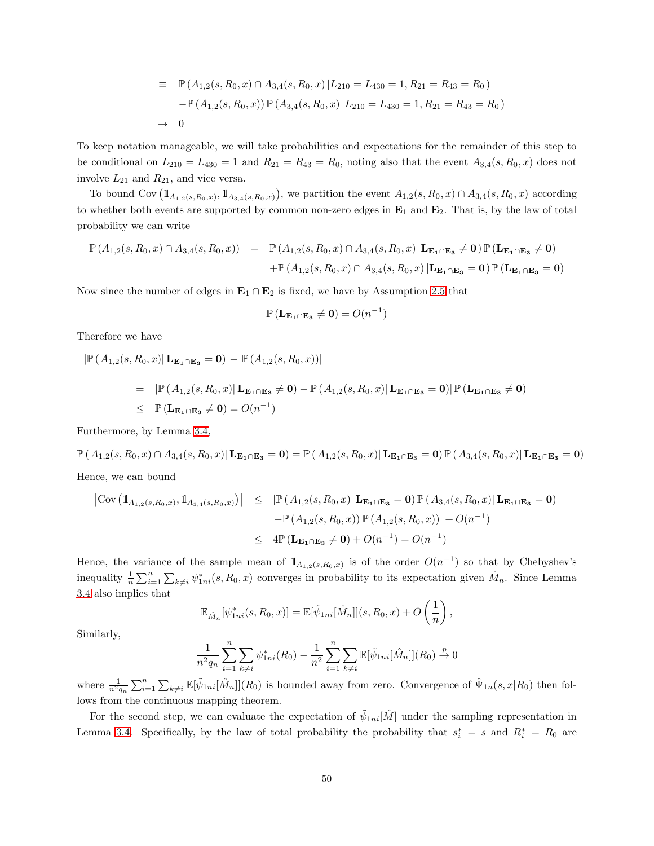$$
\equiv \mathbb{P}(A_{1,2}(s, R_0, x) \cap A_{3,4}(s, R_0, x) | L_{210} = L_{430} = 1, R_{21} = R_{43} = R_0)
$$

$$
-\mathbb{P}(A_{1,2}(s, R_0, x)) \mathbb{P}(A_{3,4}(s, R_0, x) | L_{210} = L_{430} = 1, R_{21} = R_{43} = R_0)
$$

$$
\rightarrow 0
$$

To keep notation manageable, we will take probabilities and expectations for the remainder of this step to be conditional on  $L_{210} = L_{430} = 1$  and  $R_{21} = R_{43} = R_0$ , noting also that the event  $A_{3,4}(s, R_0, x)$  does not involve  $L_{21}$  and  $R_{21}$ , and vice versa.

To bound Cov  $(1\!\!1_{A_{1,2}(s,R_0,x)}, 1\!\!1_{A_{3,4}(s,R_0,x)})$ , we partition the event  $A_{1,2}(s,R_0,x) \cap A_{3,4}(s,R_0,x)$  according to whether both events are supported by common non-zero edges in  $\mathbf{E}_1$  and  $\mathbf{E}_2$ . That is, by the law of total probability we can write

$$
\mathbb{P}(A_{1,2}(s,R_0,x)\cap A_{3,4}(s,R_0,x)) = \mathbb{P}(A_{1,2}(s,R_0,x)\cap A_{3,4}(s,R_0,x) | \mathbf{L}_{\mathbf{E}_1\cap\mathbf{E}_3} \neq \mathbf{0}) \mathbb{P}(\mathbf{L}_{\mathbf{E}_1\cap\mathbf{E}_3} \neq \mathbf{0}) \n+ \mathbb{P}(A_{1,2}(s,R_0,x)\cap A_{3,4}(s,R_0,x) | \mathbf{L}_{\mathbf{E}_1\cap\mathbf{E}_3} = \mathbf{0}) \mathbb{P}(\mathbf{L}_{\mathbf{E}_1\cap\mathbf{E}_3} = \mathbf{0})
$$

Now since the number of edges in  $\mathbf{E}_1 \cap \mathbf{E}_2$  is fixed, we have by Assumption [2.5](#page-11-1) that

$$
\mathbb{P}\left(\mathbf{L}_{\mathbf{E}_1 \cap \mathbf{E}_3} \neq \mathbf{0}\right) = O(n^{-1})
$$

Therefore we have

$$
\begin{aligned} \left| \mathbb{P} \left( A_{1,2}(s,R_0,x) \right| \mathbf{L}_{\mathbf{E}_1 \cap \mathbf{E}_3} = \mathbf{0} \right) &- \mathbb{P} \left( A_{1,2}(s,R_0,x) \right) \right| \\ &= \left| \mathbb{P} \left( A_{1,2}(s,R_0,x) \right| \mathbf{L}_{\mathbf{E}_1 \cap \mathbf{E}_3} \neq \mathbf{0} \right) - \mathbb{P} \left( A_{1,2}(s,R_0,x) \right| \mathbf{L}_{\mathbf{E}_1 \cap \mathbf{E}_3} = \mathbf{0} \right) \left| \mathbb{P} \left( \mathbf{L}_{\mathbf{E}_1 \cap \mathbf{E}_3} \neq \mathbf{0} \right) \right| \\ &\leq \left| \mathbb{P} \left( \mathbf{L}_{\mathbf{E}_1 \cap \mathbf{E}_3} \neq \mathbf{0} \right) = O(n^{-1}) \end{aligned}
$$

Furthermore, by Lemma [3.4,](#page-23-0)

 $\mathbb{P}\left(A_{1,2}(s,R_0,x)\cap A_{3,4}(s,R_0,x)\right|\mathbf{L}_{\mathbf{E_1}\cap\mathbf{E_3}}=\mathbf{0}\right)=\mathbb{P}\left(A_{1,2}(s,R_0,x)\right|\mathbf{L}_{\mathbf{E_1}\cap\mathbf{E_3}}=\mathbf{0}\right)\mathbb{P}\left(A_{3,4}(s,R_0,x)\right|\mathbf{L}_{\mathbf{E_1}\cap\mathbf{E_3}}=\mathbf{0}\right)$ Hence, we can bound

$$
\begin{array}{rcl}\n\left| \text{Cov} \left( \mathbb{1}_{A_{1,2}(s,R_0,x)}, \mathbb{1}_{A_{3,4}(s,R_0,x)} \right) \right| & \leq & \left| \mathbb{P} \left( A_{1,2}(s,R_0,x) \right| \mathbf{L}_{\mathbf{E}_1 \cap \mathbf{E}_3} = \mathbf{0} \right) \mathbb{P} \left( A_{3,4}(s,R_0,x) \right| \mathbf{L}_{\mathbf{E}_1 \cap \mathbf{E}_3} = \mathbf{0} \\
 & \quad - \mathbb{P} \left( A_{1,2}(s,R_0,x) \right) \mathbb{P} \left( A_{1,2}(s,R_0,x) \right) \right| + O(n^{-1}) \\
 & \leq & 4 \mathbb{P} \left( \mathbf{L}_{\mathbf{E}_1 \cap \mathbf{E}_3} \neq \mathbf{0} \right) + O(n^{-1}) = O(n^{-1})\n\end{array}
$$

Hence, the variance of the sample mean of  $1_{A_{1,2}(s,R_0,x)}$  is of the order  $O(n^{-1})$  so that by Chebyshev's inequality  $\frac{1}{n}\sum_{i=1}^n\sum_{k\neq i}\psi_{1ni}^*(s, R_0, x)$  converges in probability to its expectation given  $\hat{M}_n$ . Since Lemma [3.4](#page-23-0) also implies that

$$
\mathbb{E}_{\hat{M}_n}[\psi_{1ni}^*(s, R_0, x)] = \mathbb{E}[\tilde{\psi}_{1ni}[\hat{M}_n]](s, R_0, x) + O\left(\frac{1}{n}\right),
$$

Similarly,

$$
\frac{1}{n^2 q_n} \sum_{i=1}^n \sum_{k \neq i} \psi_{1ni}^*(R_0) - \frac{1}{n^2} \sum_{i=1}^n \sum_{k \neq i} \mathbb{E}[\tilde{\psi}_{1ni}[\hat{M}_n]](R_0) \stackrel{p}{\to} 0
$$

where  $\frac{1}{n^2q_n}\sum_{i=1}^n\sum_{k\neq i}\mathbb{E}[\tilde{\psi}_{1ni}[\hat{M}_n]](R_0)$  is bounded away from zero. Convergence of  $\hat{\Psi}_{1n}(s,x|R_0)$  then follows from the continuous mapping theorem.

For the second step, we can evaluate the expectation of  $\tilde{\psi}_{1ni}[\hat{M}]$  under the sampling representation in Lemma [3.4.](#page-23-0) Specifically, by the law of total probability the probability that  $s_i^* = s$  and  $R_i^* = R_0$  are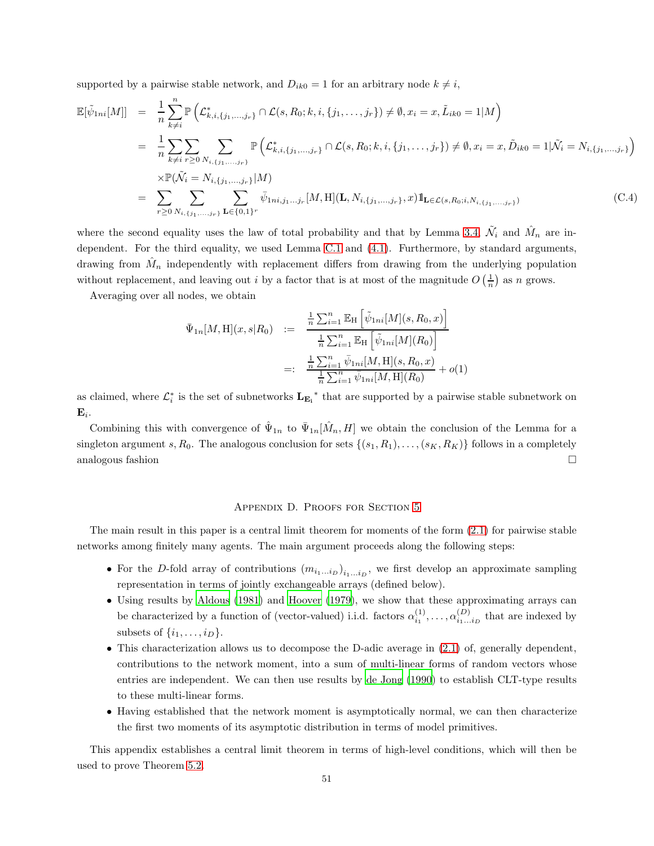supported by a pairwise stable network, and  $D_{ik0} = 1$  for an arbitrary node  $k \neq i$ ,

$$
\mathbb{E}[\tilde{\psi}_{1ni}[M]] = \frac{1}{n} \sum_{k \neq i}^{n} \mathbb{P}\left(\mathcal{L}_{k,i,\{j_1,\ldots,j_r\}}^* \cap \mathcal{L}(s, R_0; k, i, \{j_1, \ldots, j_r\}) \neq \emptyset, x_i = x, \tilde{L}_{ik0} = 1 | M\right)
$$
\n
$$
= \frac{1}{n} \sum_{k \neq i} \sum_{r \geq 0} \sum_{N_{i,\{j_1,\ldots,j_r\}}^*} \mathbb{P}\left(\mathcal{L}_{k,i,\{j_1,\ldots,j_r\}}^* \cap \mathcal{L}(s, R_0; k, i, \{j_1, \ldots, j_r\}) \neq \emptyset, x_i = x, \tilde{D}_{ik0} = 1 | \tilde{\mathcal{N}}_i = N_{i,\{j_1,\ldots,j_r\}} \right)
$$
\n
$$
\times \mathbb{P}(\tilde{\mathcal{N}}_i = N_{i,\{j_1,\ldots,j_r\}} | M)
$$
\n
$$
= \sum_{r \geq 0} \sum_{N_{i,\{j_1,\ldots,j_r\}}^*} \sum_{\mathbf{L} \in \{0,1\}^r} \bar{\psi}_{1ni,j_1\ldots j_r} [M, H] (\mathbf{L}, N_{i,\{j_1,\ldots,j_r\}}, x) 1\mathbf{L} \in \mathcal{L}(s, R_0; i, N_{i,\{j_1,\ldots,j_r\}})
$$
\n(C.4)

where the second equality uses the law of total probability and that by Lemma [3.4,](#page-23-0)  $\tilde{\mathcal{N}}_i$  and  $\hat{\mathcal{M}}_n$  are independent. For the third equality, we used Lemma [C.1](#page-45-0) and [\(4.1\)](#page-26-1). Furthermore, by standard arguments, drawing from  $\hat{M}_n$  independently with replacement differs from drawing from the underlying population without replacement, and leaving out *i* by a factor that is at most of the magnitude  $O\left(\frac{1}{n}\right)$  as *n* grows.

Averaging over all nodes, we obtain

$$
\begin{aligned}\n\bar{\Psi}_{1n}[M,\mathbf{H}](x,s|R_0) &:= \frac{\frac{1}{n}\sum_{i=1}^n \mathbb{E}_{\mathbf{H}}\left[\tilde{\psi}_{1ni}[M](s,R_0,x)\right]}{\frac{1}{n}\sum_{i=1}^n \mathbb{E}_{\mathbf{H}}\left[\tilde{\psi}_{1ni}[M](R_0)\right]} \\
&:= \frac{\frac{1}{n}\sum_{i=1}^n \bar{\psi}_{1ni}[M,\mathbf{H}](s,R_0,x)}{\frac{1}{n}\sum_{i=1}^n \bar{\psi}_{1ni}[M,\mathbf{H}](R_0)} + o(1)\n\end{aligned}
$$

as claimed, where  $\mathcal{L}_i^*$  is the set of subnetworks  $L_{\mathbf{E_i}}^*$  that are supported by a pairwise stable subnetwork on  $\mathbf{E}_i.$ 

Combining this with convergence of  $\hat{\Psi}_{1n}$  to  $\bar{\Psi}_{1n}[\hat{M}_n, H]$  we obtain the conclusion of the Lemma for a singleton argument s,  $R_0$ . The analogous conclusion for sets  $\{(s_1, R_1), \ldots, (s_K, R_K)\}\$ follows in a completely analogous fashion  $\square$ 

## Appendix D. Proofs for Section [5](#page-32-0)

The main result in this paper is a central limit theorem for moments of the form [\(2.1\)](#page-5-1) for pairwise stable networks among finitely many agents. The main argument proceeds along the following steps:

- For the D-fold array of contributions  $(m_{i_1...i_D})_{i_1...i_D}$ , we first develop an approximate sampling representation in terms of jointly exchangeable arrays (defined below).
- Using results by [Aldous \(1981\)](#page-36-8) and [Hoover \(1979\)](#page-37-16), we show that these approximating arrays can be characterized by a function of (vector-valued) i.i.d. factors  $\alpha_{i_1}^{(1)}, \ldots, \alpha_{i_1...i_D}^{(D)}$  that are indexed by subsets of  $\{i_1, \ldots, i_D\}$ .
- This characterization allows us to decompose the D-adic average in  $(2.1)$  of, generally dependent, contributions to the network moment, into a sum of multi-linear forms of random vectors whose entries are independent. We can then use results by [de Jong \(1990\)](#page-37-17) to establish CLT-type results to these multi-linear forms.
- Having established that the network moment is asymptotically normal, we can then characterize the first two moments of its asymptotic distribution in terms of model primitives.

This appendix establishes a central limit theorem in terms of high-level conditions, which will then be used to prove Theorem [5.2.](#page-35-0)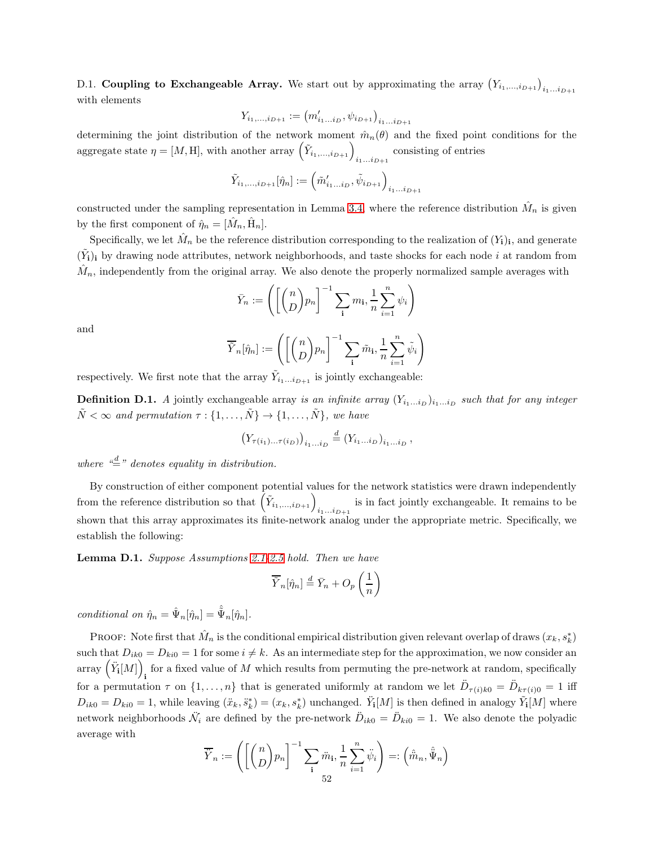D.1. Coupling to Exchangeable Array. We start out by approximating the array  $(Y_{i_1,\ldots,i_{D+1}})_{i_1\ldots i_{D+1}}$ with elements

$$
Y_{i_1,\dots,i_{D+1}} := (m'_{i_1\dots i_D}, \psi_{i_{D+1}})_{i_1\dots i_{D+1}}
$$

determining the joint distribution of the network moment  $\hat{m}_n(\theta)$  and the fixed point conditions for the aggregate state  $\eta = [M, H]$ , with another array  $(\tilde{Y}_{i_1,\dots,i_{D+1}})_{i_1\dots i_{D+1}}$  consisting of entries

$$
\tilde{Y}_{i_1,...,i_{D+1}}[\hat{\eta}_{n}] := \left(\tilde{m}'_{i_1...i_D}, \tilde{\psi}_{i_{D+1}}\right)_{i_1...i_{D+1}}
$$

constructed under the sampling representation in Lemma [3.4,](#page-23-0) where the reference distribution  $\hat{M}_n$  is given by the first component of  $\hat{\eta}_n = [\hat{M}_n, \hat{H}_n].$ 

Specifically, we let  $\hat{M}_n$  be the reference distribution corresponding to the realization of  $(Y_i)_i$ , and generate  $(\tilde{Y}_i)_i$  by drawing node attributes, network neighborhoods, and taste shocks for each node i at random from  $\hat{M}_n$ , independently from the original array. We also denote the properly normalized sample averages with

$$
\bar{Y}_n := \left( \left[ \binom{n}{D} p_n \right]^{-1} \sum_{\mathbf{i}} m_{\mathbf{i}}, \frac{1}{n} \sum_{i=1}^n \psi_i \right)
$$

and

$$
\overline{\tilde{Y}}_n[\hat{\eta}_n] := \left( \left[ \binom{n}{D} p_n \right]^{-1} \sum_{\mathbf{i}} \tilde{m}_{\mathbf{i}}, \frac{1}{n} \sum_{i=1}^n \tilde{\psi}_i \right)
$$

respectively. We first note that the array  $\tilde{Y}_{i_1...i_{D+1}}$  is jointly exchangeable:

**Definition D.1.** A jointly exchangeable array is an infinite array  $(Y_{i_1...i_D})_{i_1...i_D}$  such that for any integer  $\tilde{N} < \infty$  and permutation  $\tau : \{1, \ldots, \tilde{N}\} \to \{1, \ldots, \tilde{N}\}\,$ , we have

$$
\left(Y_{\tau(i_1)\dots\tau(i_D)}\right)_{i_1\dots i_D} \stackrel{d}{=} \left(Y_{i_1\dots i_D}\right)_{i_1\dots i_D},
$$

where  $\frac{d}{dx}$  denotes equality in distribution.

By construction of either component potential values for the network statistics were drawn independently from the reference distribution so that  $(\tilde{Y}_{i_1,\dots,i_{D+1}})_{i_1\dots i_{D+1}}$  is in fact jointly exchangeable. It remains to be shown that this array approximates its finite-network analog under the appropriate metric. Specifically, we establish the following:

<span id="page-51-0"></span>Lemma D.1. Suppose Assumptions [2.1-](#page-5-0)[2.5](#page-11-1) hold. Then we have

$$
\overline{\tilde{Y}}_n[\hat{\eta}_n] \stackrel{d}{=} \overline{Y}_n + O_p\left(\frac{1}{n}\right)
$$

conditional on  $\hat{\eta}_n = \hat{\Psi}_n[\hat{\eta}_n] = \hat{\tilde{\Psi}}_n[\hat{\eta}_n]$ .

PROOF: Note first that  $\hat{M}_n$  is the conditional empirical distribution given relevant overlap of draws  $(x_k, s_k^*)$ such that  $D_{ik0} = D_{ki0} = 1$  for some  $i \neq k$ . As an intermediate step for the approximation, we now consider an array  $(\ddot{Y}_{\mathbf{i}}[M])$ for a fixed value of  $M$  which results from permuting the pre-network at random, specifically for a permutation  $\tau$  on  $\{1,\ldots,n\}$  that is generated uniformly at random we let  $\ddot{D}_{\tau(i)k0} = \ddot{D}_{k\tau(i)0} = 1$  iff  $D_{ik0} = D_{ki0} = 1$ , while leaving  $(\ddot{x}_k, \ddot{s}_k^*) = (x_k, s_k^*)$  unchanged.  $\ddot{Y}_i[M]$  is then defined in analogy  $\tilde{Y}_i[M]$  where network neighborhoods  $\ddot{N}_i$  are defined by the pre-network  $\ddot{D}_{ik0} = \ddot{D}_{ki0} = 1$ . We also denote the polyadic average with

$$
\overline{\ddot{Y}}_n := \left( \left[ \binom{n}{D} p_n \right]^{-1} \sum_{\mathbf{i}} \ddot{m}_{\mathbf{i}}, \frac{1}{n} \sum_{i=1}^n \ddot{\psi}_i \right) =: \left( \hat{\ddot{m}}_n, \hat{\ddot{\Psi}}_n \right)
$$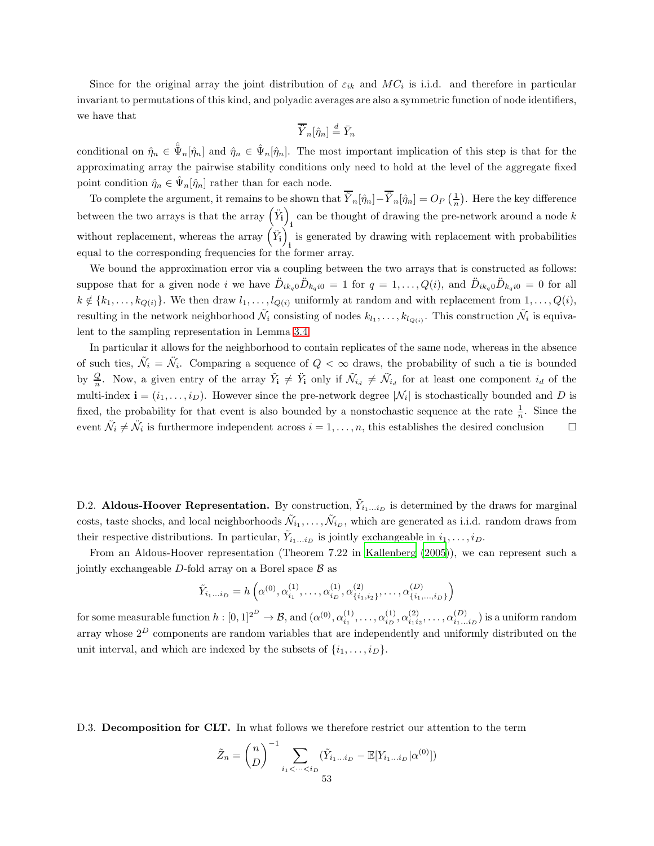Since for the original array the joint distribution of  $\varepsilon_{ik}$  and  $MC_i$  is i.i.d. and therefore in particular invariant to permutations of this kind, and polyadic averages are also a symmetric function of node identifiers, we have that

$$
\overline{\dot{Y}}_n[\hat{\eta}_n] \stackrel{d}{=} \overline{Y}_n
$$

conditional on  $\hat{\eta}_n \in \hat{\Psi}_n[\hat{\eta}_n]$  and  $\hat{\eta}_n \in \hat{\Psi}_n[\hat{\eta}_n]$ . The most important implication of this step is that for the approximating array the pairwise stability conditions only need to hold at the level of the aggregate fixed point condition  $\hat{\eta}_n \in \hat{\Psi}_n[\hat{\eta}_n]$  rather than for each node.

To complete the argument, it remains to be shown that  $\tilde{Y}_n[\hat{\eta}_n] - \tilde{Y}_n[\hat{\eta}_n] = O_P\left(\frac{1}{n}\right)$ . Here the key difference between the two arrays is that the array  $(\ddot{Y}_i)$ can be thought of drawing the pre-network around a node  $k$ without replacement, whereas the array  $(\ddot{Y}_i)$ is generated by drawing with replacement with probabilities equal to the corresponding frequencies for the former array.

We bound the approximation error via a coupling between the two arrays that is constructed as follows: suppose that for a given node i we have  $\ddot{D}_{ik_q0}\ddot{D}_{k_qi0} = 1$  for  $q = 1, \ldots, Q(i)$ , and  $\ddot{D}_{ik_q0}\ddot{D}_{k_qi0} = 0$  for all  $k \notin \{k_1, \ldots, k_{Q(i)}\}.$  We then draw  $l_1, \ldots, l_{Q(i)}$  uniformly at random and with replacement from  $1, \ldots, Q(i),$ resulting in the network neighborhood  $\tilde{\mathcal{N}}_i$  consisting of nodes  $k_{l_1},\ldots,k_{l_{Q(i)}}$ . This construction  $\tilde{\mathcal{N}}_i$  is equivalent to the sampling representation in Lemma [3.4.](#page-23-0)

In particular it allows for the neighborhood to contain replicates of the same node, whereas in the absence of such ties,  $\tilde{\mathcal{N}}_i = \tilde{\mathcal{N}}_i$ . Comparing a sequence of  $Q < \infty$  draws, the probability of such a tie is bounded by  $\frac{Q}{n}$ . Now, a given entry of the array  $\tilde{Y}_i \neq \tilde{Y}_i$  only if  $\tilde{\mathcal{N}}_{i_d} \neq \tilde{\mathcal{N}}_{i_d}$  for at least one component  $i_d$  of the multi-index  $\mathbf{i} = (i_1, \ldots, i_D)$ . However since the pre-network degree  $|\mathcal{N}_i|$  is stochastically bounded and D is fixed, the probability for that event is also bounded by a nonstochastic sequence at the rate  $\frac{1}{n}$ . Since the event  $\tilde{\mathcal{N}}_i \neq \ddot{\mathcal{N}}_i$  is furthermore independent across  $i = 1, \ldots, n$ , this establishes the desired conclusion  $\Box$ 

D.2. Aldous-Hoover Representation. By construction,  $\tilde{Y}_{i_1...i_D}$  is determined by the draws for marginal costs, taste shocks, and local neighborhoods  $\tilde{\mathcal{N}}_{i_1}, \ldots, \tilde{\mathcal{N}}_{i_D}$ , which are generated as i.i.d. random draws from their respective distributions. In particular,  $\tilde{Y}_{i_1...i_D}$  is jointly exchangeable in  $i_1, \ldots, i_D$ .

From an Aldous-Hoover representation (Theorem 7.22 in [Kallenberg](#page-38-18) [\(2005\)](#page-38-18)), we can represent such a jointly exchangeable  $D$ -fold array on a Borel space  $\beta$  as

$$
\tilde{Y}_{i_1...i_D} = h\left(\alpha^{(0)}, \alpha_{i_1}^{(1)}, \dots, \alpha_{i_D}^{(1)}, \alpha_{\{i_1, i_2\}}^{(2)}, \dots, \alpha_{\{i_1, \dots, i_D\}}^{(D)}\right)
$$

for some measurable function  $h: [0,1]^{2^D} \to \mathcal{B}$ , and  $(\alpha^{(0)}, \alpha^{(1)}_{i_1}, \ldots, \alpha^{(1)}_{i_D}, \alpha^{(2)}_{i_1 i_2}, \ldots, \alpha^{(D)}_{i_1 \ldots i_D})$  is a uniform random array whose  $2^D$  components are random variables that are independently and uniformly distributed on the unit interval, and which are indexed by the subsets of  $\{i_1, \ldots, i_D\}$ .

D.3. Decomposition for CLT. In what follows we therefore restrict our attention to the term

$$
\tilde{Z}_n = {n \choose D}^{-1} \sum_{i_1 < \dots < i_D} (\tilde{Y}_{i_1 \dots i_D} - \mathbb{E}[Y_{i_1 \dots i_D} | \alpha^{(0)}])
$$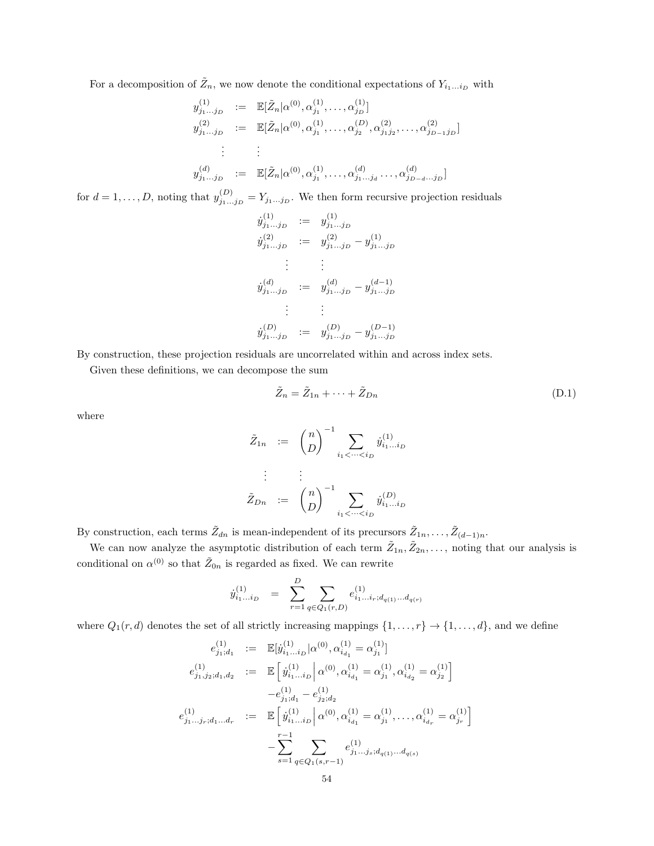For a decomposition of  $\tilde{Z}_n$ , we now denote the conditional expectations of  $Y_{i_1...i_D}$  with

$$
y_{j_1...j_D}^{(1)} := \mathbb{E}[\tilde{Z}_n | \alpha^{(0)}, \alpha_{j_1}^{(1)}, \dots, \alpha_{j_D}^{(1)}]
$$
  
\n
$$
y_{j_1...j_D}^{(2)} := \mathbb{E}[\tilde{Z}_n | \alpha^{(0)}, \alpha_{j_1}^{(1)}, \dots, \alpha_{j_2}^{(D)}, \alpha_{j_1 j_2}^{(2)}, \dots, \alpha_{j_{D-1} j_D}^{(2)}]
$$
  
\n
$$
\vdots \qquad \vdots
$$
  
\n
$$
y_{j_1...j_D}^{(d)} := \mathbb{E}[\tilde{Z}_n | \alpha^{(0)}, \alpha_{j_1}^{(1)}, \dots, \alpha_{j_1...j_d}^{(d)}, \dots, \alpha_{j_{D-d}...j_D}^{(d)}]
$$

for  $d = 1, \ldots, D$ , noting that  $y_{j_1 \ldots j_D}^{(D)} = Y_{j_1 \ldots j_D}$ . We then form recursive projection residuals

$$
y_{j_1...j_D}^{(1)} := y_{j_1...j_D}^{(1)}
$$
  
\n
$$
y_{j_1...j_D}^{(2)} := y_{j_1...j_D}^{(2)} - y_{j_1...j_D}^{(1)}
$$
  
\n
$$
\vdots \qquad \vdots
$$
  
\n
$$
y_{j_1...j_D}^{(d)} := y_{j_1...j_D}^{(d)} - y_{j_1...j_D}^{(d-1)}
$$
  
\n
$$
\vdots \qquad \vdots
$$
  
\n
$$
y_{j_1...j_D}^{(D)} := y_{j_1...j_D}^{(D)} - y_{j_1...j_D}^{(D-1)}
$$

By construction, these projection residuals are uncorrelated within and across index sets.

Given these definitions, we can decompose the sum

<span id="page-53-0"></span>
$$
\tilde{Z}_n = \tilde{Z}_{1n} + \dots + \tilde{Z}_{Dn} \tag{D.1}
$$

where

$$
\tilde{Z}_{1n} := \binom{n}{D}^{-1} \sum_{i_1 < \dots < i_D} \dot{y}_{i_1 \dots i_D}^{(1)}
$$
\n
$$
\vdots \qquad \vdots
$$
\n
$$
\tilde{Z}_{Dn} := \binom{n}{D}^{-1} \sum_{i_1 < \dots < i_D} \dot{y}_{i_1 \dots i_D}^{(D)}
$$

By construction, each terms  $\tilde{Z}_{dn}$  is mean-independent of its precursors  $\tilde{Z}_{1n}, \ldots, \tilde{Z}_{(d-1)n}$ .

We can now analyze the asymptotic distribution of each term  $\tilde{Z}_{1n}, \tilde{Z}_{2n}, \ldots$ , noting that our analysis is conditional on  $\alpha^{(0)}$  so that  $\tilde{Z}_{0n}$  is regarded as fixed. We can rewrite

$$
\dot{y}_{i_1...i_D}^{(1)} = \sum_{r=1}^{D} \sum_{q \in Q_1(r,D)} e_{i_1...i_r;d_{q(1)}...d_{q(r)}}^{(1)}
$$

where  $Q_1(r, d)$  denotes the set of all strictly increasing mappings  $\{1, \ldots, r\} \rightarrow \{1, \ldots, d\}$ , and we define

$$
e_{j_1,j_2}^{(1)} := \mathbb{E}[j_{i_1...i_D}^{(1)} | \alpha^{(0)}, \alpha_{i_{d_1}}^{(1)} = \alpha_{j_1}^{(1)}]
$$
  
\n
$$
e_{j_1,j_2;d_1,d_2}^{(1)} := \mathbb{E}\left[j_{i_1...i_D}^{(1)} \big| \alpha^{(0)}, \alpha_{i_{d_1}}^{(1)} = \alpha_{j_1}^{(1)}, \alpha_{i_{d_2}}^{(1)} = \alpha_{j_2}^{(1)}\right]
$$
  
\n
$$
-e_{j_1;d_1}^{(1)} - e_{j_2;d_2}^{(1)}
$$
  
\n
$$
e_{j_1...j_r;d_1...d_r}^{(1)} := \mathbb{E}\left[j_{i_1...i_D}^{(1)} \big| \alpha^{(0)}, \alpha_{i_{d_1}}^{(1)} = \alpha_{j_1}^{(1)}, \dots, \alpha_{i_{d_r}}^{(1)} = \alpha_{j_r}^{(1)}\right]
$$
  
\n
$$
- \sum_{s=1}^{r-1} \sum_{q \in Q_1(s,r-1)} e_{j_1...j_s;d_{q(1)}...d_{q(s)}}^{(1)}
$$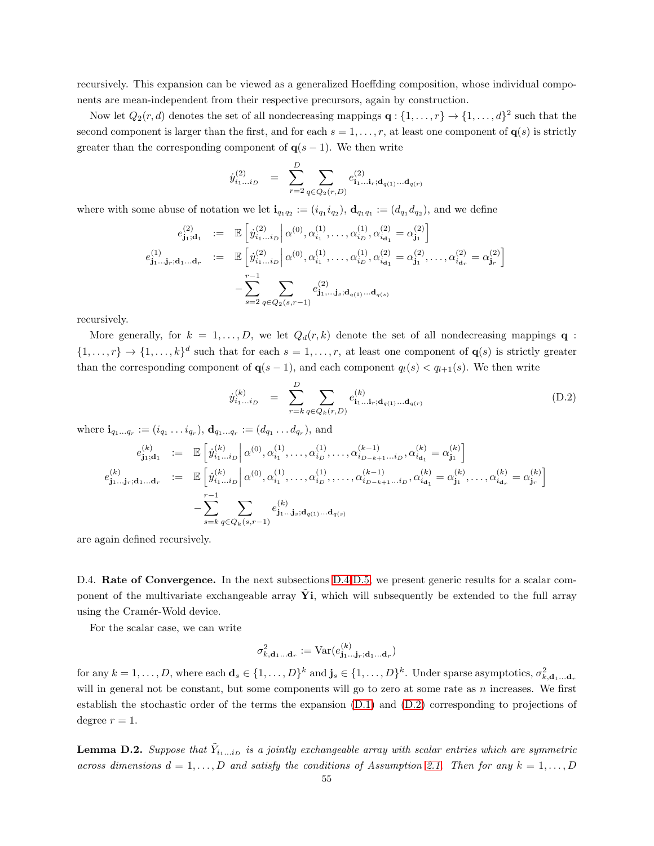recursively. This expansion can be viewed as a generalized Hoeffding composition, whose individual components are mean-independent from their respective precursors, again by construction.

Now let  $Q_2(r, d)$  denotes the set of all nondecreasing mappings  $\mathbf{q}: \{1, \ldots, r\} \to \{1, \ldots, d\}^2$  such that the second component is larger than the first, and for each  $s = 1, \ldots, r$ , at least one component of  $q(s)$  is strictly greater than the corresponding component of  $q(s-1)$ . We then write

$$
\dot{y}_{i_1...i_D}^{(2)} = \sum_{r=2}^{D} \sum_{q \in Q_2(r,D)} e_{i_1...i_r;\mathbf{d}_{q(1)}... \mathbf{d}_{q(r)}}^{(2)}
$$

where with some abuse of notation we let  $\mathbf{i}_{q_1q_2}:=(i_{q_1}i_{q_2}), \mathbf{d}_{q_1q_1}:=(d_{q_1}d_{q_2}),$  and we define

$$
\begin{array}{rcl} e^{(2)}_{{\bf j}_1;{\bf d}_1} &:=& \mathbb{E}\left[ \left. \dot{y}^{(2)}_{i_1\ldots i_D} \right| \alpha^{(0)}, \alpha^{(1)}_{i_1}, \ldots, \alpha^{(1)}_{i_D}, \alpha^{(2)}_{i_{{\bf d}_1}} = \alpha^{(2)}_{{\bf j}_1} \right] \\ e^{(1)}_{{\bf j}_1\ldots {\bf j}_r;{\bf d}_1\ldots {\bf d}_r} &:=& \mathbb{E}\left[ \left. \dot{y}^{(2)}_{i_1\ldots i_D} \right| \alpha^{(0)}, \alpha^{(1)}_{i_1}, \ldots, \alpha^{(1)}_{i_D}, \alpha^{(2)}_{i_{{\bf d}_1}} = \alpha^{(2)}_{{\bf j}_1}, \ldots, \alpha^{(2)}_{i_{{\bf d}_r}} = \alpha^{(2)}_{{\bf j}_r} \right] \\ & & \left. - \sum_{s=2}^{r-1} \sum_{q \in Q_2(s,r-1)} e^{(2)}_{{\bf j}_1,\ldots {\bf j}_s;{\bf d}_{q(1)}\ldots {\bf d}_{q(s)}} \right. \end{array}
$$

recursively.

More generally, for  $k = 1, \ldots, D$ , we let  $Q_d(r, k)$  denote the set of all nondecreasing mappings **q** :  $\{1,\ldots,r\} \to \{1,\ldots,k\}^d$  such that for each  $s=1,\ldots,r$ , at least one component of  $\mathbf{q}(s)$  is strictly greater than the corresponding component of  $q(s-1)$ , and each component  $q_l(s) < q_{l+1}(s)$ . We then write

<span id="page-54-1"></span>
$$
\dot{y}_{i_1...i_D}^{(k)} = \sum_{r=k}^{D} \sum_{q \in Q_k(r,D)} e_{i_1...i_r;\mathbf{d}_{q(1)}...d_{q(r)}}^{(k)} \tag{D.2}
$$

where  $\mathbf{i}_{q_1...q_r} := (i_{q_1} \dots i_{q_r}), \mathbf{d}_{q_1...q_r} := (d_{q_1} \dots d_{q_r}),$  and

$$
\begin{array}{rcl} e^{(k)}_{{\bf j}_1,{\bf d}_1} &:=& \mathbb{E}\left[\left. \dot{y}^{(k)}_{{i_1...i_D}}\right|\alpha^{(0)},\alpha^{(1)}_{{i_1}},\ldots,\alpha^{(1)}_{{i_D}},\ldots,\alpha^{(k-1)}_{{i_D-k+1...i_D}},\alpha^{(k)}_{{i_{{\bf d}_1}}}=\alpha^{(k)}_{{\bf j}_1}\right] \\ e^{(k)}_{{\bf j}_1...{\bf j}_r;{\bf d}_1...{\bf d}_r} &:=& \mathbb{E}\left[\left. \dot{y}^{(k)}_{{i_1...i_D}}\right|\alpha^{(0)},\alpha^{(1)}_{{i_1}},\ldots,\alpha^{(1)}_{{i_D}},\ldots,\alpha^{(k-1)}_{{i_D-k+1...i_D}},\alpha^{(k)}_{{i_{{\bf d}_1}}}=\alpha^{(k)}_{{\bf j}_1},\ldots,\alpha^{(k)}_{{i_{{\bf d}_r}}}=\alpha^{(k)}_{{\bf j}_r}\right] \\ & & \hspace{1em}-\sum_{s=k}^{r-1}\sum_{q\in Q_k(s,r-1)} e^{(k)}_{{\bf j}_1...{\bf j}_s;{\bf d}_{q(1)}...{\bf d}_{q(s)}} \end{array}
$$

are again defined recursively.

<span id="page-54-0"></span>D.4. **Rate of Convergence.** In the next subsections [D.4-](#page-54-0)[D.5,](#page-55-0) we present generic results for a scalar component of the multivariate exchangeable array  $\dot{Y}$ , which will subsequently be extended to the full array using the Cramér-Wold device.

For the scalar case, we can write

$$
\sigma_{k,\mathbf{d}_1\ldots\mathbf{d}_r}^2 := \mathrm{Var}(e_{\mathbf{j}_1\ldots\mathbf{j}_r;\mathbf{d}_1\ldots\mathbf{d}_r}^{\left(k\right)})
$$

for any  $k = 1, \ldots, D$ , where each  $\mathbf{d}_s \in \{1, \ldots, D\}^k$  and  $\mathbf{j}_s \in \{1, \ldots, D\}^k$ . Under sparse asymptotics,  $\sigma_{k, \mathbf{d}_1, \ldots, \mathbf{d}_r}^2$ will in general not be constant, but some components will go to zero at some rate as  $n$  increases. We first establish the stochastic order of the terms the expansion [\(D.1\)](#page-53-0) and [\(D.2\)](#page-54-1) corresponding to projections of degree  $r = 1$ .

<span id="page-54-2"></span>**Lemma D.2.** Suppose that  $\tilde{Y}_{i_1...i_D}$  is a jointly exchangeable array with scalar entries which are symmetric across dimensions  $d = 1, \ldots, D$  and satisfy the conditions of Assumption [2.1.](#page-5-0) Then for any  $k = 1, \ldots, D$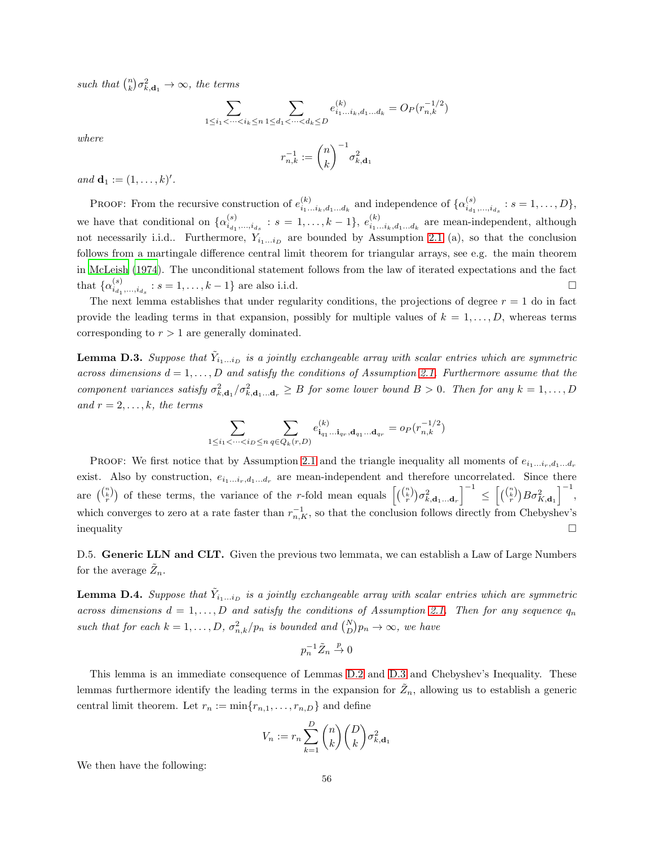such that  $\binom{n}{k} \sigma_{k,\mathbf{d}_1}^2 \to \infty$ , the terms

$$
\sum_{1 \le i_1 < \dots < i_k \le n} \sum_{1 \le d_1 < \dots < d_k \le D} e^{(k)}_{i_1 \dots i_k, d_1 \dots d_k} = O_P(r_{n,k}^{-1/2})
$$

where

$$
r_{n,k}^{-1}:=\binom{n}{k}^{-1}\sigma_{k,\mathbf d_1}^2
$$

and  $\mathbf{d}_1 := (1, \ldots, k)'.$ 

**PROOF:** From the recursive construction of  $e_{i}^{(k)}$  ${}_{i_1...i_k,d_1...d_k}^{(k)}$  and independence of  $\{\alpha_{i_{d_1},...,i_{d_s}}^{(s)}: s = 1,...,D\},$ we have that conditional on  $\{\alpha_{i_{d_1}}^{(s)}\}$  $\binom{s}{i_{d_1},...,i_{d_s}}: s = 1,...,k-1, e^{(k)}_{i_1...}$  $\sum_{i_1...i_k,d_1...d_k}^{(k)}$  are mean-independent, although not necessarily i.i.d.. Furthermore,  $Y_{i_1...i_p}$  are bounded by Assumption [2.1](#page-5-0) (a), so that the conclusion follows from a martingale difference central limit theorem for triangular arrays, see e.g. the main theorem in [McLeish \(1974\)](#page-38-19). The unconditional statement follows from the law of iterated expectations and the fact that  $\{\alpha_{i_{d_1},...,i_{d_s}}^{(s)}: s = 1,...,k-1\}$  are also i.i.d.

The next lemma establishes that under regularity conditions, the projections of degree  $r = 1$  do in fact provide the leading terms in that expansion, possibly for multiple values of  $k = 1, \ldots, D$ , whereas terms corresponding to  $r > 1$  are generally dominated.

<span id="page-55-1"></span>**Lemma D.3.** Suppose that  $\tilde{Y}_{i_1...i_D}$  is a jointly exchangeable array with scalar entries which are symmetric across dimensions  $d = 1, \ldots, D$  and satisfy the conditions of Assumption [2.1.](#page-5-0) Furthermore assume that the component variances satisfy  $\sigma_{k,\mathbf{d}_1}^2/\sigma_{k,\mathbf{d}_1\ldots\mathbf{d}_r}^2 \geq B$  for some lower bound  $B > 0$ . Then for any  $k = 1,\ldots,D$ and  $r = 2, \ldots, k$ , the terms

$$
\sum_{1\leq i_1<\cdots
$$

PROOF: We first notice that by Assumption [2.1](#page-5-0) and the triangle inequality all moments of  $e_{i_1...i_r,d_1...d_r}$ exist. Also by construction,  $e_{i_1...i_r,d_1...d_r}$  are mean-independent and therefore uncorrelated. Since there are  $\binom{\binom{n}{k}}{r}$  of these terms, the variance of the r-fold mean equals  $\left[ \binom{\binom{n}{k}}{r} \sigma_{k,\mathbf{d}_1...\mathbf{d}_r}^2 \right]$  $1^{-1}$  $\leq \left[ \binom{\binom{n}{k}}{r} B \sigma_{K,\mathbf{d}_1}^2 \right]$  $\big]^{-1},$ which converges to zero at a rate faster than  $r_{n,K}^{-1}$ , so that the conclusion follows directly from Chebyshev's  $\Box$ 

<span id="page-55-0"></span>D.5. Generic LLN and CLT. Given the previous two lemmata, we can establish a Law of Large Numbers for the average  $\tilde{Z}_n$ .

<span id="page-55-2"></span>**Lemma D.4.** Suppose that  $\tilde{Y}_{i_1...i_D}$  is a jointly exchangeable array with scalar entries which are symmetric across dimensions  $d = 1, \ldots, D$  and satisfy the conditions of Assumption [2.1.](#page-5-0) Then for any sequence  $q_n$ such that for each  $k = 1, ..., D, \sigma_{n,k}^2/p_n$  is bounded and  $\binom{N}{D}p_n \to \infty$ , we have

$$
p_n^{-1}\tilde{Z}_n\stackrel{p}{\rightarrow} 0
$$

This lemma is an immediate consequence of Lemmas [D.2](#page-54-2) and [D.3](#page-55-1) and Chebyshev's Inequality. These lemmas furthermore identify the leading terms in the expansion for  $\tilde{Z}_n$ , allowing us to establish a generic central limit theorem. Let  $r_n := \min\{r_{n,1}, \ldots, r_{n,D}\}\$  and define

$$
V_n := r_n \sum_{k=1}^D \binom{n}{k} \binom{D}{k} \sigma_{k, \mathbf{d}_1}^2
$$

We then have the following: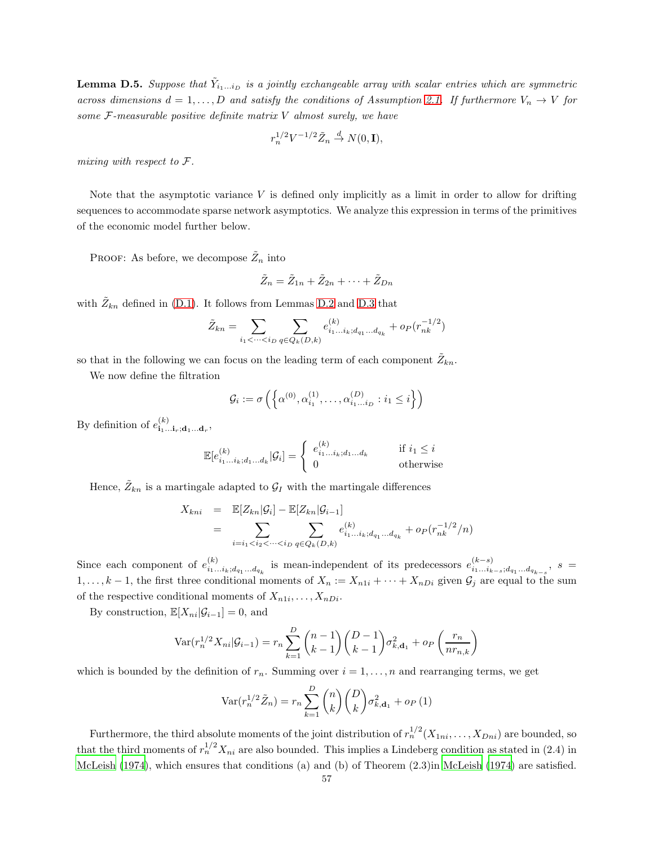<span id="page-56-0"></span>**Lemma D.5.** Suppose that  $\tilde{Y}_{i_1...i_D}$  is a jointly exchangeable array with scalar entries which are symmetric across dimensions  $d = 1, \ldots, D$  and satisfy the conditions of Assumption [2.1.](#page-5-0) If furthermore  $V_n \to V$  for some  $F$ -measurable positive definite matrix  $V$  almost surely, we have

$$
r_n^{1/2} V^{-1/2} \tilde{Z}_n \stackrel{d}{\to} N(0, \mathbf{I}),
$$

mixing with respect to F.

Note that the asymptotic variance  $V$  is defined only implicitly as a limit in order to allow for drifting sequences to accommodate sparse network asymptotics. We analyze this expression in terms of the primitives of the economic model further below.

PROOF: As before, we decompose  $\tilde{Z}_n$  into

$$
\tilde{Z}_n = \tilde{Z}_{1n} + \tilde{Z}_{2n} + \cdots + \tilde{Z}_{Dn}
$$

with  $\tilde{Z}_{kn}$  defined in [\(D.1\)](#page-53-0). It follows from Lemmas [D.2](#page-54-2) and [D.3](#page-55-1) that

$$
\tilde{Z}_{kn} = \sum_{i_1 < \dots < i_D} \sum_{q \in Q_k(D,k)} e^{(k)}_{i_1 \dots i_k; d_{q_1} \dots d_{q_k}} + o_P(r_{nk}^{-1/2})
$$

so that in the following we can focus on the leading term of each component  $\tilde{Z}_{kn}$ .

We now define the filtration

$$
\mathcal{G}_i := \sigma\left(\left\{\alpha^{(0)}, \alpha^{(1)}_{i_1}, \dots, \alpha^{(D)}_{i_1 \dots i_D} : i_1 \leq i\right\}\right)
$$

By definition of  $e^{(k)}_{\mathbf{i}_1...\mathbf{i}_r;\mathbf{d}_1...\mathbf{d}_r}$ ,

$$
\mathbb{E}[e_{i_1...i_k;d_1...d_k}^{(k)}|\mathcal{G}_i] = \begin{cases} e_{i_1...i_k;d_1...d_k}^{(k)} & \text{if } i_1 \leq i \\ 0 & \text{otherwise} \end{cases}
$$

Hence,  $\tilde{Z}_{kn}$  is a martingale adapted to  $\mathcal{G}_I$  with the martingale differences

$$
X_{kni} = \mathbb{E}[Z_{kn}|\mathcal{G}_i] - \mathbb{E}[Z_{kn}|\mathcal{G}_{i-1}]
$$
  
= 
$$
\sum_{i=i_1 < i_2 < \cdots < i_D} \sum_{q \in Q_k(D,k)} e_{i_1...i_k; d_{q_1}...d_{q_k}}^{(k)} + op(r_{nk}^{-1/2}/n)
$$

Since each component of  $e_{i}^{(k)}$  $\binom{k}{i_1...i_k; d_{q_1}...d_{q_k}}$  is mean-independent of its predecessors  $e_{i_1...i_k}^{(k-s)}$  $\sum_{i_1...i_{k-s};d_{q_1}...d_{q_{k-s}}; s}^{(k-s)}$  $1, \ldots, k-1$ , the first three conditional moments of  $X_n := X_{n1i} + \cdots + X_{nDi}$  given  $\mathcal{G}_j$  are equal to the sum of the respective conditional moments of  $X_{n1i}, \ldots, X_{nDi}$ .

By construction,  $\mathbb{E}[X_{ni}|\mathcal{G}_{i-1}] = 0$ , and

$$
Var(r_n^{1/2}X_{ni}|\mathcal{G}_{i-1}) = r_n \sum_{k=1}^{D} {n-1 \choose k-1} {D-1 \choose k-1} \sigma_{k,d_1}^2 + o_P\left(\frac{r_n}{nr_{n,k}}\right)
$$

which is bounded by the definition of  $r_n$ . Summing over  $i = 1, \ldots, n$  and rearranging terms, we get

$$
\text{Var}(r_n^{1/2}\tilde{Z}_n) = r_n \sum_{k=1}^D \binom{n}{k} \binom{D}{k} \sigma_{k,\mathbf{d}_1}^2 + o_P(1)
$$

Furthermore, the third absolute moments of the joint distribution of  $r_n^{1/2}(X_{1ni},...,X_{Dni})$  are bounded, so that the third moments of  $r_n^{1/2} X_{ni}$  are also bounded. This implies a Lindeberg condition as stated in (2.4) in [McLeish \(1974\)](#page-38-19), which ensures that conditions (a) and (b) of Theorem (2.3)in [McLeish \(1974\)](#page-38-19) are satisfied.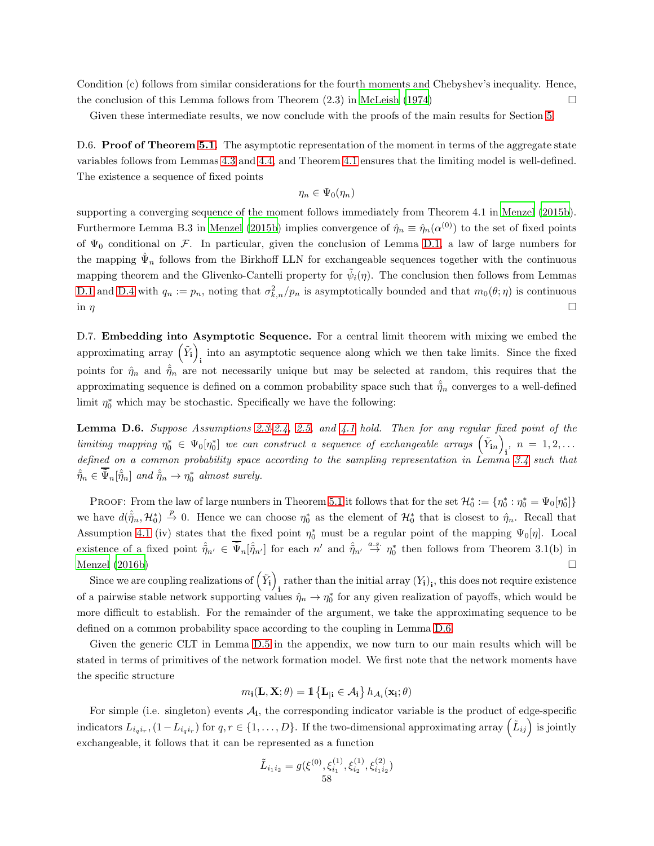Condition (c) follows from similar considerations for the fourth moments and Chebyshev's inequality. Hence, the conclusion of this Lemma follows from Theorem  $(2.3)$  in McLeish  $(1974)$ 

Given these intermediate results, we now conclude with the proofs of the main results for Section [5.](#page-32-0)

D.6. **Proof of Theorem [5.1.](#page-33-0)** The asymptotic representation of the moment in terms of the aggregate state variables follows from Lemmas [4.3](#page-27-0) and [4.4,](#page-29-0) and Theorem [4.1](#page-31-0) ensures that the limiting model is well-defined. The existence a sequence of fixed points

$$
\eta_n\in \Psi_0(\eta_n)
$$

supporting a converging sequence of the moment follows immediately from Theorem 4.1 in [Menzel \(2015b\)](#page-38-0). Furthermore Lemma B.3 in [Menzel \(2015b\)](#page-38-0) implies convergence of  $\hat{\eta}_n \equiv \hat{\eta}_n(\alpha^{(0)})$  to the set of fixed points of  $\Psi_0$  conditional on F. In particular, given the conclusion of Lemma [D.1,](#page-51-0) a law of large numbers for the mapping  $\hat{\Psi}_n$  follows from the Birkhoff LLN for exchangeable sequences together with the continuous mapping theorem and the Glivenko-Cantelli property for  $\tilde{\psi}_i(\eta)$ . The conclusion then follows from Lemmas [D.1](#page-51-0) and [D.4](#page-55-2) with  $q_n := p_n$ , noting that  $\sigma_{k,n}^2/p_n$  is asymptotically bounded and that  $m_0(\theta;\eta)$  is continuous in  $\eta$ 

D.7. **Embedding into Asymptotic Sequence.** For a central limit theorem with mixing we embed the approximating array  $(\tilde{Y}_i)$ into an asymptotic sequence along which we then take limits. Since the fixed points for  $\hat{\eta}_n$  and  $\hat{\tilde{\eta}}_n$  are not necessarily unique but may be selected at random, this requires that the approximating sequence is defined on a common probability space such that  $\hat{\eta}_n$  converges to a well-defined limit  $\eta_0^*$  which may be stochastic. Specifically we have the following:

<span id="page-57-0"></span>**Lemma D.6.** Suppose Assumptions [2.3](#page-10-1)[-2.4,](#page-11-0) [2.5,](#page-11-1) and [4.1](#page-30-1) hold. Then for any regular fixed point of the limiting mapping  $\eta_0^* \in \Psi_0[\eta_0^*]$  we can construct a sequence of exchangeable arrays  $(\tilde{Y}_{in})$ ,  $n = 1, 2, ...$ defined on a common probability space according to the sampling representation in Lemma [3.4](#page-23-0) such that  $\hat{\tilde{\eta}}_n \in \tilde{\Psi}_n[\hat{\tilde{\eta}}_n]$  and  $\hat{\tilde{\eta}}_n \to \eta_0^*$  almost surely.

PROOF: From the law of large numbers in Theorem [5.1](#page-33-0) it follows that for the set  $\mathcal{H}_0^* := \{\eta_0^* : \eta_0^* = \Psi_0[\eta_0^*]\}$ we have  $d(\hat{\eta}_n, \mathcal{H}_0^*) \stackrel{p}{\to} 0$ . Hence we can choose  $\eta_0^*$  as the element of  $\mathcal{H}_0^*$  that is closest to  $\hat{\eta}_n$ . Recall that Assumption [4.1](#page-30-1) (iv) states that the fixed point  $\eta_0^*$  must be a regular point of the mapping  $\Psi_0[\eta]$ . Local existence of a fixed point  $\hat{\eta}_{n'} \in \overline{\tilde{\Psi}}_n[\hat{\tilde{\eta}}_{n'}]$  for each  $n'$  and  $\hat{\tilde{\eta}}_{n'} \stackrel{a.s.}{\rightarrow} \eta_0^*$  then follows from Theorem 3.1(b) in Menzel  $(2016b)$ 

Since we are coupling realizations of  $(\tilde{Y}_i)$ rather than the initial array  $(Y_i)_i$ , this does not require existence of a pairwise stable network supporting values  $\hat{\eta}_n \to \eta_0^*$  for any given realization of payoffs, which would be more difficult to establish. For the remainder of the argument, we take the approximating sequence to be defined on a common probability space according to the coupling in Lemma [D.6.](#page-57-0)

Given the generic CLT in Lemma [D.5](#page-56-0) in the appendix, we now turn to our main results which will be stated in terms of primitives of the network formation model. We first note that the network moments have the specific structure

$$
m_{\mathbf{i}}(\mathbf{L}, \mathbf{X}; \theta) = \mathbbm{1}\left\{\mathbf{L}_{|\mathbf{i}} \in \mathcal{A}_{\mathbf{i}}\right\} h_{\mathcal{A}_{i}}(\mathbf{x}_{\mathbf{i}}; \theta)
$$

For simple (i.e. singleton) events  $A_i$ , the corresponding indicator variable is the product of edge-specific indicators  $L_{i_qi_r}$ ,  $(1-L_{i_qi_r})$  for  $q, r \in \{1,\ldots,D\}$ . If the two-dimensional approximating array  $(\tilde{L}_{ij})$  is jointly exchangeable, it follows that it can be represented as a function

$$
\tilde{L}_{i_1i_2} = g(\xi^{(0)}, \xi_{i_1}^{(1)}, \xi_{i_2}^{(1)}, \xi_{i_1i_2}^{(2)})
$$
  
58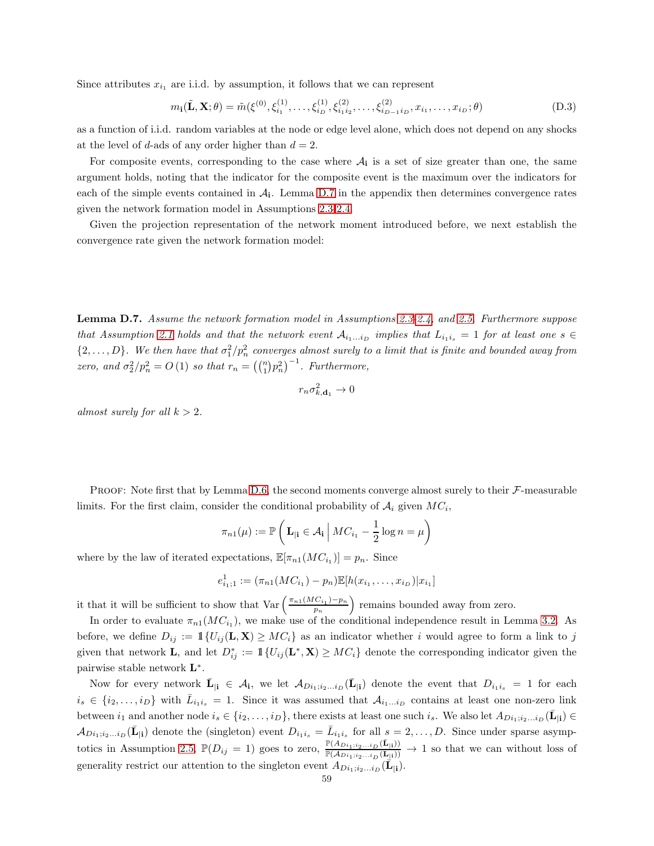Since attributes  $x_{i_1}$  are i.i.d. by assumption, it follows that we can represent

<span id="page-58-1"></span>
$$
m_{\mathbf{i}}(\tilde{\mathbf{L}}, \mathbf{X}; \theta) = \tilde{m}(\xi^{(0)}, \xi_{i_1}^{(1)}, \dots, \xi_{i_D}^{(1)}, \xi_{i_1 i_2}^{(2)}, \dots, \xi_{i_{D-1} i_D}^{(2)}, x_{i_1}, \dots, x_{i_D}; \theta)
$$
(D.3)

as a function of i.i.d. random variables at the node or edge level alone, which does not depend on any shocks at the level of d-ads of any order higher than  $d = 2$ .

For composite events, corresponding to the case where  $A_i$  is a set of size greater than one, the same argument holds, noting that the indicator for the composite event is the maximum over the indicators for each of the simple events contained in  $A_i$ . Lemma [D.7](#page-58-0) in the appendix then determines convergence rates given the network formation model in Assumptions [2.3](#page-10-1)[-2.4.](#page-11-0)

Given the projection representation of the network moment introduced before, we next establish the convergence rate given the network formation model:

<span id="page-58-0"></span>Lemma D.7. Assume the network formation model in Assumptions [2.3-](#page-10-1)[2.4,](#page-11-0) and [2.5.](#page-11-1) Furthermore suppose that Assumption [2.1](#page-5-0) holds and that the network event  $A_{i_1...i_p}$  implies that  $L_{i_1i_s} = 1$  for at least one  $s \in$  $\{2,\ldots,D\}$ . We then have that  $\sigma_1^2/p_n^2$  converges almost surely to a limit that is finite and bounded away from zero, and  $\sigma_2^2/p_n^2 = O(1)$  so that  $r_n = \left(\binom{n}{1}p_n^2\right)^{-1}$ . Furthermore,

$$
r_n \sigma_{k, \mathbf{d}_1}^2 \to 0
$$

almost surely for all  $k > 2$ .

PROOF: Note first that by Lemma [D.6,](#page-57-0) the second moments converge almost surely to their  $\mathcal{F}\text{-measurable}$ limits. For the first claim, consider the conditional probability of  $A_i$  given  $MC_i$ ,

$$
\pi_{n1}(\mu) := \mathbb{P}\left(\mathbf{L}_{|\mathbf{i}} \in \mathcal{A}_{\mathbf{i}} \,\Big|\, MC_{i_1} - \frac{1}{2}\log n = \mu\right)
$$

where by the law of iterated expectations,  $\mathbb{E}[\pi_{n1}(MC_{i_1})] = p_n$ . Since

$$
e_{i_1;1}^1 := (\pi_{n1}(MC_{i_1}) - p_n)\mathbb{E}[h(x_{i_1},...,x_{i_D})|x_{i_1}]
$$

it that it will be sufficient to show that  $\text{Var}\left(\frac{\pi_{n1}(MC_{i_1})-p_n}{n}\right)$  $\mathbf{p}_n$ remains bounded away from zero.

In order to evaluate  $\pi_{n1}(MC_{i_1})$ , we make use of the conditional independence result in Lemma [3.2.](#page-18-0) As before, we define  $D_{ij} := \mathbb{1}{U_{ij}(\mathbf{L}, \mathbf{X}) \geq MC_i}$  as an indicator whether i would agree to form a link to j given that network **L**, and let  $D_{ij}^* := \mathbb{1}\{U_{ij}(\mathbf{L}^*, \mathbf{X}) \geq MC_i\}$  denote the corresponding indicator given the pairwise stable network  $L^*$ .

Now for every network  $\bar{\mathbf{L}}_{|\mathbf{i}|} \in \mathcal{A}_{\mathbf{i}}$ , we let  $\mathcal{A}_{Di_1;i_2...i_D}(\bar{\mathbf{L}}_{|\mathbf{i}})$  denote the event that  $D_{i_1i_s} = 1$  for each  $i_s \in \{i_2,\ldots,i_D\}$  with  $\bar{L}_{i_1i_s} = 1$ . Since it was assumed that  $A_{i_1\ldots i_D}$  contains at least one non-zero link between  $i_1$  and another node  $i_s \in \{i_2, \ldots, i_D\}$ , there exists at least one such  $i_s$ . We also let  $A_{Di_1;i_2...i_D}(\bar{\mathbf{L}}_{|\mathbf{i}}) \in$  $\mathcal{A}_{Di_1;i_2...i_D}(\bar{\mathbf{L}}_{|\mathbf{i}|})$  denote the (singleton) event  $D_{i_1i_s} = \bar{L}_{i_1i_s}$  for all  $s = 2,\ldots,D$ . Since under sparse asymp-totics in Assumption [2.5,](#page-11-1)  $\mathbb{P}(D_{ij} = 1)$  goes to zero,  $\frac{\mathbb{P}(A_{D_{i_1}i_2...i_D}(\bar{L}_{|i}))}{\mathbb{P}(A_{D_{i_1}i_2...i_D}(\bar{L}_{|i}))} \to 1$  so that we can without loss of generality restrict our attention to the singleton event  $A_{Di_1;i_2...i_D}(\mathbf{\dot{L}}_{|\mathbf{i}})$ .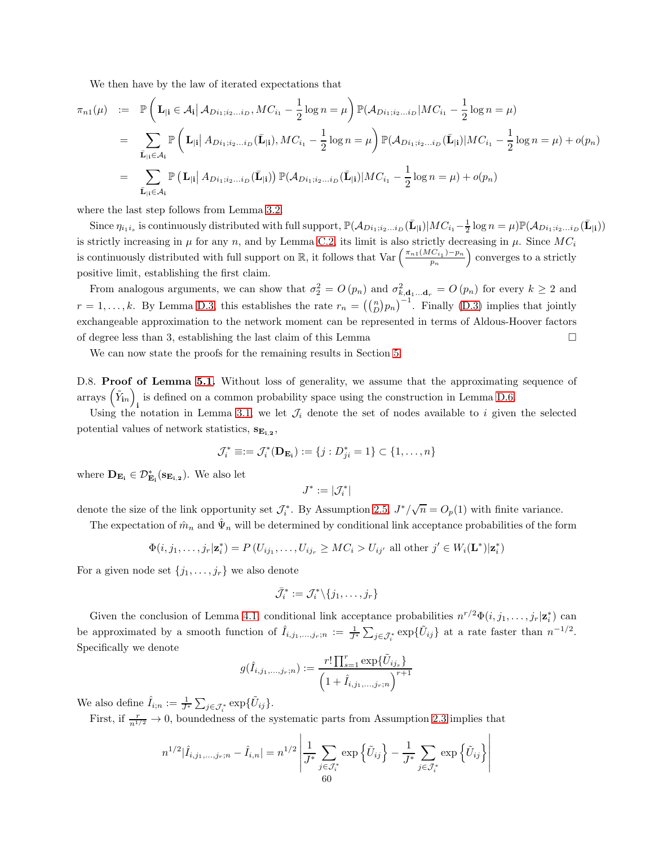We then have by the law of iterated expectations that

$$
\pi_{n1}(\mu) := \mathbb{P}\left(\mathbf{L}_{|\mathbf{i}} \in \mathcal{A}_{\mathbf{i}} \middle| \mathcal{A}_{Di_{1};i_{2}...i_{D}}, MC_{i_{1}} - \frac{1}{2}\log n = \mu\right) \mathbb{P}(\mathcal{A}_{Di_{1};i_{2}...i_{D}} | MC_{i_{1}} - \frac{1}{2}\log n = \mu)
$$
\n
$$
= \sum_{\bar{\mathbf{L}}_{|\mathbf{i}} \in \mathcal{A}_{\mathbf{i}}} \mathbb{P}\left(\mathbf{L}_{|\mathbf{i}|} \middle| A_{Di_{1};i_{2}...i_{D}}(\bar{\mathbf{L}}_{|\mathbf{i}}), MC_{i_{1}} - \frac{1}{2}\log n = \mu\right) \mathbb{P}(\mathcal{A}_{Di_{1};i_{2}...i_{D}}(\bar{\mathbf{L}}_{|\mathbf{i}}) | MC_{i_{1}} - \frac{1}{2}\log n = \mu) + o(p_{n})
$$
\n
$$
= \sum_{\bar{\mathbf{L}}_{|\mathbf{i}} \in \mathcal{A}_{\mathbf{i}}} \mathbb{P}\left(\mathbf{L}_{|\mathbf{i}|} \middle| A_{Di_{1};i_{2}...i_{D}}(\bar{\mathbf{L}}_{|\mathbf{i}}) \right) \mathbb{P}(\mathcal{A}_{Di_{1};i_{2}...i_{D}}(\bar{\mathbf{L}}_{|\mathbf{i}}) | MC_{i_{1}} - \frac{1}{2}\log n = \mu) + o(p_{n})
$$

where the last step follows from Lemma [3.2.](#page-18-0)

Since  $\eta_{i_1i_s}$  is continuously distributed with full support,  $\mathbb{P}(\mathcal{A}_{Di_1;i_2...i_D}(\bar{\mathbf{L}}_{|\mathbf{i}})|MC_{i_1}-\frac{1}{2}\log n=\mu)\mathbb{P}(\mathcal{A}_{Di_1;i_2...i_D}(\bar{\mathbf{L}}_{|\mathbf{i}}))$ is strictly increasing in  $\mu$  for any n, and by Lemma [C.2,](#page-46-1) its limit is also strictly decreasing in  $\mu$ . Since  $MC_i$ is continuously distributed with full support on  $\mathbb{R}$ , it follows that  $\text{Var}\left(\frac{\pi_{n1}(MC_1)-p_n}{n}\right)$  $\mathbf{p}_n$ ) converges to a strictly positive limit, establishing the first claim.

From analogous arguments, we can show that  $\sigma_2^2 = O(p_n)$  and  $\sigma_{k, \mathbf{d}_1 ... \mathbf{d}_r}^2 = O(p_n)$  for every  $k \ge 2$  and  $r = 1, \ldots, k$ . By Lemma [D.3,](#page-55-1) this establishes the rate  $r_n = \left(\binom{n}{D} p_n\right)^{-1}$ . Finally [\(D.3\)](#page-58-1) implies that jointly exchangeable approximation to the network moment can be represented in terms of Aldous-Hoover factors of degree less than 3, establishing the last claim of this Lemma  $\square$ 

We can now state the proofs for the remaining results in Section [5.](#page-32-0)

D.8. **Proof of Lemma [5.1.](#page-34-0)** Without loss of generality, we assume that the approximating sequence of arrays  $(\tilde{Y}_{in})$ i is defined on a common probability space using the construction in Lemma [D.6.](#page-57-0)

Using the notation in Lemma [3.1,](#page-17-0) we let  $\mathcal{J}_i$  denote the set of nodes available to i given the selected potential values of network statistics,  $S_{E_{i,2}}$ ,

$$
\mathcal{J}_i^* \equiv := \mathcal{J}_i^*(\mathbf{D}_{\mathbf{E}_i}) := \{j : D_{ji}^* = 1\} \subset \{1, \ldots, n\}
$$

where  $\mathbf{D}_{\mathbf{E_{i}}} \in \mathcal{D}_{\mathbf{E_{i}}}^{*}(\mathbf{s}_{\mathbf{E_{i,2}}})$ . We also let

$$
J^*:=|\mathcal{J}^*_i|
$$

denote the size of the link opportunity set  $\mathcal{J}_i^*$ . By Assumption [2.5,](#page-11-1)  $J^*/\sqrt{n} = O_p(1)$  with finite variance.

The expectation of  $\hat{m}_n$  and  $\hat{\Psi}_n$  will be determined by conditional link acceptance probabilities of the form

$$
\Phi(i, j_1, \ldots, j_r | \mathbf{z}_i^*) = P(U_{ij_1}, \ldots, U_{ij_r} \geq MC_i > U_{ij'}
$$
all other  $j' \in W_i(\mathbf{L}^*) | \mathbf{z}_i^*$ )

For a given node set  $\{j_1, \ldots, j_r\}$  we also denote

$$
\bar{\mathcal{J}}_i^* := \mathcal{J}_i^* \backslash \{j_1, \ldots, j_r\}
$$

Given the conclusion of Lemma [4.1,](#page-25-0) conditional link acceptance probabilities  $n^{r/2}\Phi(i,j_1,\ldots,j_r|\mathbf{z}_i^*)$  can be approximated by a smooth function of  $\hat{I}_{i,j_1,\dots,j_r;n} := \frac{1}{J^*} \sum_{j \in \bar{J}_i^*} \exp{\{\tilde{U}_{ij}\}}$  at a rate faster than  $n^{-1/2}$ . Specifically we denote

$$
g(\hat{I}_{i,j_1,...,j_r;n}) := \frac{r! \prod_{s=1}^r \exp{\{\tilde{U}_{i j_s}\}}}{\left(1 + \hat{I}_{i,j_1,...,j_r;n}\right)^{r+1}}
$$

We also define  $\hat{I}_{i;n} := \frac{1}{J^*} \sum_{j \in \mathcal{J}^*_i} \exp{\{\tilde{U}_{ij}\}}$ .

First, if  $\frac{r}{n^{1/2}} \to 0$ , boundedness of the systematic parts from Assumption [2.3](#page-10-1) implies that

$$
n^{1/2}|\hat{I}_{i,j_1,...,j_r;n} - \hat{I}_{i,n}| = n^{1/2} \left| \frac{1}{J^*} \sum_{j \in \mathcal{J}^*_i} \exp\left\{\tilde{U}_{ij}\right\} - \frac{1}{J^*} \sum_{j \in \bar{\mathcal{J}}^*_i} \exp\left\{\tilde{U}_{ij}\right\} \right|
$$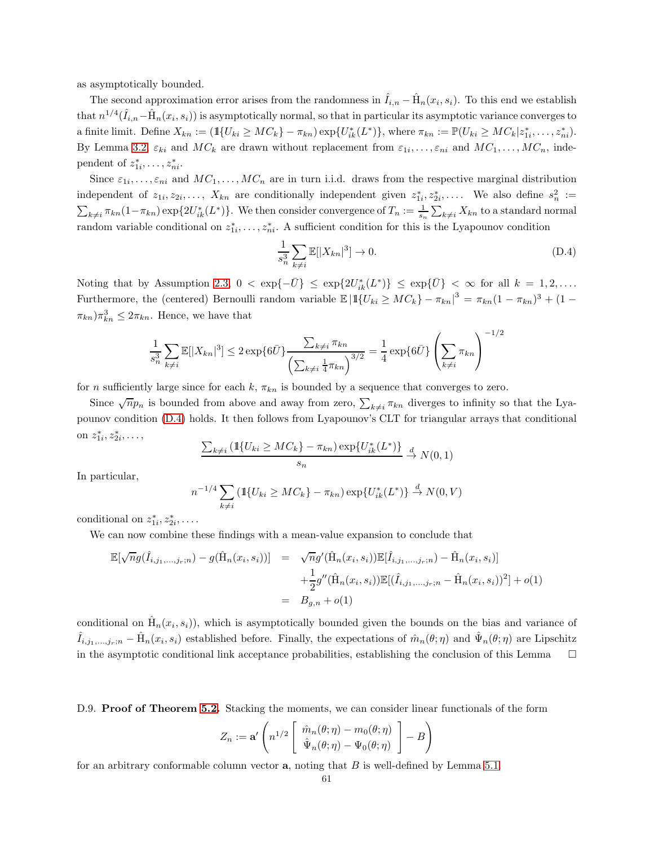as asymptotically bounded.

The second approximation error arises from the randomness in  $\hat{I}_{i,n} - \hat{H}_n(x_i, s_i)$ . To this end we establish that  $n^{1/4}(\hat{I}_{i,n}-\hat{H}_n(x_i,s_i))$  is asymptotically normal, so that in particular its asymptotic variance converges to a finite limit. Define  $X_{kn} := (\mathbb{1}{U_{ki} \geq MC_k} - \pi_{kn}) \exp{\{U_{ik}^*(L^*)\}}$ , where  $\pi_{kn} := \mathbb{P}(U_{ki} \geq MC_k | z_{1i}^*, \dots, z_{ni}^*)$ . By Lemma [3.2,](#page-18-0)  $\varepsilon_{ki}$  and  $MC_k$  are drawn without replacement from  $\varepsilon_{1i}, \ldots, \varepsilon_{ni}$  and  $MC_1, \ldots, MC_n$ , independent of  $z_{1i}^*, \ldots, z_{ni}^*$ .

Since  $\varepsilon_{1i},\ldots,\varepsilon_{ni}$  and  $MC_1,\ldots,MC_n$  are in turn i.i.d. draws from the respective marginal distribution independent of  $z_1, z_2, \ldots, X_{kn}$  are conditionally independent given  $z_1^*, z_2^*, \ldots$ . We also define  $s_n^2 :=$  $\sum_{k\neq i}$   $\pi_{kn}(1-\pi_{kn}) \exp\{2U_{ik}^*(L^*)\}$ . We then consider convergence of  $T_n := \frac{1}{s_n} \sum_{k\neq i} X_{kn}$  to a standard normal random variable conditional on  $z_1^*, \ldots, z_n^*$ . A sufficient condition for this is the Lyapounov condition

<span id="page-60-0"></span>
$$
\frac{1}{s_n^3} \sum_{k \neq i} \mathbb{E}[|X_{kn}|^3] \to 0. \tag{D.4}
$$

Noting that by Assumption [2.3,](#page-10-1)  $0 < \exp\{-\bar{U}\}\leq \exp\{2U_{ik}^*(L^*)\} \leq \exp\{\bar{U}\} < \infty$  for all  $k = 1, 2, \ldots$ Furthermore, the (centered) Bernoulli random variable  $\mathbb{E} |11\{U_{ki} \geq MC_k\} - \pi_{kn}|^3 = \pi_{kn}(1 - \pi_{kn})^3 + (1 - \pi_{kn})^3$  $(\pi_{kn})\pi_{kn}^3 \leq 2\pi_{kn}$ . Hence, we have that

$$
\frac{1}{s_n^3} \sum_{k \neq i} \mathbb{E}[|X_{kn}|^3] \leq 2 \exp\{6\bar{U}\} \frac{\sum_{k \neq i} \pi_{kn}}{\left(\sum_{k \neq i} \frac{1}{4} \pi_{kn}\right)^{3/2}} = \frac{1}{4} \exp\{6\bar{U}\} \left(\sum_{k \neq i} \pi_{kn}\right)^{-1/2}
$$

for n sufficiently large since for each k,  $\pi_{kn}$  is bounded by a sequence that converges to zero.

Since  $\sqrt{n}p_n$  is bounded from above and away from zero,  $\sum_{k\neq i}\pi_{kn}$  diverges to infinity so that the Lyapounov condition [\(D.4\)](#page-60-0) holds. It then follows from Lyapounov's CLT for triangular arrays that conditional on  $z_{1i}^*, z_{2i}^*, \ldots,$ 

$$
\frac{\sum_{k\neq i} \left( \mathbb{1}\{U_{ki} \geq MC_k\} - \pi_{kn} \right) \exp\{U_{ik}^*(L^*)\}}{s_n} \stackrel{d}{\to} N(0, 1)
$$

In particular,

$$
e^{-1/4} \sum_{k \neq i} \left( \mathbb{1} \{ U_{ki} \geq MC_k \} - \pi_{kn} \right) \exp \{ U_{ik}^*(L^*) \} \stackrel{d}{\to} N(0, V)
$$

conditional on  $z_{1i}^*, z_{2i}^*, \ldots$ 

 $\overline{n}$ 

We can now combine these findings with a mean-value expansion to conclude that

$$
\mathbb{E}[\sqrt{n}g(\hat{I}_{i,j_1,...,j_r;n}) - g(\hat{H}_n(x_i,s_i))] = \sqrt{n}g'(\hat{H}_n(x_i,s_i))\mathbb{E}[\hat{I}_{i,j_1,...,j_r;n}) - \hat{H}_n(x_i,s_i)] \n+ \frac{1}{2}g''(\hat{H}_n(x_i,s_i))\mathbb{E}[(\hat{I}_{i,j_1,...,j_r;n} - \hat{H}_n(x_i,s_i))^2] + o(1) \n= B_{g,n} + o(1)
$$

conditional on  $\hat{H}_n(x_i, s_i)$ , which is asymptotically bounded given the bounds on the bias and variance of  $\hat{I}_{i,j_1,\dots,j_r;n} - \hat{H}_n(x_i,s_i)$  established before. Finally, the expectations of  $\hat{m}_n(\theta;\eta)$  and  $\hat{\Psi}_n(\theta;\eta)$  are Lipschitz in the asymptotic conditional link acceptance probabilities, establishing the conclusion of this Lemma $\square$ 

D.9. **Proof of Theorem [5.2.](#page-35-0)** Stacking the moments, we can consider linear functionals of the form

$$
Z_n := \mathbf{a}' \left( n^{1/2} \begin{bmatrix} \hat{m}_n(\theta; \eta) - m_0(\theta; \eta) \\ \hat{\Psi}_n(\theta; \eta) - \Psi_0(\theta; \eta) \end{bmatrix} - B \right)
$$

for an arbitrary conformable column vector  $a$ , noting that  $B$  is well-defined by Lemma [5.1.](#page-34-0)